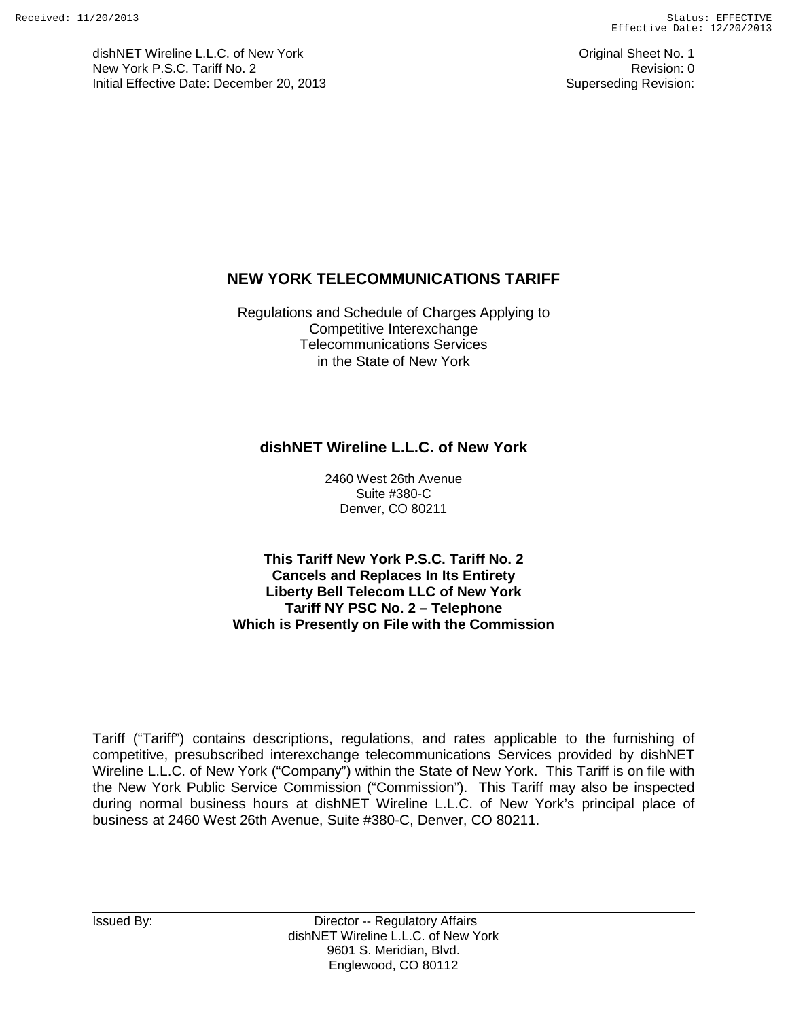dishNET Wireline L.L.C. of New York **Community** Change of Australian Change of Criginal Sheet No. 1 New York P.S.C. Tariff No. 2 **Review Accounts** 2 Revision: 0 Initial Effective Date: December 20, 2013 Superseding Revision:

# **NEW YORK TELECOMMUNICATIONS TARIFF**

Regulations and Schedule of Charges Applying to Competitive Interexchange Telecommunications Services in the State of New York

# **dishNET Wireline L.L.C. of New York**

2460 West 26th Avenue Suite #380-C Denver, CO 80211

**This Tariff New York P.S.C. Tariff No. 2 Cancels and Replaces In Its Entirety Liberty Bell Telecom LLC of New York Tariff NY PSC No. 2 – Telephone Which is Presently on File with the Commission**

Tariff ("Tariff") contains descriptions, regulations, and rates applicable to the furnishing of competitive, presubscribed interexchange telecommunications Services provided by dishNET Wireline L.L.C. of New York ("Company") within the State of New York. This Tariff is on file with the New York Public Service Commission ("Commission"). This Tariff may also be inspected during normal business hours at dishNET Wireline L.L.C. of New York's principal place of business at 2460 West 26th Avenue, Suite #380-C, Denver, CO 80211.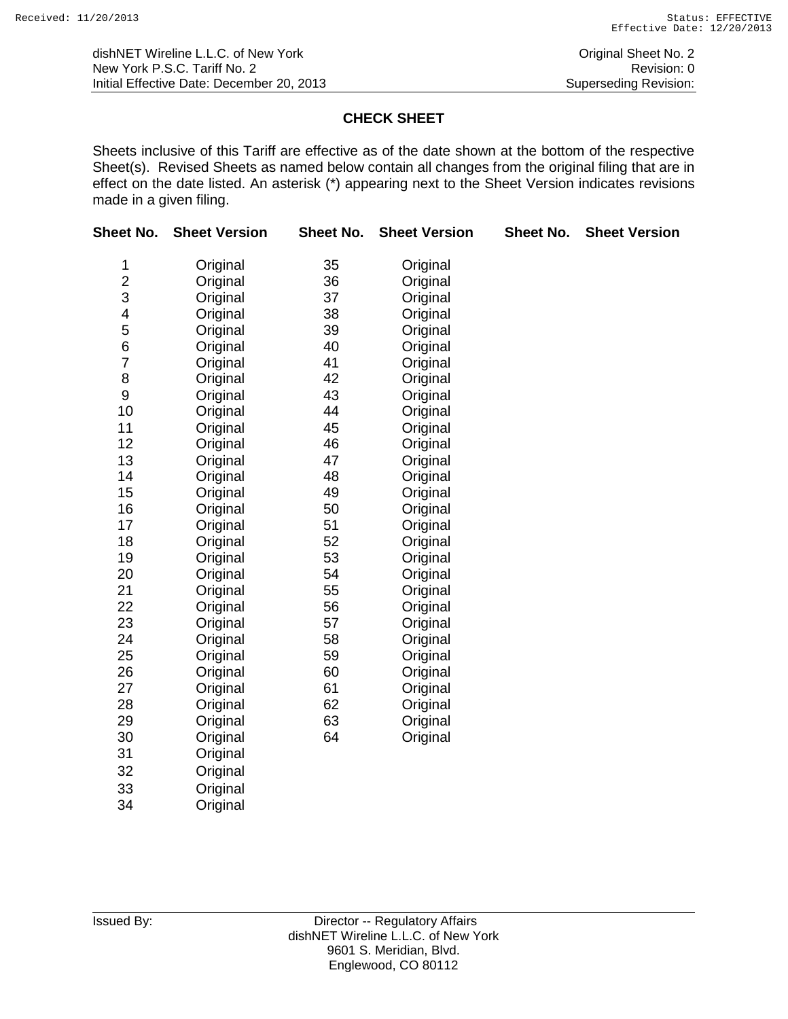# **CHECK SHEET**

Sheets inclusive of this Tariff are effective as of the date shown at the bottom of the respective Sheet(s). Revised Sheets as named below contain all changes from the original filing that are in effect on the date listed. An asterisk (\*) appearing next to the Sheet Version indicates revisions made in a given filing.

| Sheet No.      | <b>Sheet Version</b> | Sheet No. | <b>Sheet Version</b> | <b>Sheet No.</b> | <b>Sheet Version</b> |  |
|----------------|----------------------|-----------|----------------------|------------------|----------------------|--|
| 1              | Original             | 35        | Original             |                  |                      |  |
| $\overline{c}$ | Original             | 36        | Original             |                  |                      |  |
| 3              | Original             | 37        | Original             |                  |                      |  |
| 4              | Original             | 38        | Original             |                  |                      |  |
| 5              | Original             | 39        | Original             |                  |                      |  |
| 6              | Original             | 40        | Original             |                  |                      |  |
| $\overline{7}$ | Original             | 41        | Original             |                  |                      |  |
| 8              | Original             | 42        | Original             |                  |                      |  |
| 9              | Original             | 43        | Original             |                  |                      |  |
| 10             | Original             | 44        | Original             |                  |                      |  |
| 11             | Original             | 45        | Original             |                  |                      |  |
| 12             | Original             | 46        | Original             |                  |                      |  |
| 13             | Original             | 47        | Original             |                  |                      |  |
| 14             | Original             | 48        | Original             |                  |                      |  |
| 15             | Original             | 49        | Original             |                  |                      |  |
| 16             | Original             | 50        | Original             |                  |                      |  |
| 17             | Original             | 51        | Original             |                  |                      |  |
| 18             | Original             | 52        | Original             |                  |                      |  |
| 19             | Original             | 53        | Original             |                  |                      |  |
| 20             | Original             | 54        | Original             |                  |                      |  |
| 21             | Original             | 55        | Original             |                  |                      |  |
| 22             | Original             | 56        | Original             |                  |                      |  |
| 23             | Original             | 57        | Original             |                  |                      |  |
| 24             | Original             | 58        | Original             |                  |                      |  |
| 25             | Original             | 59        | Original             |                  |                      |  |
| 26             | Original             | 60        | Original             |                  |                      |  |
| 27             | Original             | 61        | Original             |                  |                      |  |
| 28             | Original             | 62        | Original             |                  |                      |  |
| 29             | Original             | 63        | Original             |                  |                      |  |
| 30             | Original             | 64        | Original             |                  |                      |  |
| 31             | Original             |           |                      |                  |                      |  |
| 32             | Original             |           |                      |                  |                      |  |
| 33             | Original             |           |                      |                  |                      |  |
| 34             | Original             |           |                      |                  |                      |  |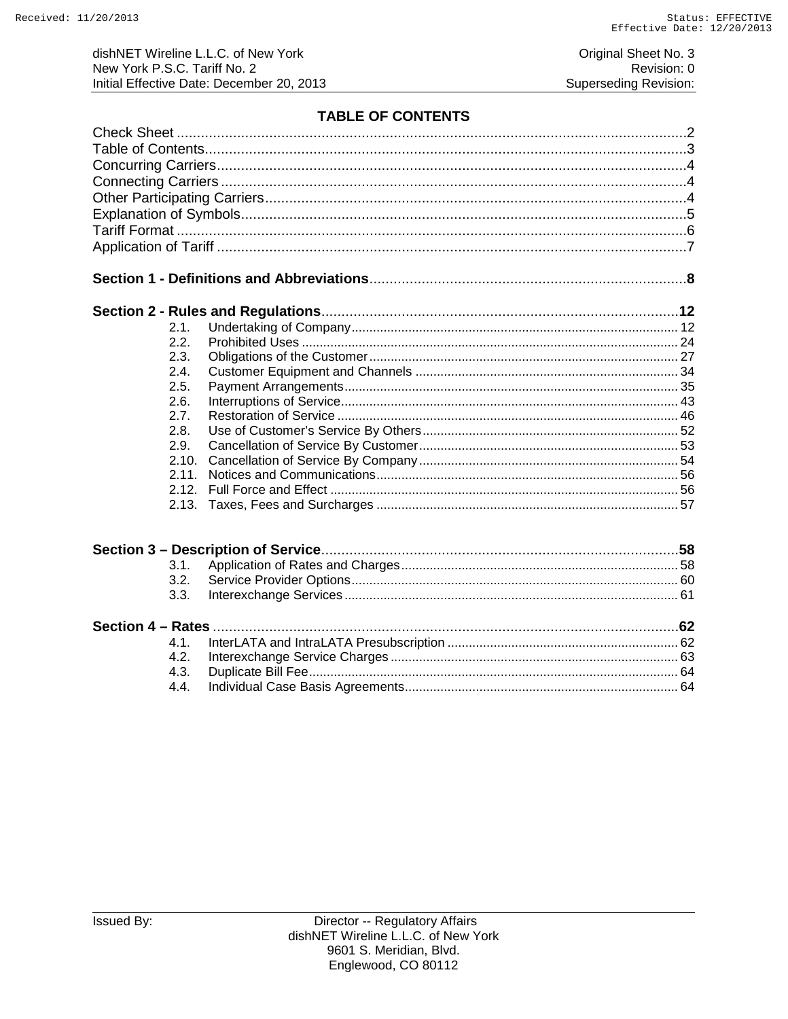Original Sheet No. 3 Revision: 0 Superseding Revision:

# **TABLE OF CONTENTS**

| 2.1.  |  |
|-------|--|
| 2.2.  |  |
| 2.3.  |  |
| 2.4.  |  |
| 2.5.  |  |
| 2.6.  |  |
| 2.7.  |  |
| 2.8.  |  |
| 2.9.  |  |
| 2.10. |  |
| 2.11. |  |
| 2.12. |  |
| 2.13. |  |
|       |  |
|       |  |
| 3.1.  |  |
| 3.2.  |  |
| 3.3.  |  |
|       |  |
| 4.1.  |  |
| 4.2.  |  |
| 4.3.  |  |
| 4.4.  |  |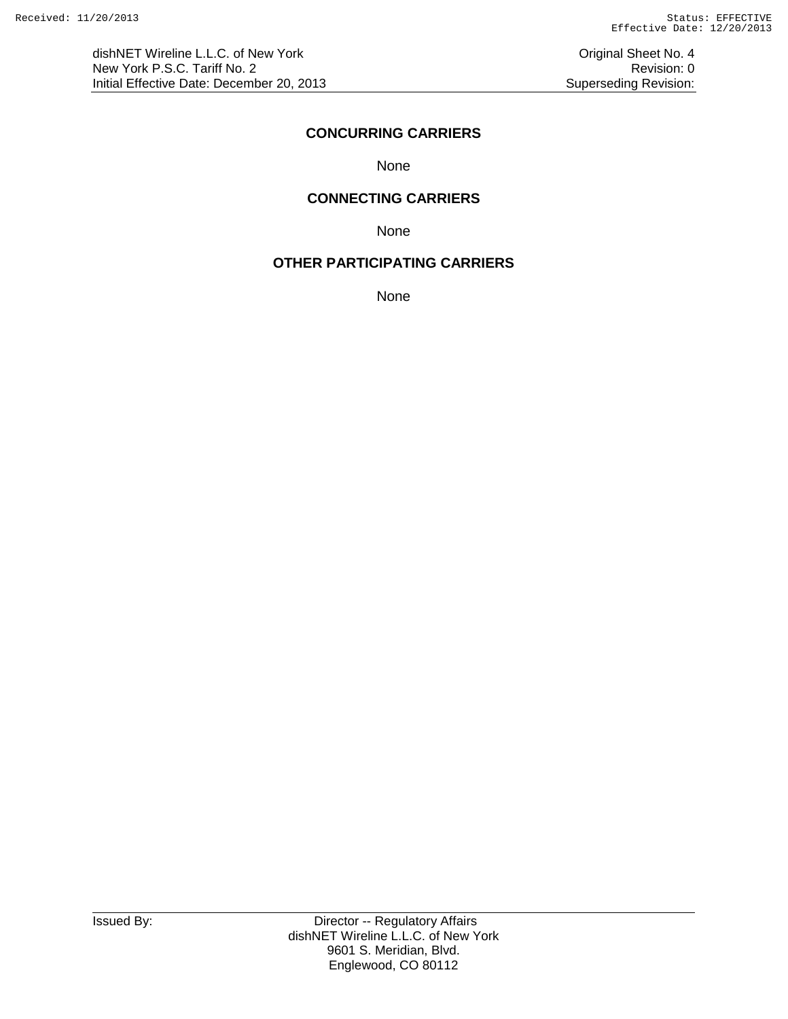#### **CONCURRING CARRIERS**

None

#### **CONNECTING CARRIERS**

None

# **OTHER PARTICIPATING CARRIERS**

None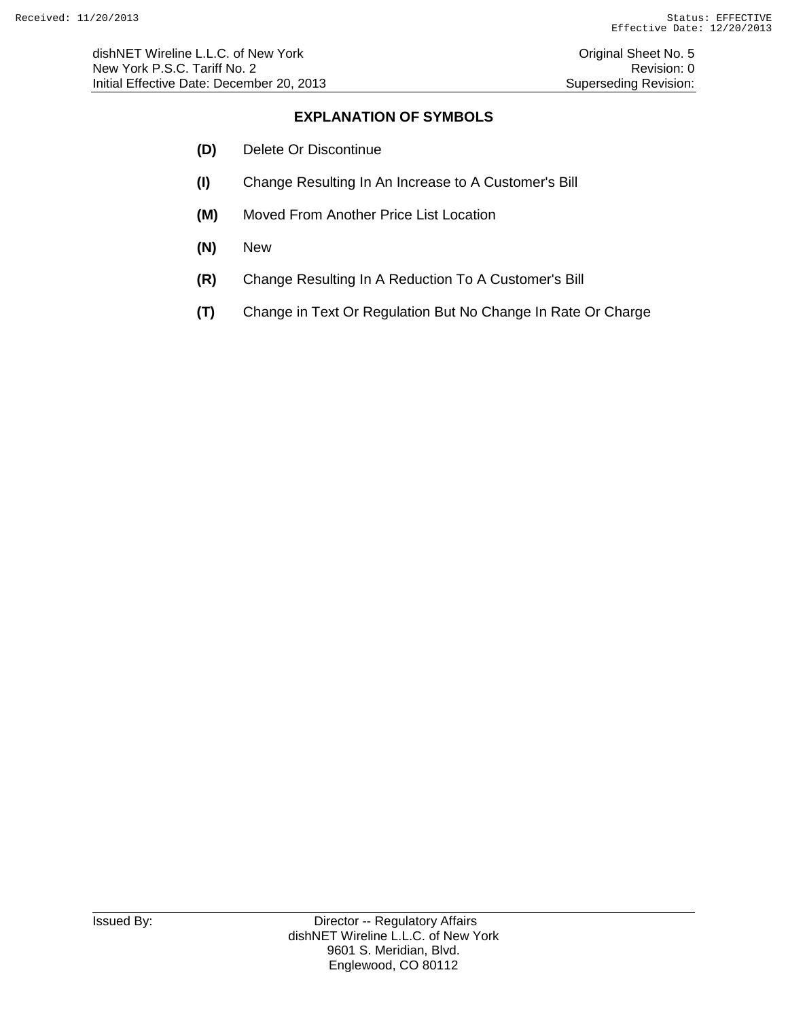# **EXPLANATION OF SYMBOLS**

- **(D)** Delete Or Discontinue
- **(I)** Change Resulting In An Increase to A Customer's Bill
- **(M)** Moved From Another Price List Location
- **(N)** New
- **(R)** Change Resulting In A Reduction To A Customer's Bill
- **(T)** Change in Text Or Regulation But No Change In Rate Or Charge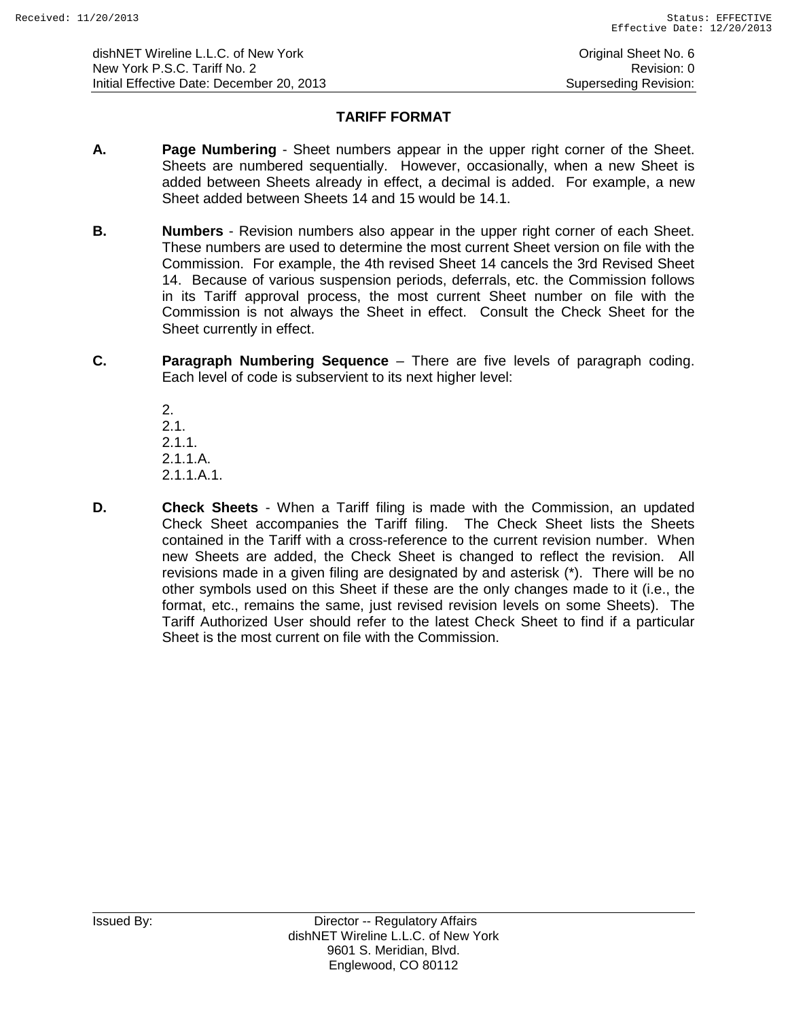# **TARIFF FORMAT**

- **A. Page Numbering** Sheet numbers appear in the upper right corner of the Sheet. Sheets are numbered sequentially. However, occasionally, when a new Sheet is added between Sheets already in effect, a decimal is added. For example, a new Sheet added between Sheets 14 and 15 would be 14.1.
- **B. Numbers** Revision numbers also appear in the upper right corner of each Sheet. These numbers are used to determine the most current Sheet version on file with the Commission. For example, the 4th revised Sheet 14 cancels the 3rd Revised Sheet 14. Because of various suspension periods, deferrals, etc. the Commission follows in its Tariff approval process, the most current Sheet number on file with the Commission is not always the Sheet in effect. Consult the Check Sheet for the Sheet currently in effect.
- **C. Paragraph Numbering Sequence** There are five levels of paragraph coding. Each level of code is subservient to its next higher level:

2. 2.1. 2.1.1. 2.1.1.A. 2.1.1.A.1.

**D. Check Sheets** - When a Tariff filing is made with the Commission, an updated Check Sheet accompanies the Tariff filing. The Check Sheet lists the Sheets contained in the Tariff with a cross-reference to the current revision number. When new Sheets are added, the Check Sheet is changed to reflect the revision. All revisions made in a given filing are designated by and asterisk (\*). There will be no other symbols used on this Sheet if these are the only changes made to it (i.e., the format, etc., remains the same, just revised revision levels on some Sheets). The Tariff Authorized User should refer to the latest Check Sheet to find if a particular Sheet is the most current on file with the Commission.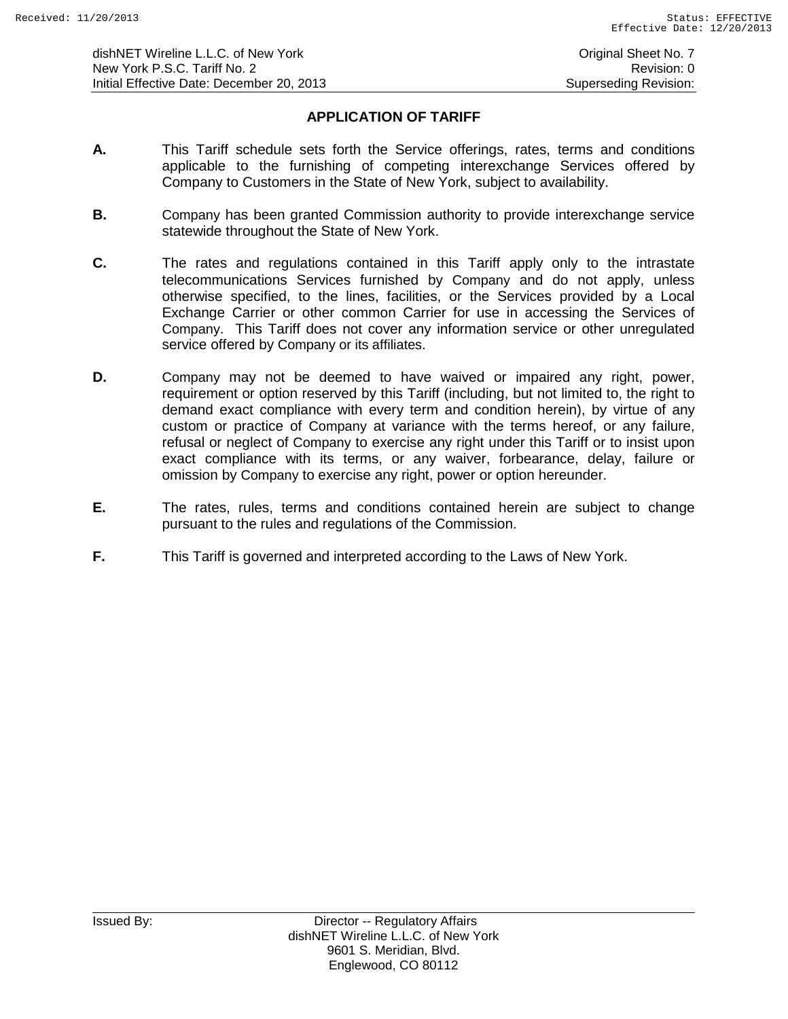# **APPLICATION OF TARIFF**

- **A.** This Tariff schedule sets forth the Service offerings, rates, terms and conditions applicable to the furnishing of competing interexchange Services offered by Company to Customers in the State of New York, subject to availability.
- **B.** Company has been granted Commission authority to provide interexchange service statewide throughout the State of New York.
- **C.** The rates and regulations contained in this Tariff apply only to the intrastate telecommunications Services furnished by Company and do not apply, unless otherwise specified, to the lines, facilities, or the Services provided by a Local Exchange Carrier or other common Carrier for use in accessing the Services of Company. This Tariff does not cover any information service or other unregulated service offered by Company or its affiliates.
- **D.** Company may not be deemed to have waived or impaired any right, power, requirement or option reserved by this Tariff (including, but not limited to, the right to demand exact compliance with every term and condition herein), by virtue of any custom or practice of Company at variance with the terms hereof, or any failure, refusal or neglect of Company to exercise any right under this Tariff or to insist upon exact compliance with its terms, or any waiver, forbearance, delay, failure or omission by Company to exercise any right, power or option hereunder.
- **E.** The rates, rules, terms and conditions contained herein are subject to change pursuant to the rules and regulations of the Commission.
- **F.** This Tariff is governed and interpreted according to the Laws of New York.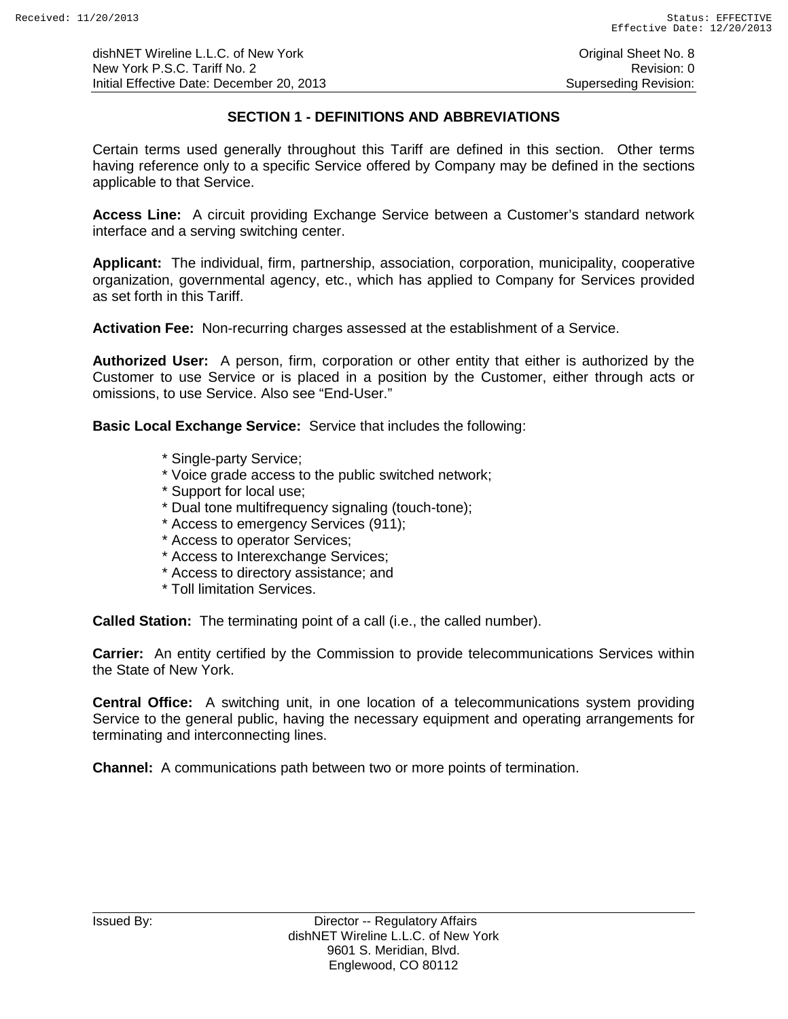dishNET Wireline L.L.C. of New York **Community** Critical Sheet No. 8 New York P.S.C. Tariff No. 2 **Review Accounts** 2 Revision: 0 Initial Effective Date: December 20, 2013 Superseding Revision:

# **SECTION 1 - DEFINITIONS AND ABBREVIATIONS**

Certain terms used generally throughout this Tariff are defined in this section. Other terms having reference only to a specific Service offered by Company may be defined in the sections applicable to that Service.

**Access Line:** A circuit providing Exchange Service between a Customer's standard network interface and a serving switching center.

**Applicant:** The individual, firm, partnership, association, corporation, municipality, cooperative organization, governmental agency, etc., which has applied to Company for Services provided as set forth in this Tariff.

**Activation Fee:** Non-recurring charges assessed at the establishment of a Service.

**Authorized User:** A person, firm, corporation or other entity that either is authorized by the Customer to use Service or is placed in a position by the Customer, either through acts or omissions, to use Service. Also see "End-User."

**Basic Local Exchange Service:** Service that includes the following:

- \* Single-party Service;
- \* Voice grade access to the public switched network;
- \* Support for local use;
- \* Dual tone multifrequency signaling (touch-tone);
- \* Access to emergency Services (911);
- \* Access to operator Services;
- \* Access to Interexchange Services;
- \* Access to directory assistance; and
- \* Toll limitation Services.

**Called Station:** The terminating point of a call (i.e., the called number).

**Carrier:** An entity certified by the Commission to provide telecommunications Services within the State of New York.

**Central Office:** A switching unit, in one location of a telecommunications system providing Service to the general public, having the necessary equipment and operating arrangements for terminating and interconnecting lines.

**Channel:** A communications path between two or more points of termination.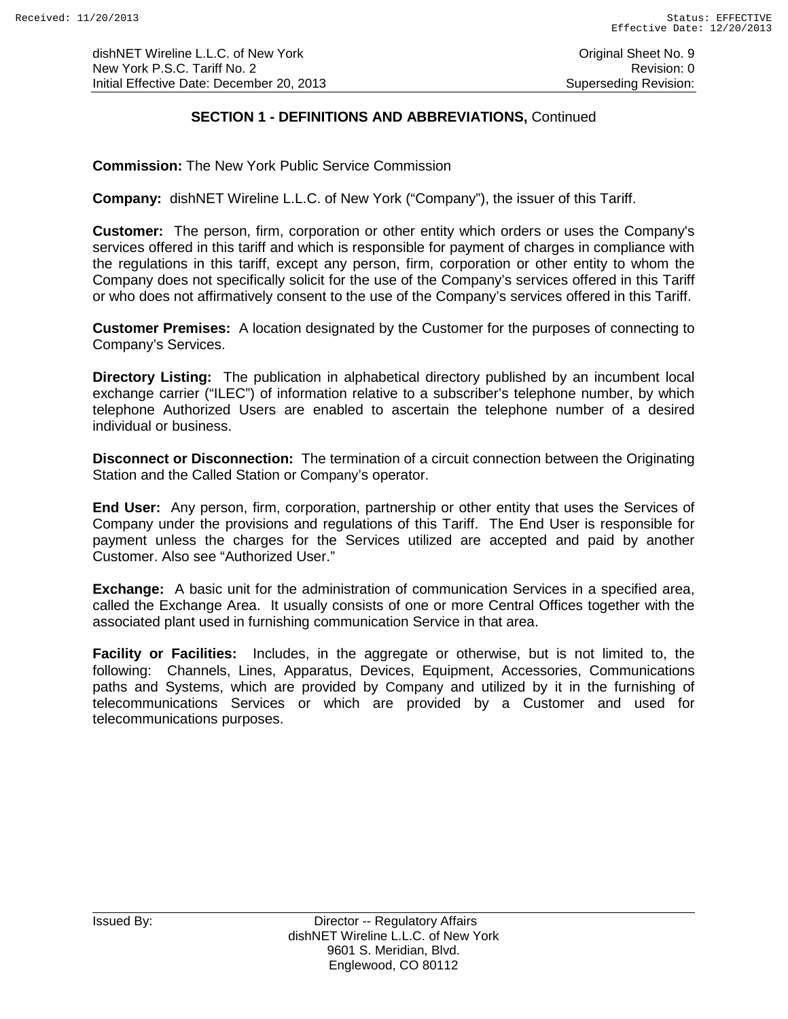dishNET Wireline L.L.C. of New York **Community** Critical Sheet No. 9 New York P.S.C. Tariff No. 2<br>
Initial Effective Date: December 20, 2013<br>
Superseding Revision: Initial Effective Date: December 20, 2013

# **SECTION 1 - DEFINITIONS AND ABBREVIATIONS,** Continued

**Commission:** The New York Public Service Commission

**Company:** dishNET Wireline L.L.C. of New York ("Company"), the issuer of this Tariff.

**Customer:** The person, firm, corporation or other entity which orders or uses the Company's services offered in this tariff and which is responsible for payment of charges in compliance with the regulations in this tariff, except any person, firm, corporation or other entity to whom the Company does not specifically solicit for the use of the Company's services offered in this Tariff or who does not affirmatively consent to the use of the Company's services offered in this Tariff.

**Customer Premises:** A location designated by the Customer for the purposes of connecting to Company's Services.

**Directory Listing:** The publication in alphabetical directory published by an incumbent local exchange carrier ("ILEC") of information relative to a subscriber's telephone number, by which telephone Authorized Users are enabled to ascertain the telephone number of a desired individual or business.

**Disconnect or Disconnection:** The termination of a circuit connection between the Originating Station and the Called Station or Company's operator.

**End User:** Any person, firm, corporation, partnership or other entity that uses the Services of Company under the provisions and regulations of this Tariff. The End User is responsible for payment unless the charges for the Services utilized are accepted and paid by another Customer. Also see "Authorized User."

**Exchange:** A basic unit for the administration of communication Services in a specified area, called the Exchange Area. It usually consists of one or more Central Offices together with the associated plant used in furnishing communication Service in that area.

**Facility or Facilities:** Includes, in the aggregate or otherwise, but is not limited to, the following: Channels, Lines, Apparatus, Devices, Equipment, Accessories, Communications paths and Systems, which are provided by Company and utilized by it in the furnishing of telecommunications Services or which are provided by a Customer and used for telecommunications purposes.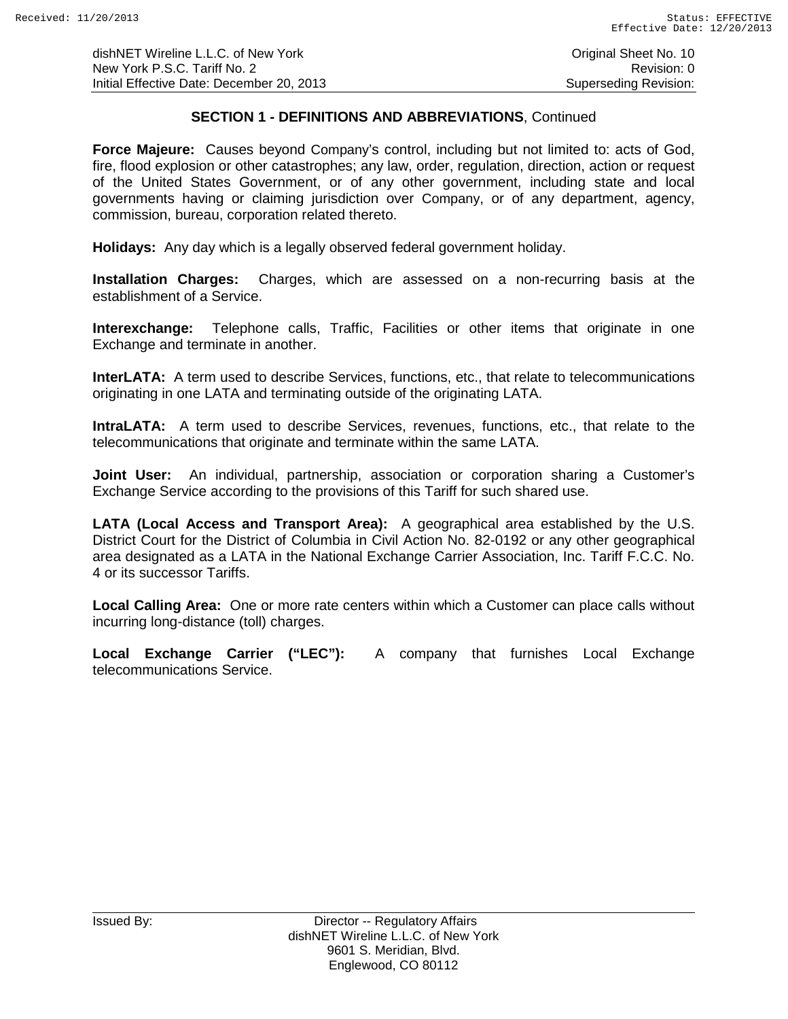dishNET Wireline L.L.C. of New York **Construction Construction Construction** Original Sheet No. 10 New York P.S.C. Tariff No. 2 **Review According to the COVID-Revision: 0** Revision: 0 Initial Effective Date: December 20, 2013 Superseding Revision:

# **SECTION 1 - DEFINITIONS AND ABBREVIATIONS**, Continued

**Force Majeure:** Causes beyond Company's control, including but not limited to: acts of God, fire, flood explosion or other catastrophes; any law, order, regulation, direction, action or request of the United States Government, or of any other government, including state and local governments having or claiming jurisdiction over Company, or of any department, agency, commission, bureau, corporation related thereto.

**Holidays:** Any day which is a legally observed federal government holiday.

**Installation Charges:** Charges, which are assessed on a non-recurring basis at the establishment of a Service.

**Interexchange:** Telephone calls, Traffic, Facilities or other items that originate in one Exchange and terminate in another.

**InterLATA:** A term used to describe Services, functions, etc., that relate to telecommunications originating in one LATA and terminating outside of the originating LATA.

**IntraLATA:** A term used to describe Services, revenues, functions, etc., that relate to the telecommunications that originate and terminate within the same LATA.

**Joint User:** An individual, partnership, association or corporation sharing a Customer's Exchange Service according to the provisions of this Tariff for such shared use.

**LATA (Local Access and Transport Area):** A geographical area established by the U.S. District Court for the District of Columbia in Civil Action No. 82-0192 or any other geographical area designated as a LATA in the National Exchange Carrier Association, Inc. Tariff F.C.C. No. 4 or its successor Tariffs.

**Local Calling Area:** One or more rate centers within which a Customer can place calls without incurring long-distance (toll) charges.

**Local Exchange Carrier ("LEC"):** A company that furnishes Local Exchange telecommunications Service.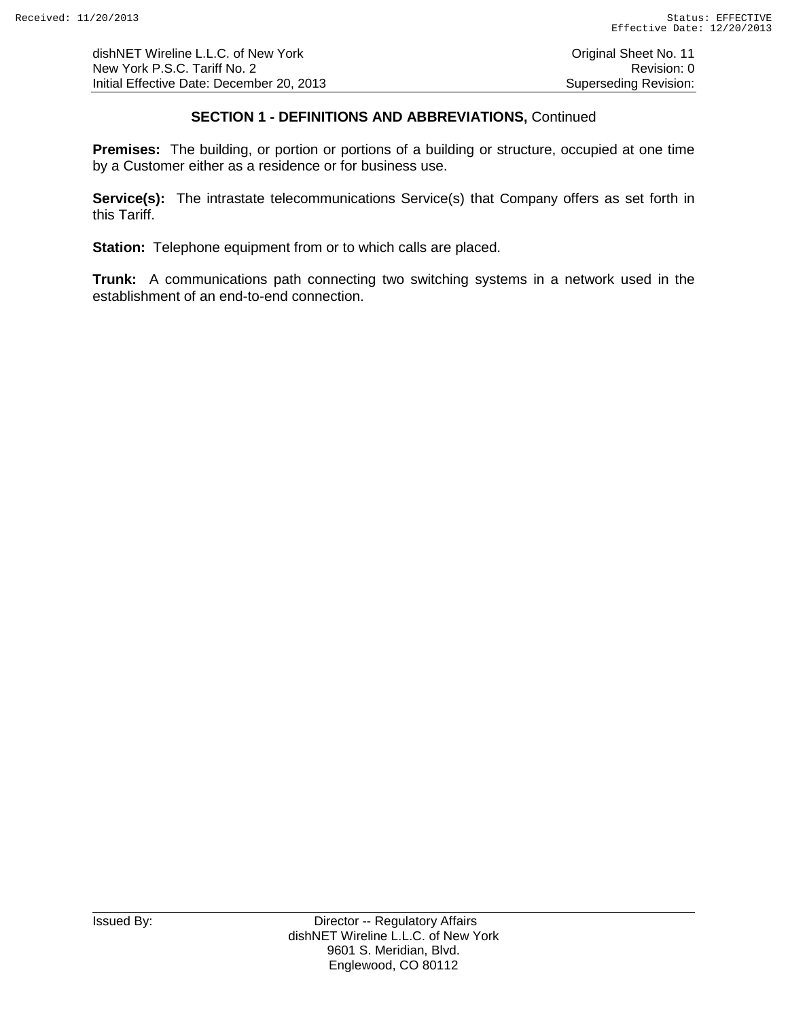dishNET Wireline L.L.C. of New York **Construction Construction Construction** Original Sheet No. 11 New York P.S.C. Tariff No. 2 **Review According to the COVID-Revision: 0** Revision: 0 Initial Effective Date: December 20, 2013 Superseding Revision:

# **SECTION 1 - DEFINITIONS AND ABBREVIATIONS,** Continued

**Premises:** The building, or portion or portions of a building or structure, occupied at one time by a Customer either as a residence or for business use.

**Service(s):** The intrastate telecommunications Service(s) that Company offers as set forth in this Tariff.

**Station:** Telephone equipment from or to which calls are placed.

**Trunk:** A communications path connecting two switching systems in a network used in the establishment of an end-to-end connection.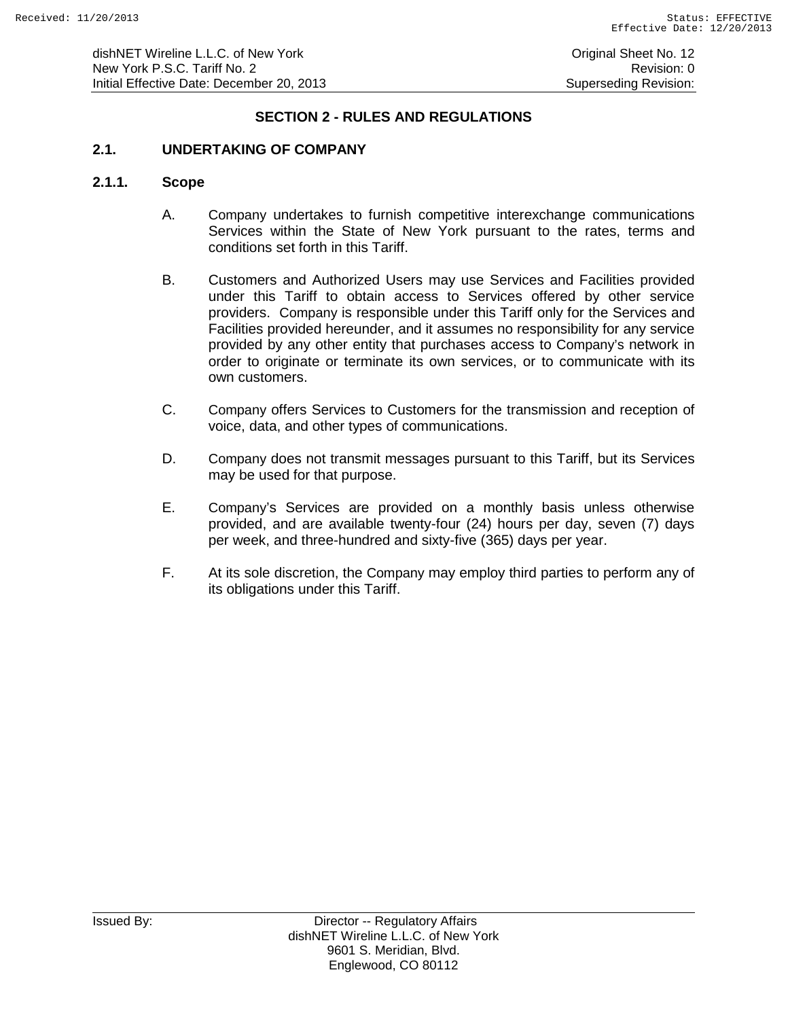### **SECTION 2 - RULES AND REGULATIONS**

### **2.1. UNDERTAKING OF COMPANY**

#### **2.1.1. Scope**

- A. Company undertakes to furnish competitive interexchange communications Services within the State of New York pursuant to the rates, terms and conditions set forth in this Tariff.
- B. Customers and Authorized Users may use Services and Facilities provided under this Tariff to obtain access to Services offered by other service providers. Company is responsible under this Tariff only for the Services and Facilities provided hereunder, and it assumes no responsibility for any service provided by any other entity that purchases access to Company's network in order to originate or terminate its own services, or to communicate with its own customers.
- C. Company offers Services to Customers for the transmission and reception of voice, data, and other types of communications.
- D. Company does not transmit messages pursuant to this Tariff, but its Services may be used for that purpose.
- E. Company's Services are provided on a monthly basis unless otherwise provided, and are available twenty-four (24) hours per day, seven (7) days per week, and three-hundred and sixty-five (365) days per year.
- F. At its sole discretion, the Company may employ third parties to perform any of its obligations under this Tariff.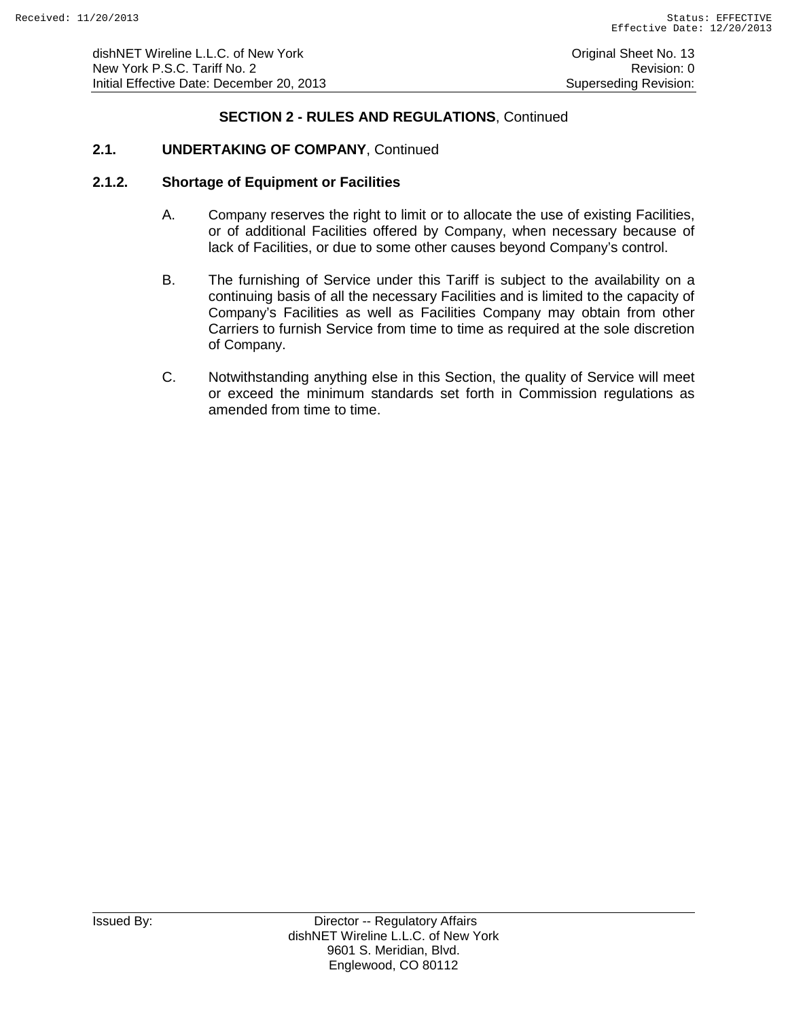# **2.1. UNDERTAKING OF COMPANY**, Continued

#### **2.1.2. Shortage of Equipment or Facilities**

- A. Company reserves the right to limit or to allocate the use of existing Facilities, or of additional Facilities offered by Company, when necessary because of lack of Facilities, or due to some other causes beyond Company's control.
- B. The furnishing of Service under this Tariff is subject to the availability on a continuing basis of all the necessary Facilities and is limited to the capacity of Company's Facilities as well as Facilities Company may obtain from other Carriers to furnish Service from time to time as required at the sole discretion of Company.
- C. Notwithstanding anything else in this Section, the quality of Service will meet or exceed the minimum standards set forth in Commission regulations as amended from time to time.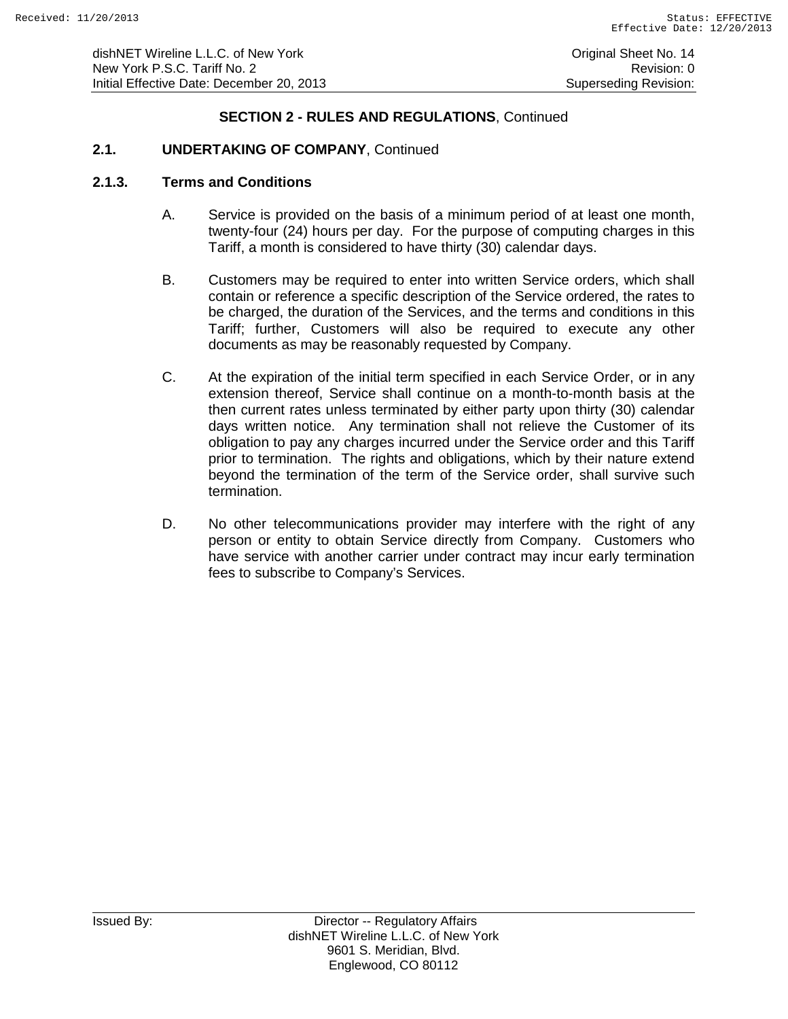## **2.1. UNDERTAKING OF COMPANY**, Continued

#### **2.1.3. Terms and Conditions**

- A. Service is provided on the basis of a minimum period of at least one month, twenty-four (24) hours per day. For the purpose of computing charges in this Tariff, a month is considered to have thirty (30) calendar days.
- B. Customers may be required to enter into written Service orders, which shall contain or reference a specific description of the Service ordered, the rates to be charged, the duration of the Services, and the terms and conditions in this Tariff; further, Customers will also be required to execute any other documents as may be reasonably requested by Company.
- C. At the expiration of the initial term specified in each Service Order, or in any extension thereof, Service shall continue on a month-to-month basis at the then current rates unless terminated by either party upon thirty (30) calendar days written notice. Any termination shall not relieve the Customer of its obligation to pay any charges incurred under the Service order and this Tariff prior to termination. The rights and obligations, which by their nature extend beyond the termination of the term of the Service order, shall survive such termination.
- D. No other telecommunications provider may interfere with the right of any person or entity to obtain Service directly from Company. Customers who have service with another carrier under contract may incur early termination fees to subscribe to Company's Services.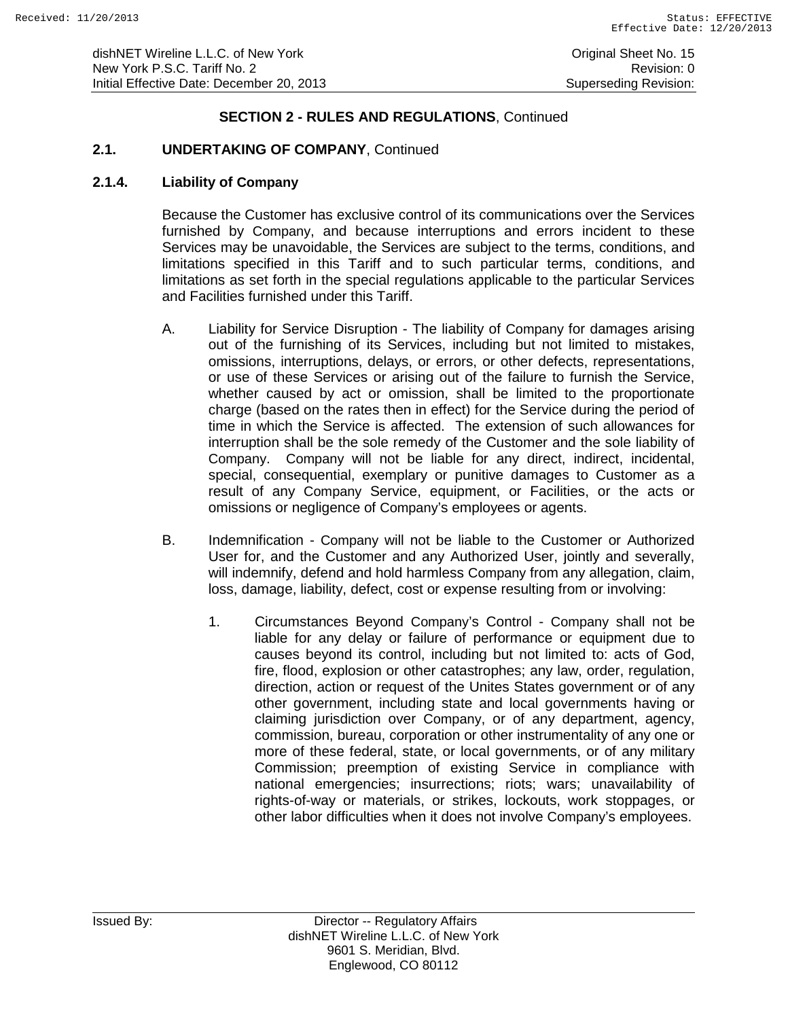dishNET Wireline L.L.C. of New York **Construction Construction Construction** Original Sheet No. 15 New York P.S.C. Tariff No. 2<br>
Initial Effective Date: December 20, 2013<br>
Superseding Revision: Initial Effective Date: December 20, 2013

# **SECTION 2 - RULES AND REGULATIONS**, Continued

### **2.1. UNDERTAKING OF COMPANY**, Continued

#### **2.1.4. Liability of Company**

Because the Customer has exclusive control of its communications over the Services furnished by Company, and because interruptions and errors incident to these Services may be unavoidable, the Services are subject to the terms, conditions, and limitations specified in this Tariff and to such particular terms, conditions, and limitations as set forth in the special regulations applicable to the particular Services and Facilities furnished under this Tariff.

- A. Liability for Service Disruption The liability of Company for damages arising out of the furnishing of its Services, including but not limited to mistakes, omissions, interruptions, delays, or errors, or other defects, representations, or use of these Services or arising out of the failure to furnish the Service, whether caused by act or omission, shall be limited to the proportionate charge (based on the rates then in effect) for the Service during the period of time in which the Service is affected. The extension of such allowances for interruption shall be the sole remedy of the Customer and the sole liability of Company. Company will not be liable for any direct, indirect, incidental, special, consequential, exemplary or punitive damages to Customer as a result of any Company Service, equipment, or Facilities, or the acts or omissions or negligence of Company's employees or agents.
- B. Indemnification Company will not be liable to the Customer or Authorized User for, and the Customer and any Authorized User, jointly and severally, will indemnify, defend and hold harmless Company from any allegation, claim, loss, damage, liability, defect, cost or expense resulting from or involving:
	- 1. Circumstances Beyond Company's Control Company shall not be liable for any delay or failure of performance or equipment due to causes beyond its control, including but not limited to: acts of God, fire, flood, explosion or other catastrophes; any law, order, regulation, direction, action or request of the Unites States government or of any other government, including state and local governments having or claiming jurisdiction over Company, or of any department, agency, commission, bureau, corporation or other instrumentality of any one or more of these federal, state, or local governments, or of any military Commission; preemption of existing Service in compliance with national emergencies; insurrections; riots; wars; unavailability of rights-of-way or materials, or strikes, lockouts, work stoppages, or other labor difficulties when it does not involve Company's employees.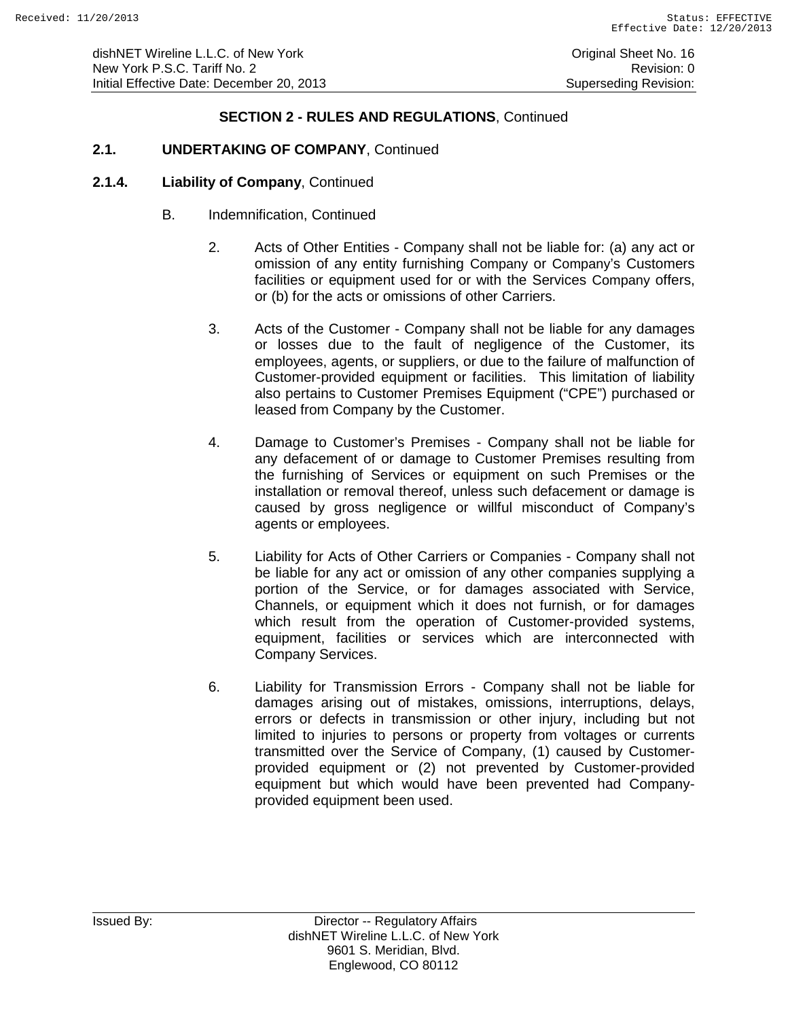## **2.1. UNDERTAKING OF COMPANY**, Continued

- B. Indemnification, Continued
	- 2. Acts of Other Entities Company shall not be liable for: (a) any act or omission of any entity furnishing Company or Company's Customers facilities or equipment used for or with the Services Company offers, or (b) for the acts or omissions of other Carriers.
	- 3. Acts of the Customer Company shall not be liable for any damages or losses due to the fault of negligence of the Customer, its employees, agents, or suppliers, or due to the failure of malfunction of Customer-provided equipment or facilities. This limitation of liability also pertains to Customer Premises Equipment ("CPE") purchased or leased from Company by the Customer.
	- 4. Damage to Customer's Premises Company shall not be liable for any defacement of or damage to Customer Premises resulting from the furnishing of Services or equipment on such Premises or the installation or removal thereof, unless such defacement or damage is caused by gross negligence or willful misconduct of Company's agents or employees.
	- 5. Liability for Acts of Other Carriers or Companies Company shall not be liable for any act or omission of any other companies supplying a portion of the Service, or for damages associated with Service, Channels, or equipment which it does not furnish, or for damages which result from the operation of Customer-provided systems, equipment, facilities or services which are interconnected with Company Services.
	- 6. Liability for Transmission Errors Company shall not be liable for damages arising out of mistakes, omissions, interruptions, delays, errors or defects in transmission or other injury, including but not limited to injuries to persons or property from voltages or currents transmitted over the Service of Company, (1) caused by Customerprovided equipment or (2) not prevented by Customer-provided equipment but which would have been prevented had Companyprovided equipment been used.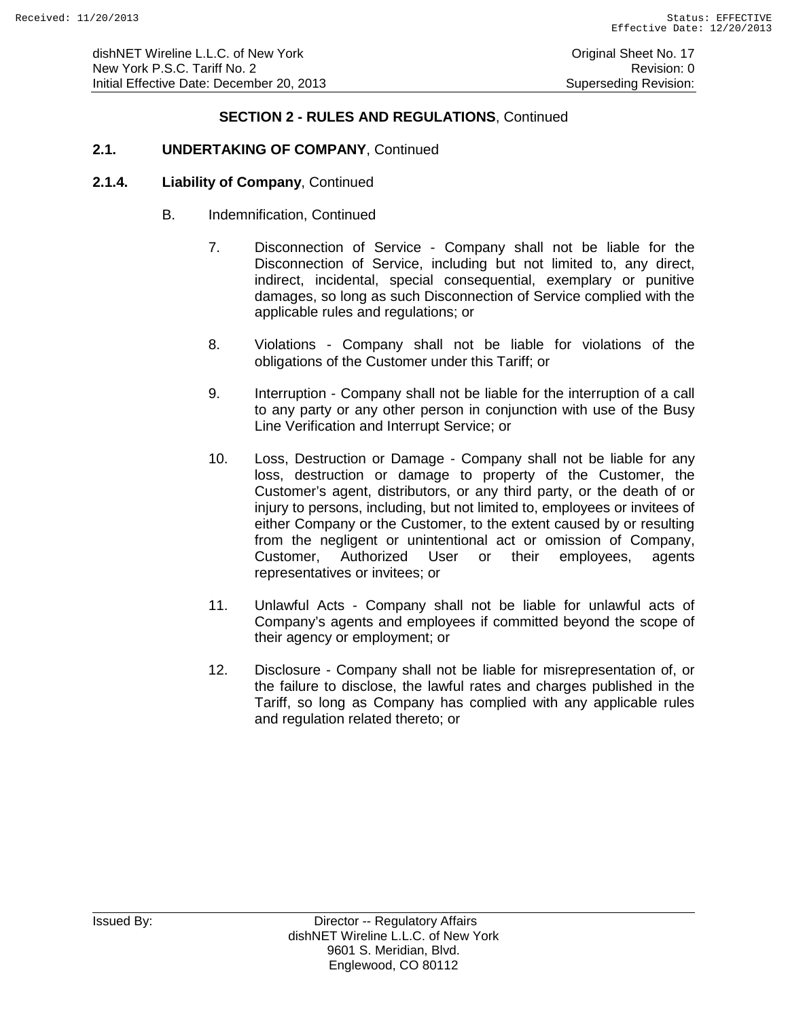### **2.1. UNDERTAKING OF COMPANY**, Continued

- B. Indemnification, Continued
	- 7. Disconnection of Service Company shall not be liable for the Disconnection of Service, including but not limited to, any direct, indirect, incidental, special consequential, exemplary or punitive damages, so long as such Disconnection of Service complied with the applicable rules and regulations; or
	- 8. Violations Company shall not be liable for violations of the obligations of the Customer under this Tariff; or
	- 9. Interruption Company shall not be liable for the interruption of a call to any party or any other person in conjunction with use of the Busy Line Verification and Interrupt Service; or
	- 10. Loss, Destruction or Damage Company shall not be liable for any loss, destruction or damage to property of the Customer, the Customer's agent, distributors, or any third party, or the death of or injury to persons, including, but not limited to, employees or invitees of either Company or the Customer, to the extent caused by or resulting from the negligent or unintentional act or omission of Company, Customer, Authorized User or their employees, agents representatives or invitees; or
	- 11. Unlawful Acts Company shall not be liable for unlawful acts of Company's agents and employees if committed beyond the scope of their agency or employment; or
	- 12. Disclosure Company shall not be liable for misrepresentation of, or the failure to disclose, the lawful rates and charges published in the Tariff, so long as Company has complied with any applicable rules and regulation related thereto; or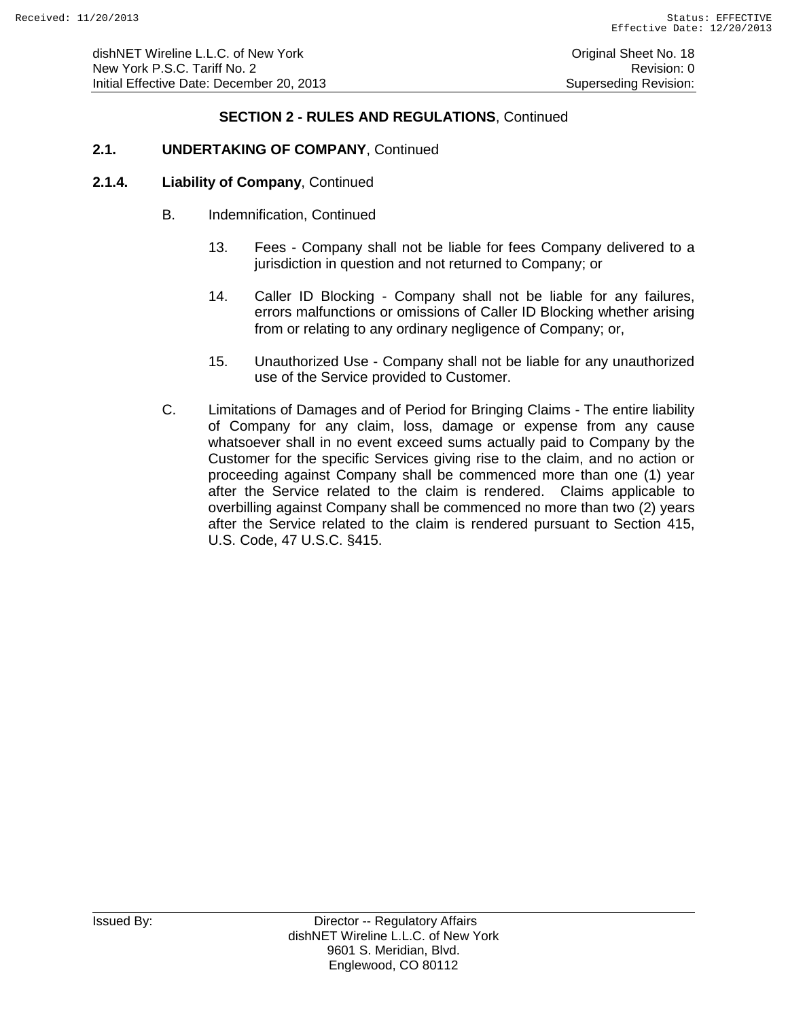### **2.1. UNDERTAKING OF COMPANY**, Continued

- B. Indemnification, Continued
	- 13. Fees Company shall not be liable for fees Company delivered to a jurisdiction in question and not returned to Company; or
	- 14. Caller ID Blocking Company shall not be liable for any failures, errors malfunctions or omissions of Caller ID Blocking whether arising from or relating to any ordinary negligence of Company; or,
	- 15. Unauthorized Use Company shall not be liable for any unauthorized use of the Service provided to Customer.
- C. Limitations of Damages and of Period for Bringing Claims The entire liability of Company for any claim, loss, damage or expense from any cause whatsoever shall in no event exceed sums actually paid to Company by the Customer for the specific Services giving rise to the claim, and no action or proceeding against Company shall be commenced more than one (1) year after the Service related to the claim is rendered. Claims applicable to overbilling against Company shall be commenced no more than two (2) years after the Service related to the claim is rendered pursuant to Section 415, U.S. Code, 47 U.S.C. §415.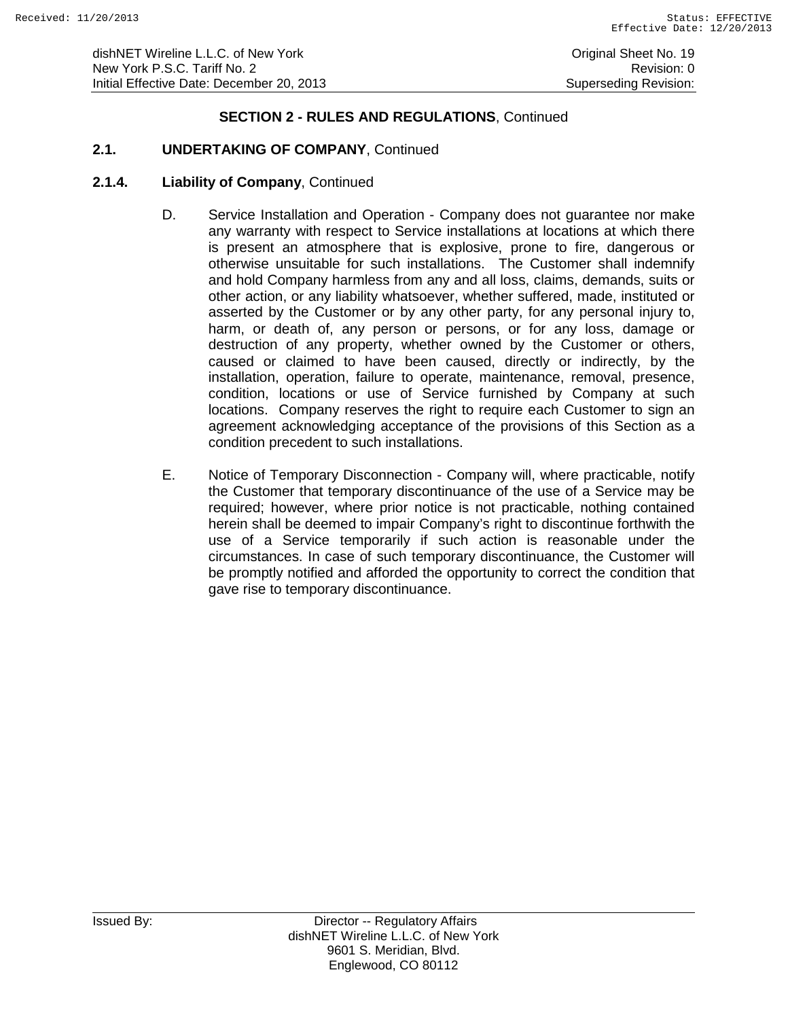# **2.1. UNDERTAKING OF COMPANY**, Continued

- D. Service Installation and Operation Company does not guarantee nor make any warranty with respect to Service installations at locations at which there is present an atmosphere that is explosive, prone to fire, dangerous or otherwise unsuitable for such installations. The Customer shall indemnify and hold Company harmless from any and all loss, claims, demands, suits or other action, or any liability whatsoever, whether suffered, made, instituted or asserted by the Customer or by any other party, for any personal injury to, harm, or death of, any person or persons, or for any loss, damage or destruction of any property, whether owned by the Customer or others, caused or claimed to have been caused, directly or indirectly, by the installation, operation, failure to operate, maintenance, removal, presence, condition, locations or use of Service furnished by Company at such locations. Company reserves the right to require each Customer to sign an agreement acknowledging acceptance of the provisions of this Section as a condition precedent to such installations.
- E. Notice of Temporary Disconnection Company will, where practicable, notify the Customer that temporary discontinuance of the use of a Service may be required; however, where prior notice is not practicable, nothing contained herein shall be deemed to impair Company's right to discontinue forthwith the use of a Service temporarily if such action is reasonable under the circumstances. In case of such temporary discontinuance, the Customer will be promptly notified and afforded the opportunity to correct the condition that gave rise to temporary discontinuance.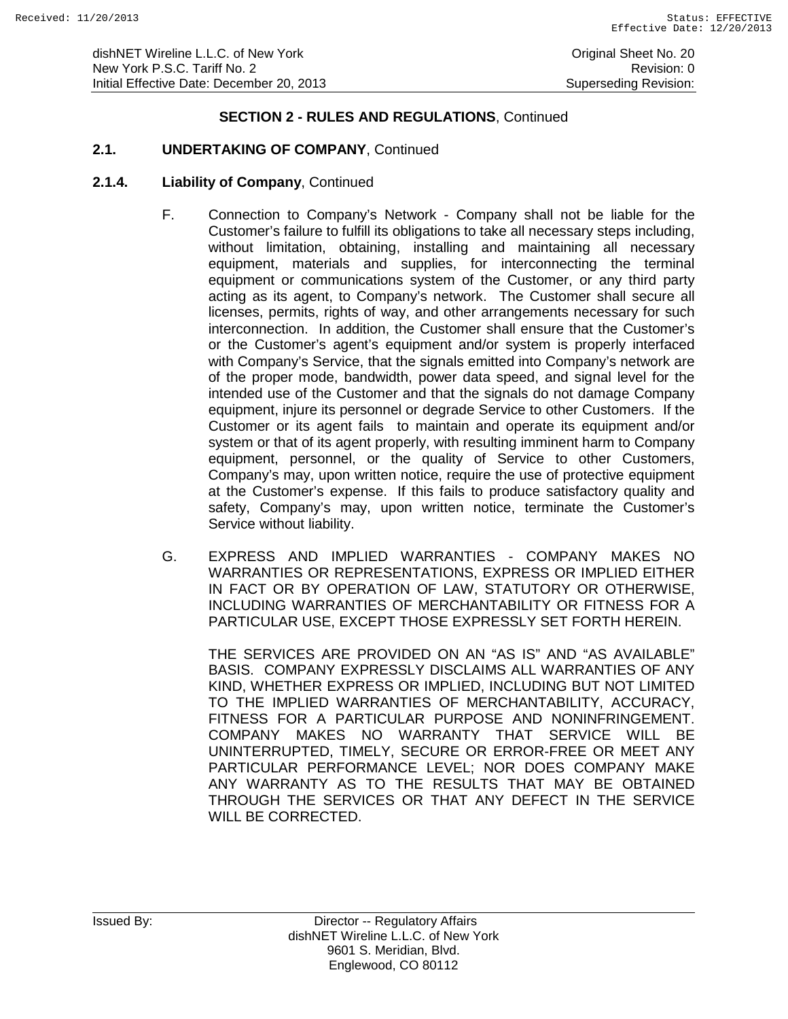# **2.1. UNDERTAKING OF COMPANY**, Continued

### **2.1.4. Liability of Company**, Continued

- F. Connection to Company's Network Company shall not be liable for the Customer's failure to fulfill its obligations to take all necessary steps including, without limitation, obtaining, installing and maintaining all necessary equipment, materials and supplies, for interconnecting the terminal equipment or communications system of the Customer, or any third party acting as its agent, to Company's network. The Customer shall secure all licenses, permits, rights of way, and other arrangements necessary for such interconnection. In addition, the Customer shall ensure that the Customer's or the Customer's agent's equipment and/or system is properly interfaced with Company's Service, that the signals emitted into Company's network are of the proper mode, bandwidth, power data speed, and signal level for the intended use of the Customer and that the signals do not damage Company equipment, injure its personnel or degrade Service to other Customers. If the Customer or its agent fails to maintain and operate its equipment and/or system or that of its agent properly, with resulting imminent harm to Company equipment, personnel, or the quality of Service to other Customers, Company's may, upon written notice, require the use of protective equipment at the Customer's expense. If this fails to produce satisfactory quality and safety, Company's may, upon written notice, terminate the Customer's Service without liability.
- G. EXPRESS AND IMPLIED WARRANTIES COMPANY MAKES NO WARRANTIES OR REPRESENTATIONS, EXPRESS OR IMPLIED EITHER IN FACT OR BY OPERATION OF LAW, STATUTORY OR OTHERWISE, INCLUDING WARRANTIES OF MERCHANTABILITY OR FITNESS FOR A PARTICULAR USE, EXCEPT THOSE EXPRESSLY SET FORTH HEREIN.

THE SERVICES ARE PROVIDED ON AN "AS IS" AND "AS AVAILABLE" BASIS. COMPANY EXPRESSLY DISCLAIMS ALL WARRANTIES OF ANY KIND, WHETHER EXPRESS OR IMPLIED, INCLUDING BUT NOT LIMITED TO THE IMPLIED WARRANTIES OF MERCHANTABILITY, ACCURACY, FITNESS FOR A PARTICULAR PURPOSE AND NONINFRINGEMENT. COMPANY MAKES NO WARRANTY THAT SERVICE WILL BE UNINTERRUPTED, TIMELY, SECURE OR ERROR-FREE OR MEET ANY PARTICULAR PERFORMANCE LEVEL; NOR DOES COMPANY MAKE ANY WARRANTY AS TO THE RESULTS THAT MAY BE OBTAINED THROUGH THE SERVICES OR THAT ANY DEFECT IN THE SERVICE WILL BE CORRECTED.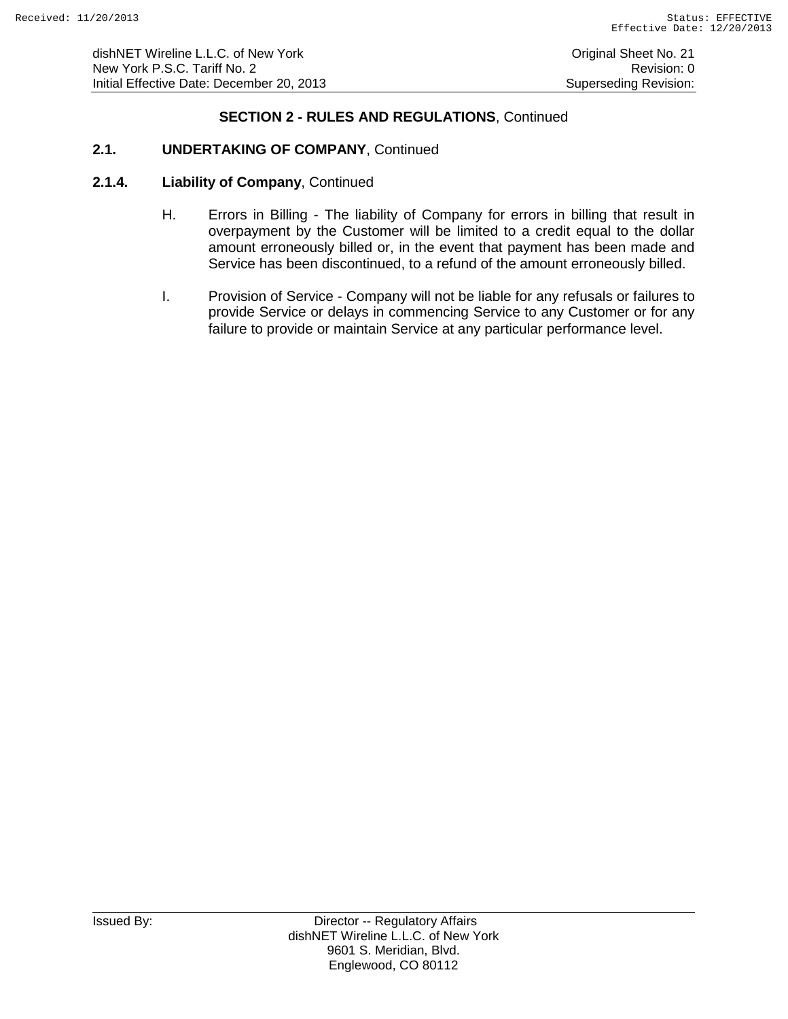# **2.1. UNDERTAKING OF COMPANY**, Continued

- H. Errors in Billing The liability of Company for errors in billing that result in overpayment by the Customer will be limited to a credit equal to the dollar amount erroneously billed or, in the event that payment has been made and Service has been discontinued, to a refund of the amount erroneously billed.
- I. Provision of Service Company will not be liable for any refusals or failures to provide Service or delays in commencing Service to any Customer or for any failure to provide or maintain Service at any particular performance level.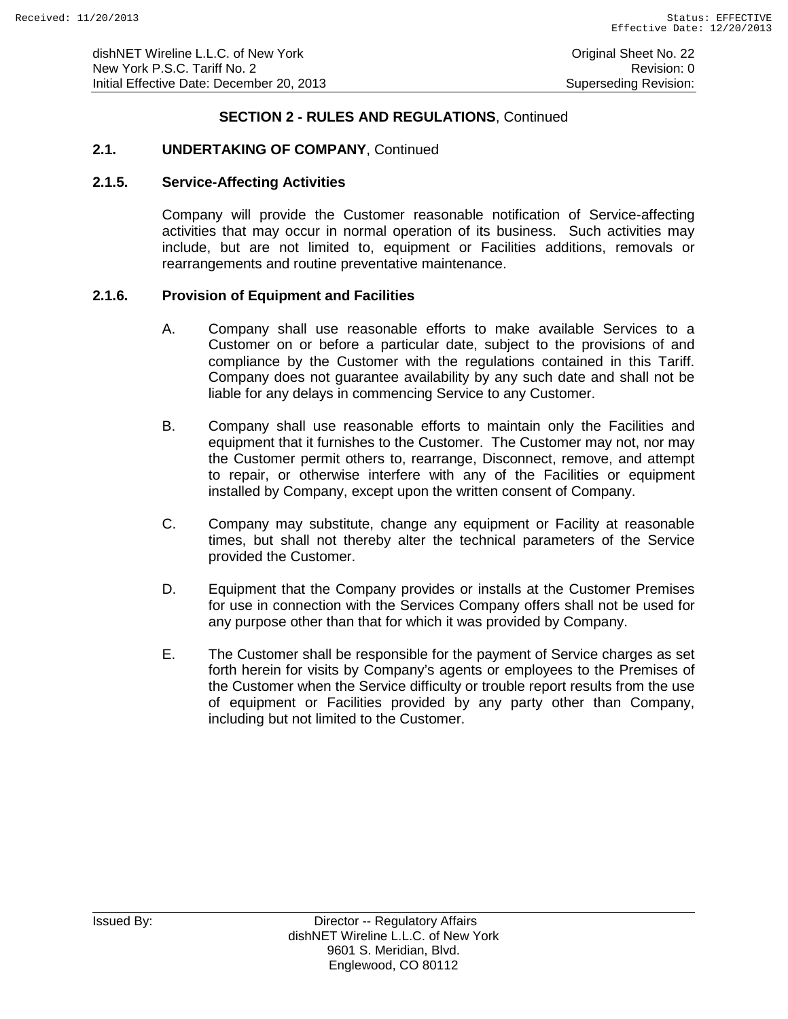# **2.1. UNDERTAKING OF COMPANY**, Continued

#### **2.1.5. Service-Affecting Activities**

Company will provide the Customer reasonable notification of Service-affecting activities that may occur in normal operation of its business. Such activities may include, but are not limited to, equipment or Facilities additions, removals or rearrangements and routine preventative maintenance.

#### **2.1.6. Provision of Equipment and Facilities**

- A. Company shall use reasonable efforts to make available Services to a Customer on or before a particular date, subject to the provisions of and compliance by the Customer with the regulations contained in this Tariff. Company does not guarantee availability by any such date and shall not be liable for any delays in commencing Service to any Customer.
- B. Company shall use reasonable efforts to maintain only the Facilities and equipment that it furnishes to the Customer. The Customer may not, nor may the Customer permit others to, rearrange, Disconnect, remove, and attempt to repair, or otherwise interfere with any of the Facilities or equipment installed by Company, except upon the written consent of Company.
- C. Company may substitute, change any equipment or Facility at reasonable times, but shall not thereby alter the technical parameters of the Service provided the Customer.
- D. Equipment that the Company provides or installs at the Customer Premises for use in connection with the Services Company offers shall not be used for any purpose other than that for which it was provided by Company.
- E. The Customer shall be responsible for the payment of Service charges as set forth herein for visits by Company's agents or employees to the Premises of the Customer when the Service difficulty or trouble report results from the use of equipment or Facilities provided by any party other than Company, including but not limited to the Customer.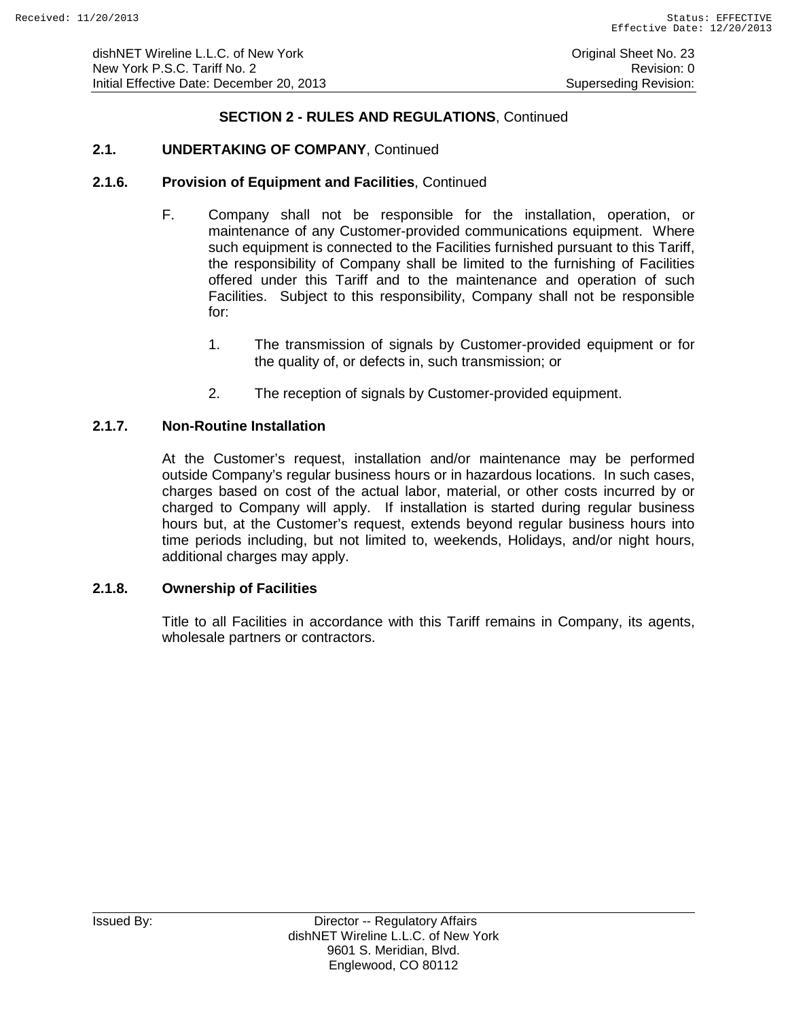## **2.1. UNDERTAKING OF COMPANY**, Continued

#### **2.1.6. Provision of Equipment and Facilities**, Continued

- F. Company shall not be responsible for the installation, operation, or maintenance of any Customer-provided communications equipment. Where such equipment is connected to the Facilities furnished pursuant to this Tariff, the responsibility of Company shall be limited to the furnishing of Facilities offered under this Tariff and to the maintenance and operation of such Facilities. Subject to this responsibility, Company shall not be responsible for:
	- 1. The transmission of signals by Customer-provided equipment or for the quality of, or defects in, such transmission; or
	- 2. The reception of signals by Customer-provided equipment.

#### **2.1.7. Non-Routine Installation**

At the Customer's request, installation and/or maintenance may be performed outside Company's regular business hours or in hazardous locations. In such cases, charges based on cost of the actual labor, material, or other costs incurred by or charged to Company will apply. If installation is started during regular business hours but, at the Customer's request, extends beyond regular business hours into time periods including, but not limited to, weekends, Holidays, and/or night hours, additional charges may apply.

#### **2.1.8. Ownership of Facilities**

Title to all Facilities in accordance with this Tariff remains in Company, its agents, wholesale partners or contractors.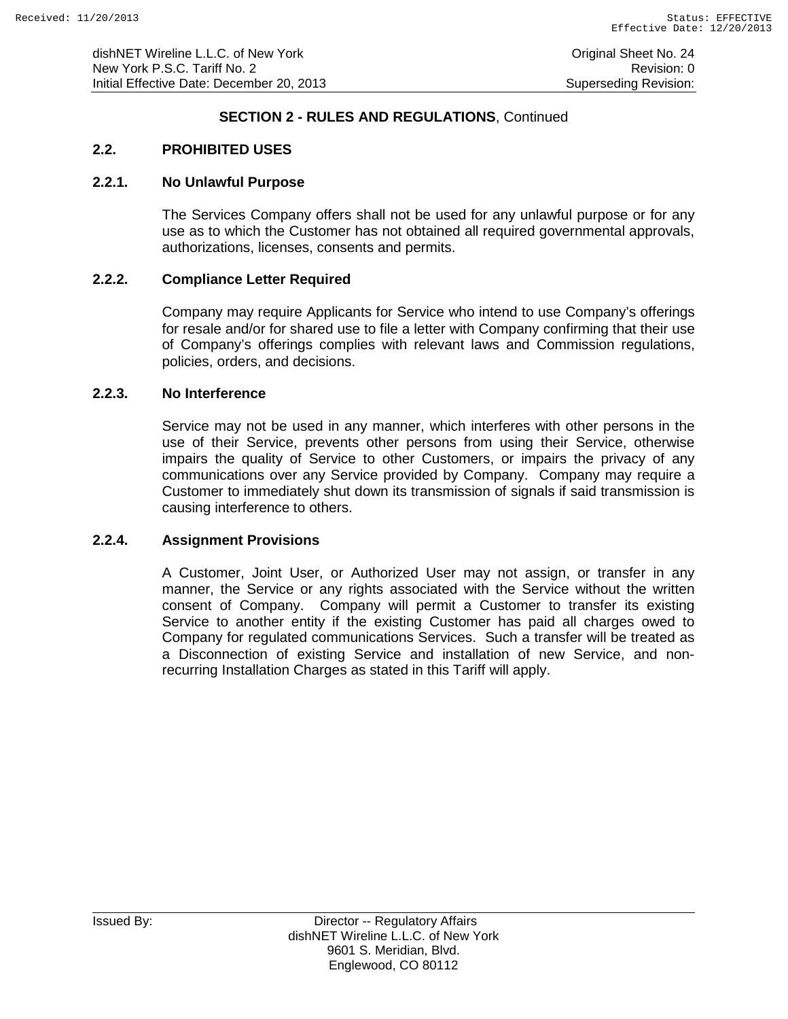### **2.2. PROHIBITED USES**

#### **2.2.1. No Unlawful Purpose**

The Services Company offers shall not be used for any unlawful purpose or for any use as to which the Customer has not obtained all required governmental approvals, authorizations, licenses, consents and permits.

### **2.2.2. Compliance Letter Required**

Company may require Applicants for Service who intend to use Company's offerings for resale and/or for shared use to file a letter with Company confirming that their use of Company's offerings complies with relevant laws and Commission regulations, policies, orders, and decisions.

### **2.2.3. No Interference**

Service may not be used in any manner, which interferes with other persons in the use of their Service, prevents other persons from using their Service, otherwise impairs the quality of Service to other Customers, or impairs the privacy of any communications over any Service provided by Company. Company may require a Customer to immediately shut down its transmission of signals if said transmission is causing interference to others.

#### **2.2.4. Assignment Provisions**

A Customer, Joint User, or Authorized User may not assign, or transfer in any manner, the Service or any rights associated with the Service without the written consent of Company. Company will permit a Customer to transfer its existing Service to another entity if the existing Customer has paid all charges owed to Company for regulated communications Services. Such a transfer will be treated as a Disconnection of existing Service and installation of new Service, and nonrecurring Installation Charges as stated in this Tariff will apply.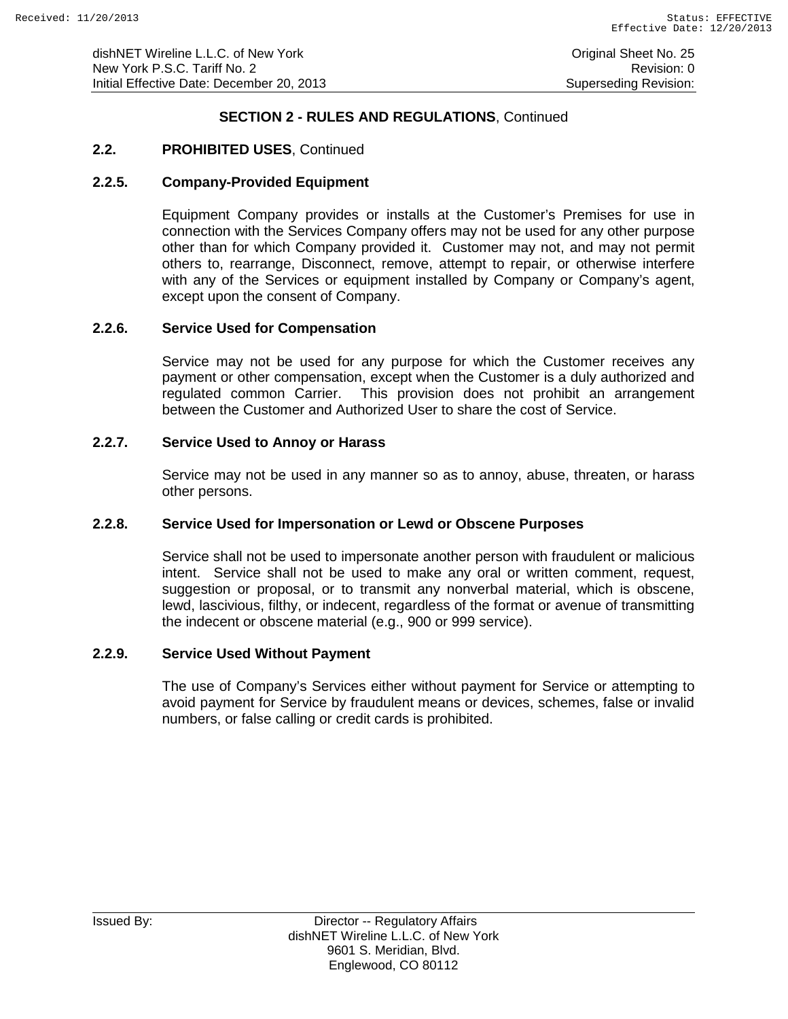dishNET Wireline L.L.C. of New York **Consumers Consumers Consumers Consumers** Original Sheet No. 25 New York P.S.C. Tariff No. 2 **Review Accounts** 2 Revision: 0 Initial Effective Date: December 20, 2013 Superseding Revision:

### **SECTION 2 - RULES AND REGULATIONS**, Continued

### **2.2. PROHIBITED USES**, Continued

#### **2.2.5. Company-Provided Equipment**

Equipment Company provides or installs at the Customer's Premises for use in connection with the Services Company offers may not be used for any other purpose other than for which Company provided it. Customer may not, and may not permit others to, rearrange, Disconnect, remove, attempt to repair, or otherwise interfere with any of the Services or equipment installed by Company or Company's agent, except upon the consent of Company.

#### **2.2.6. Service Used for Compensation**

Service may not be used for any purpose for which the Customer receives any payment or other compensation, except when the Customer is a duly authorized and regulated common Carrier. This provision does not prohibit an arrangement between the Customer and Authorized User to share the cost of Service.

#### **2.2.7. Service Used to Annoy or Harass**

Service may not be used in any manner so as to annoy, abuse, threaten, or harass other persons.

#### **2.2.8. Service Used for Impersonation or Lewd or Obscene Purposes**

Service shall not be used to impersonate another person with fraudulent or malicious intent. Service shall not be used to make any oral or written comment, request, suggestion or proposal, or to transmit any nonverbal material, which is obscene, lewd, lascivious, filthy, or indecent, regardless of the format or avenue of transmitting the indecent or obscene material (e.g., 900 or 999 service).

#### **2.2.9. Service Used Without Payment**

The use of Company's Services either without payment for Service or attempting to avoid payment for Service by fraudulent means or devices, schemes, false or invalid numbers, or false calling or credit cards is prohibited.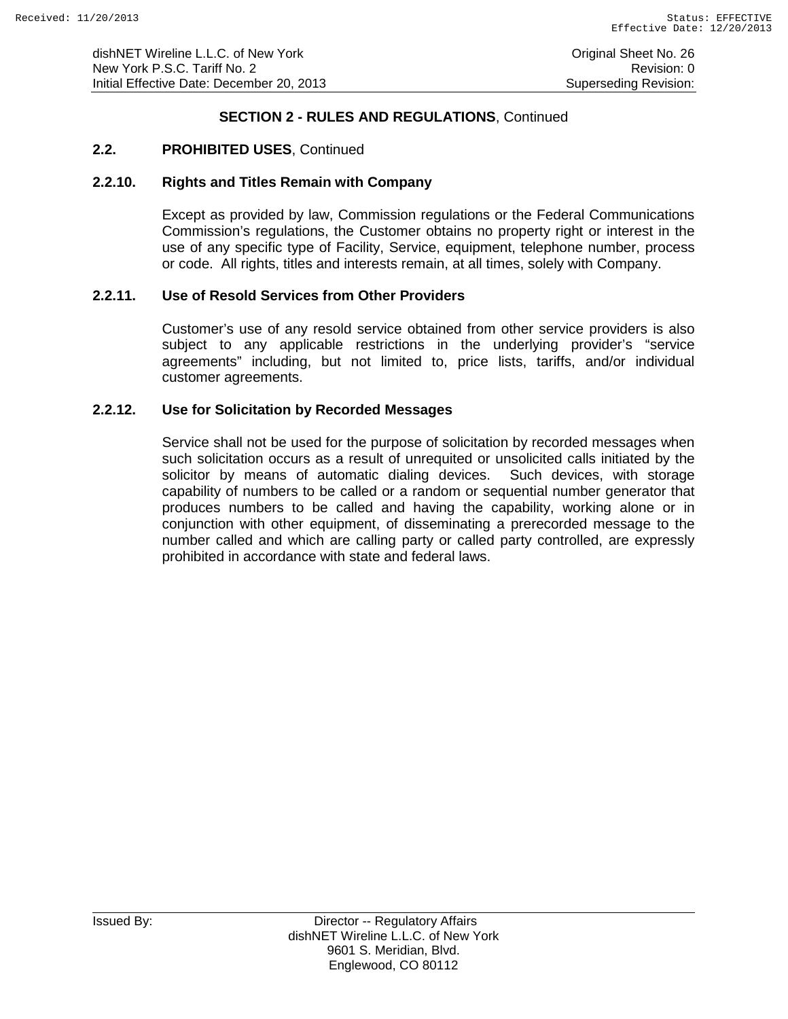### **2.2. PROHIBITED USES**, Continued

#### **2.2.10. Rights and Titles Remain with Company**

Except as provided by law, Commission regulations or the Federal Communications Commission's regulations, the Customer obtains no property right or interest in the use of any specific type of Facility, Service, equipment, telephone number, process or code. All rights, titles and interests remain, at all times, solely with Company.

#### **2.2.11. Use of Resold Services from Other Providers**

Customer's use of any resold service obtained from other service providers is also subject to any applicable restrictions in the underlying provider's "service agreements" including, but not limited to, price lists, tariffs, and/or individual customer agreements.

#### **2.2.12. Use for Solicitation by Recorded Messages**

Service shall not be used for the purpose of solicitation by recorded messages when such solicitation occurs as a result of unrequited or unsolicited calls initiated by the solicitor by means of automatic dialing devices. Such devices, with storage capability of numbers to be called or a random or sequential number generator that produces numbers to be called and having the capability, working alone or in conjunction with other equipment, of disseminating a prerecorded message to the number called and which are calling party or called party controlled, are expressly prohibited in accordance with state and federal laws.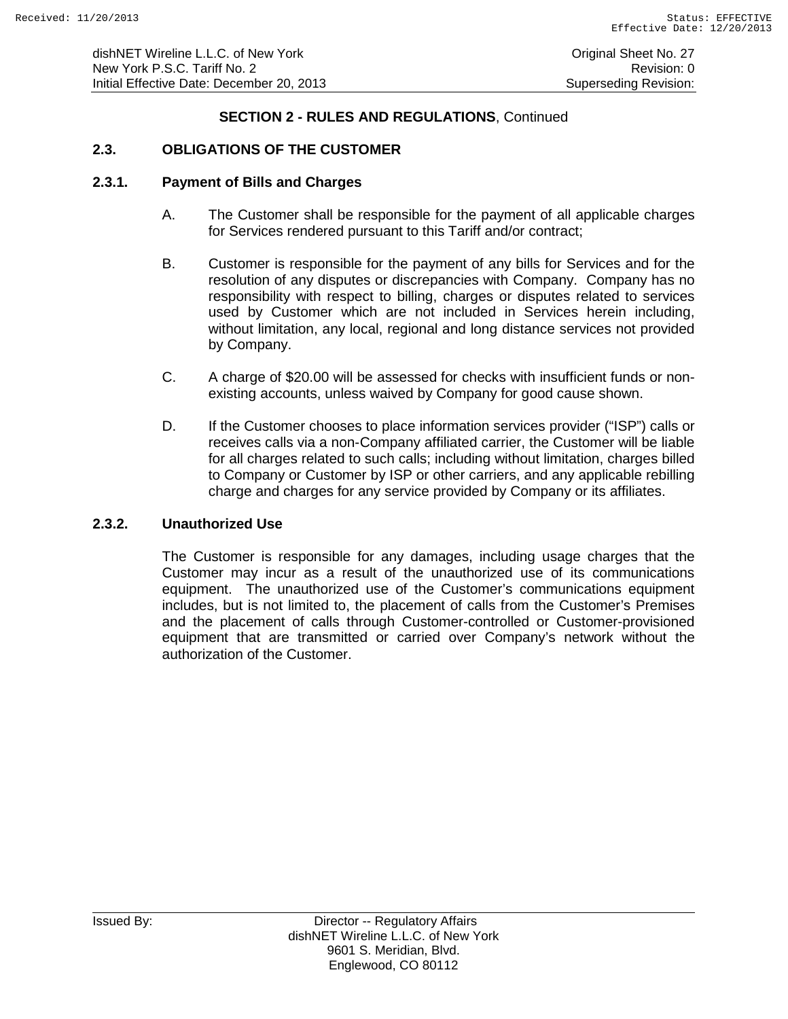# **2.3. OBLIGATIONS OF THE CUSTOMER**

### **2.3.1. Payment of Bills and Charges**

- A. The Customer shall be responsible for the payment of all applicable charges for Services rendered pursuant to this Tariff and/or contract;
- B. Customer is responsible for the payment of any bills for Services and for the resolution of any disputes or discrepancies with Company. Company has no responsibility with respect to billing, charges or disputes related to services used by Customer which are not included in Services herein including, without limitation, any local, regional and long distance services not provided by Company.
- C. A charge of \$20.00 will be assessed for checks with insufficient funds or nonexisting accounts, unless waived by Company for good cause shown.
- D. If the Customer chooses to place information services provider ("ISP") calls or receives calls via a non-Company affiliated carrier, the Customer will be liable for all charges related to such calls; including without limitation, charges billed to Company or Customer by ISP or other carriers, and any applicable rebilling charge and charges for any service provided by Company or its affiliates.

# **2.3.2. Unauthorized Use**

The Customer is responsible for any damages, including usage charges that the Customer may incur as a result of the unauthorized use of its communications equipment. The unauthorized use of the Customer's communications equipment includes, but is not limited to, the placement of calls from the Customer's Premises and the placement of calls through Customer-controlled or Customer-provisioned equipment that are transmitted or carried over Company's network without the authorization of the Customer.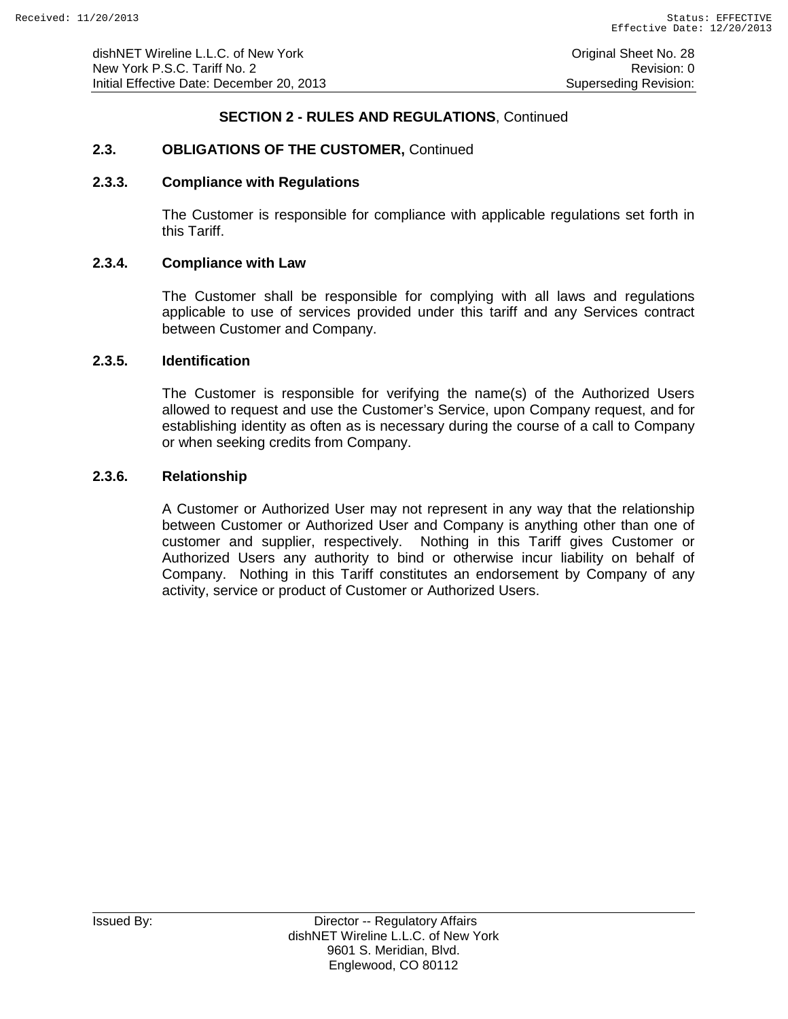# **2.3. OBLIGATIONS OF THE CUSTOMER,** Continued

#### **2.3.3. Compliance with Regulations**

The Customer is responsible for compliance with applicable regulations set forth in this Tariff.

#### **2.3.4. Compliance with Law**

The Customer shall be responsible for complying with all laws and regulations applicable to use of services provided under this tariff and any Services contract between Customer and Company.

#### **2.3.5. Identification**

The Customer is responsible for verifying the name(s) of the Authorized Users allowed to request and use the Customer's Service, upon Company request, and for establishing identity as often as is necessary during the course of a call to Company or when seeking credits from Company.

#### **2.3.6. Relationship**

A Customer or Authorized User may not represent in any way that the relationship between Customer or Authorized User and Company is anything other than one of customer and supplier, respectively. Nothing in this Tariff gives Customer or Authorized Users any authority to bind or otherwise incur liability on behalf of Company. Nothing in this Tariff constitutes an endorsement by Company of any activity, service or product of Customer or Authorized Users.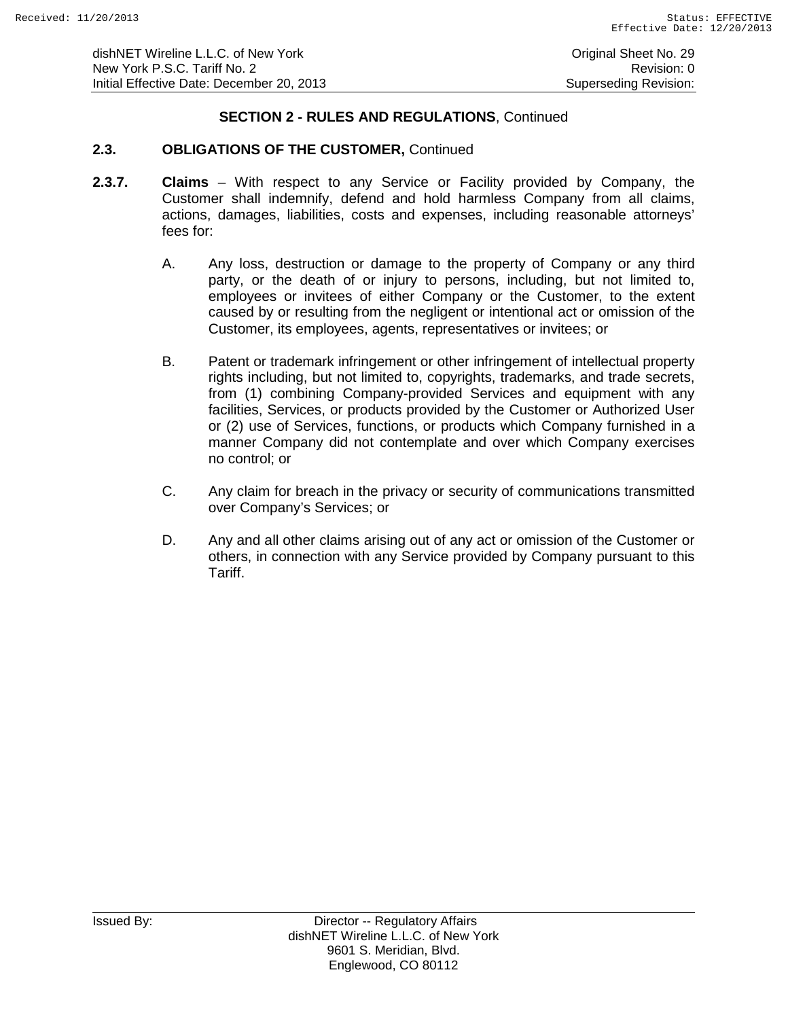# **2.3. OBLIGATIONS OF THE CUSTOMER,** Continued

- **2.3.7. Claims** With respect to any Service or Facility provided by Company, the Customer shall indemnify, defend and hold harmless Company from all claims, actions, damages, liabilities, costs and expenses, including reasonable attorneys' fees for:
	- A. Any loss, destruction or damage to the property of Company or any third party, or the death of or injury to persons, including, but not limited to, employees or invitees of either Company or the Customer, to the extent caused by or resulting from the negligent or intentional act or omission of the Customer, its employees, agents, representatives or invitees; or
	- B. Patent or trademark infringement or other infringement of intellectual property rights including, but not limited to, copyrights, trademarks, and trade secrets, from (1) combining Company-provided Services and equipment with any facilities, Services, or products provided by the Customer or Authorized User or (2) use of Services, functions, or products which Company furnished in a manner Company did not contemplate and over which Company exercises no control; or
	- C. Any claim for breach in the privacy or security of communications transmitted over Company's Services; or
	- D. Any and all other claims arising out of any act or omission of the Customer or others, in connection with any Service provided by Company pursuant to this Tariff.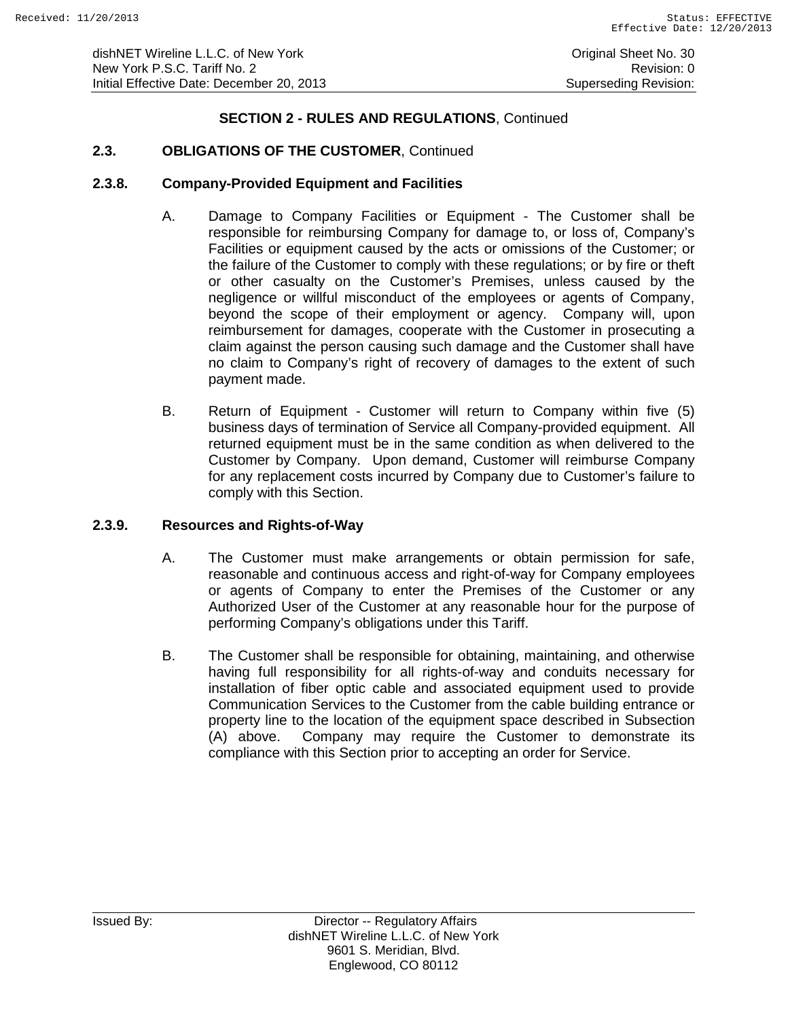# **2.3. OBLIGATIONS OF THE CUSTOMER**, Continued

### **2.3.8. Company-Provided Equipment and Facilities**

- A. Damage to Company Facilities or Equipment The Customer shall be responsible for reimbursing Company for damage to, or loss of, Company's Facilities or equipment caused by the acts or omissions of the Customer; or the failure of the Customer to comply with these regulations; or by fire or theft or other casualty on the Customer's Premises, unless caused by the negligence or willful misconduct of the employees or agents of Company, beyond the scope of their employment or agency. Company will, upon reimbursement for damages, cooperate with the Customer in prosecuting a claim against the person causing such damage and the Customer shall have no claim to Company's right of recovery of damages to the extent of such payment made.
- B. Return of Equipment Customer will return to Company within five (5) business days of termination of Service all Company-provided equipment. All returned equipment must be in the same condition as when delivered to the Customer by Company. Upon demand, Customer will reimburse Company for any replacement costs incurred by Company due to Customer's failure to comply with this Section.

# **2.3.9. Resources and Rights-of-Way**

- A. The Customer must make arrangements or obtain permission for safe, reasonable and continuous access and right-of-way for Company employees or agents of Company to enter the Premises of the Customer or any Authorized User of the Customer at any reasonable hour for the purpose of performing Company's obligations under this Tariff.
- B. The Customer shall be responsible for obtaining, maintaining, and otherwise having full responsibility for all rights-of-way and conduits necessary for installation of fiber optic cable and associated equipment used to provide Communication Services to the Customer from the cable building entrance or property line to the location of the equipment space described in Subsection (A) above. Company may require the Customer to demonstrate its compliance with this Section prior to accepting an order for Service.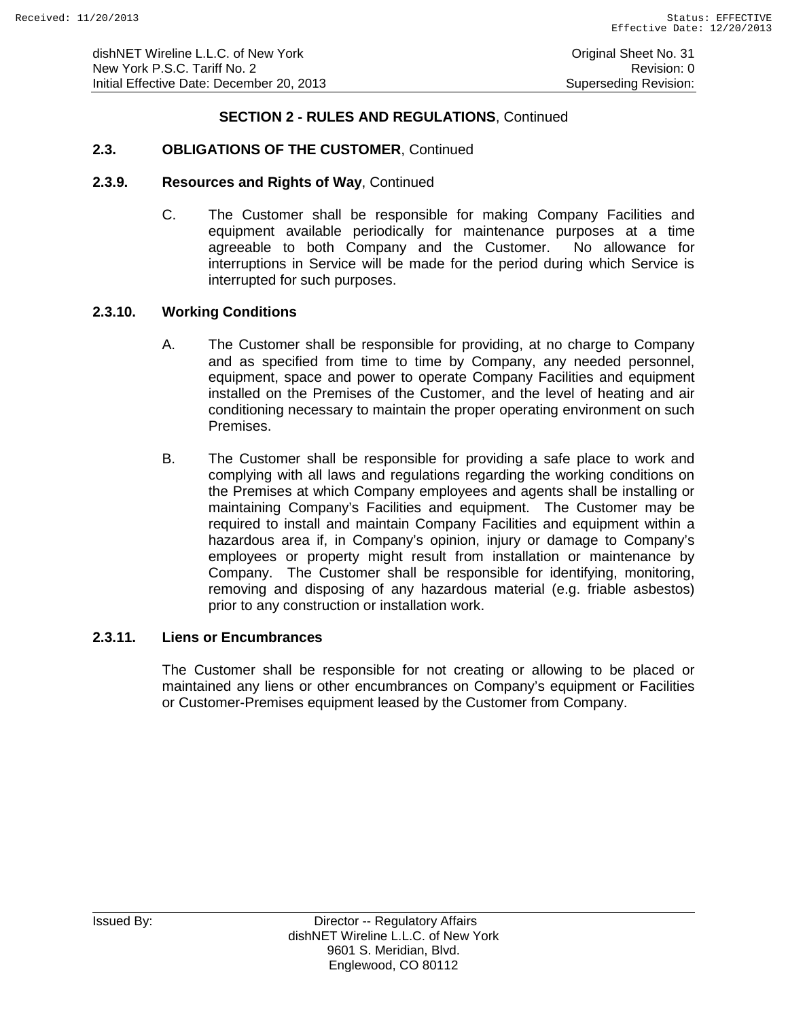### **2.3. OBLIGATIONS OF THE CUSTOMER**, Continued

#### **2.3.9. Resources and Rights of Way**, Continued

C. The Customer shall be responsible for making Company Facilities and equipment available periodically for maintenance purposes at a time<br>agreeable to both Company and the Customer. No allowance for agreeable to both Company and the Customer. interruptions in Service will be made for the period during which Service is interrupted for such purposes.

#### **2.3.10. Working Conditions**

- A. The Customer shall be responsible for providing, at no charge to Company and as specified from time to time by Company, any needed personnel, equipment, space and power to operate Company Facilities and equipment installed on the Premises of the Customer, and the level of heating and air conditioning necessary to maintain the proper operating environment on such Premises.
- B. The Customer shall be responsible for providing a safe place to work and complying with all laws and regulations regarding the working conditions on the Premises at which Company employees and agents shall be installing or maintaining Company's Facilities and equipment. The Customer may be required to install and maintain Company Facilities and equipment within a hazardous area if, in Company's opinion, injury or damage to Company's employees or property might result from installation or maintenance by Company. The Customer shall be responsible for identifying, monitoring, removing and disposing of any hazardous material (e.g. friable asbestos) prior to any construction or installation work.

## **2.3.11. Liens or Encumbrances**

The Customer shall be responsible for not creating or allowing to be placed or maintained any liens or other encumbrances on Company's equipment or Facilities or Customer-Premises equipment leased by the Customer from Company.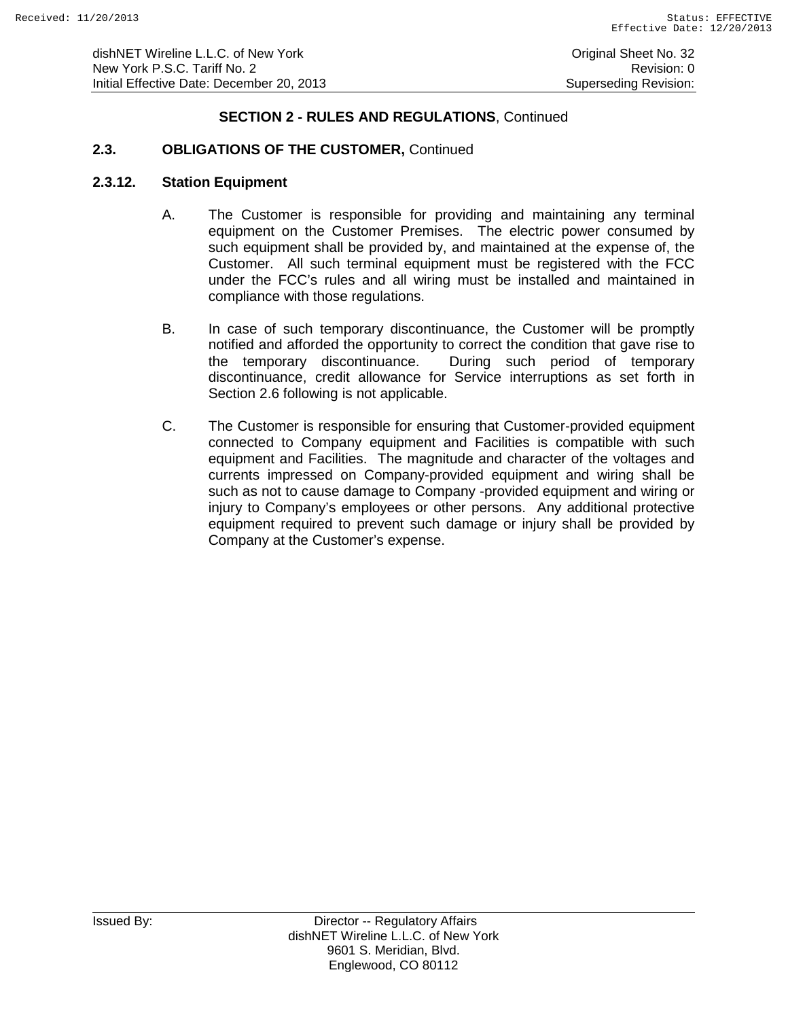## **2.3. OBLIGATIONS OF THE CUSTOMER,** Continued

#### **2.3.12. Station Equipment**

- A. The Customer is responsible for providing and maintaining any terminal equipment on the Customer Premises. The electric power consumed by such equipment shall be provided by, and maintained at the expense of, the Customer. All such terminal equipment must be registered with the FCC under the FCC's rules and all wiring must be installed and maintained in compliance with those regulations.
- B. In case of such temporary discontinuance, the Customer will be promptly notified and afforded the opportunity to correct the condition that gave rise to<br>the temporary discontinuance. During such period of temporary During such period of temporary discontinuance, credit allowance for Service interruptions as set forth in Section 2.6 following is not applicable.
- C. The Customer is responsible for ensuring that Customer-provided equipment connected to Company equipment and Facilities is compatible with such equipment and Facilities. The magnitude and character of the voltages and currents impressed on Company-provided equipment and wiring shall be such as not to cause damage to Company -provided equipment and wiring or injury to Company's employees or other persons. Any additional protective equipment required to prevent such damage or injury shall be provided by Company at the Customer's expense.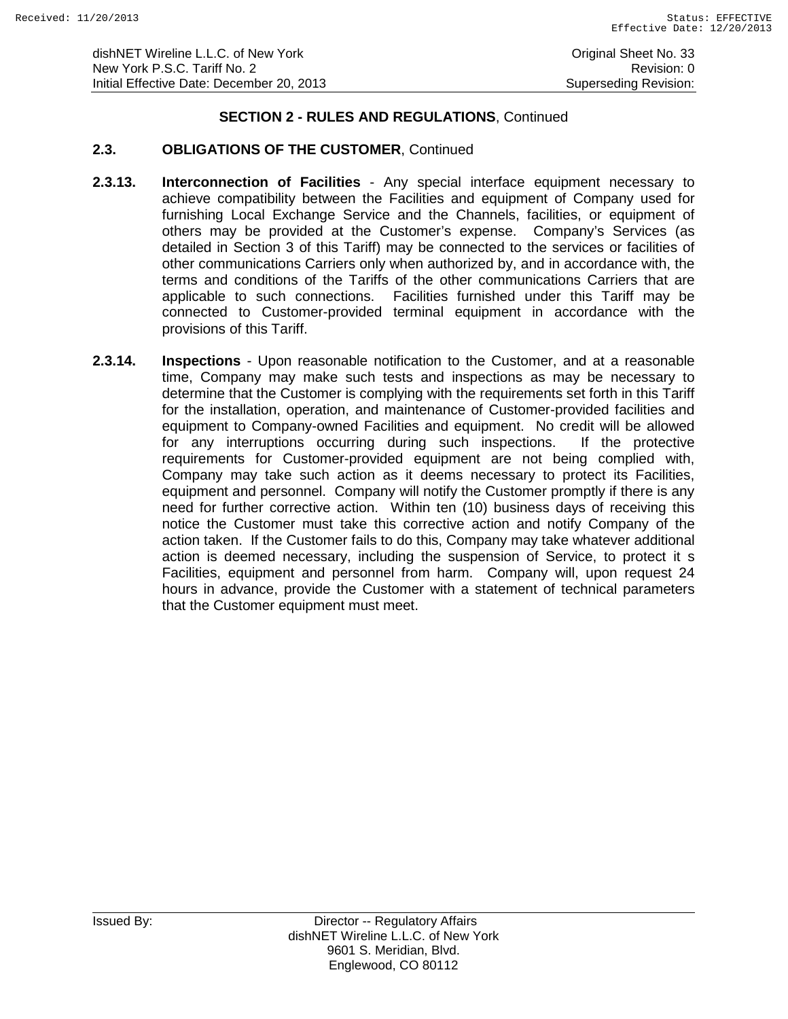# **2.3. OBLIGATIONS OF THE CUSTOMER**, Continued

- **2.3.13. Interconnection of Facilities** Any special interface equipment necessary to achieve compatibility between the Facilities and equipment of Company used for furnishing Local Exchange Service and the Channels, facilities, or equipment of others may be provided at the Customer's expense. Company's Services (as detailed in Section 3 of this Tariff) may be connected to the services or facilities of other communications Carriers only when authorized by, and in accordance with, the terms and conditions of the Tariffs of the other communications Carriers that are applicable to such connections. Facilities furnished under this Tariff may be connected to Customer-provided terminal equipment in accordance with the provisions of this Tariff.
- **2.3.14. Inspections** Upon reasonable notification to the Customer, and at a reasonable time, Company may make such tests and inspections as may be necessary to determine that the Customer is complying with the requirements set forth in this Tariff for the installation, operation, and maintenance of Customer-provided facilities and equipment to Company-owned Facilities and equipment. No credit will be allowed for any interruptions occurring during such inspections. If the protective requirements for Customer-provided equipment are not being complied with, Company may take such action as it deems necessary to protect its Facilities, equipment and personnel. Company will notify the Customer promptly if there is any need for further corrective action. Within ten (10) business days of receiving this notice the Customer must take this corrective action and notify Company of the action taken. If the Customer fails to do this, Company may take whatever additional action is deemed necessary, including the suspension of Service, to protect it s Facilities, equipment and personnel from harm. Company will, upon request 24 hours in advance, provide the Customer with a statement of technical parameters that the Customer equipment must meet.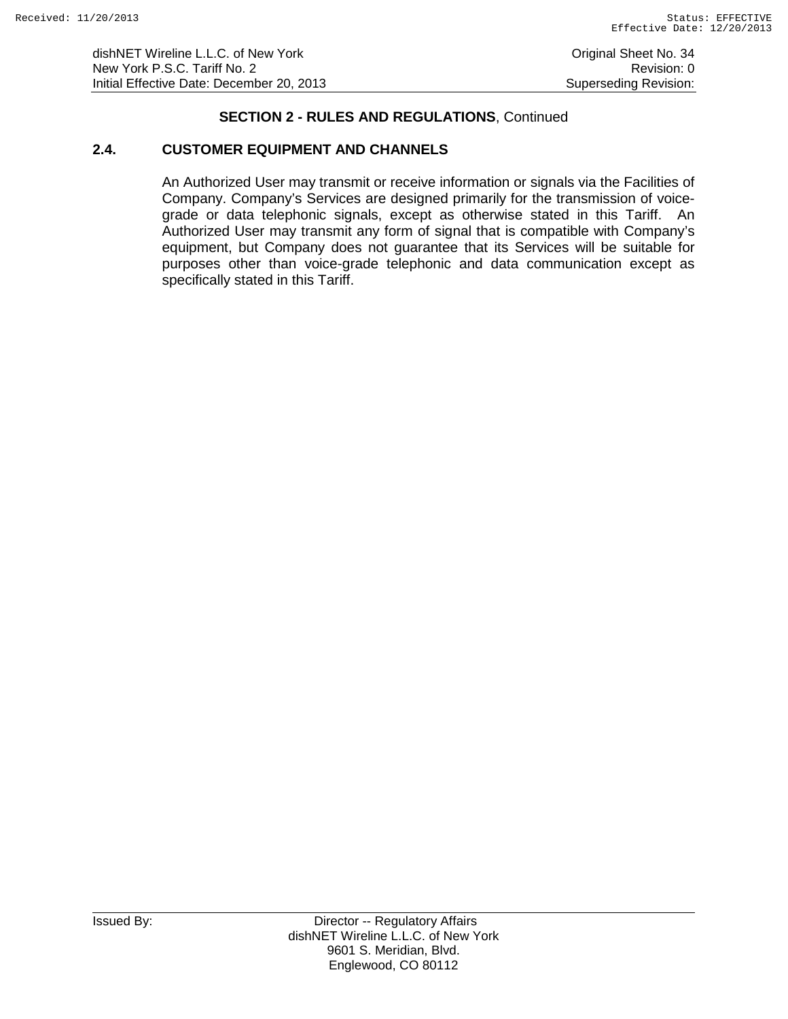dishNET Wireline L.L.C. of New York **Construction Construction Construction** Original Sheet No. 34 New York P.S.C. Tariff No. 2 **Review According to the COVID-Revision: 0** Revision: 0 Initial Effective Date: December 20, 2013 Superseding Revision:

### **SECTION 2 - RULES AND REGULATIONS**, Continued

### **2.4. CUSTOMER EQUIPMENT AND CHANNELS**

An Authorized User may transmit or receive information or signals via the Facilities of Company. Company's Services are designed primarily for the transmission of voicegrade or data telephonic signals, except as otherwise stated in this Tariff. An Authorized User may transmit any form of signal that is compatible with Company's equipment, but Company does not guarantee that its Services will be suitable for purposes other than voice-grade telephonic and data communication except as specifically stated in this Tariff.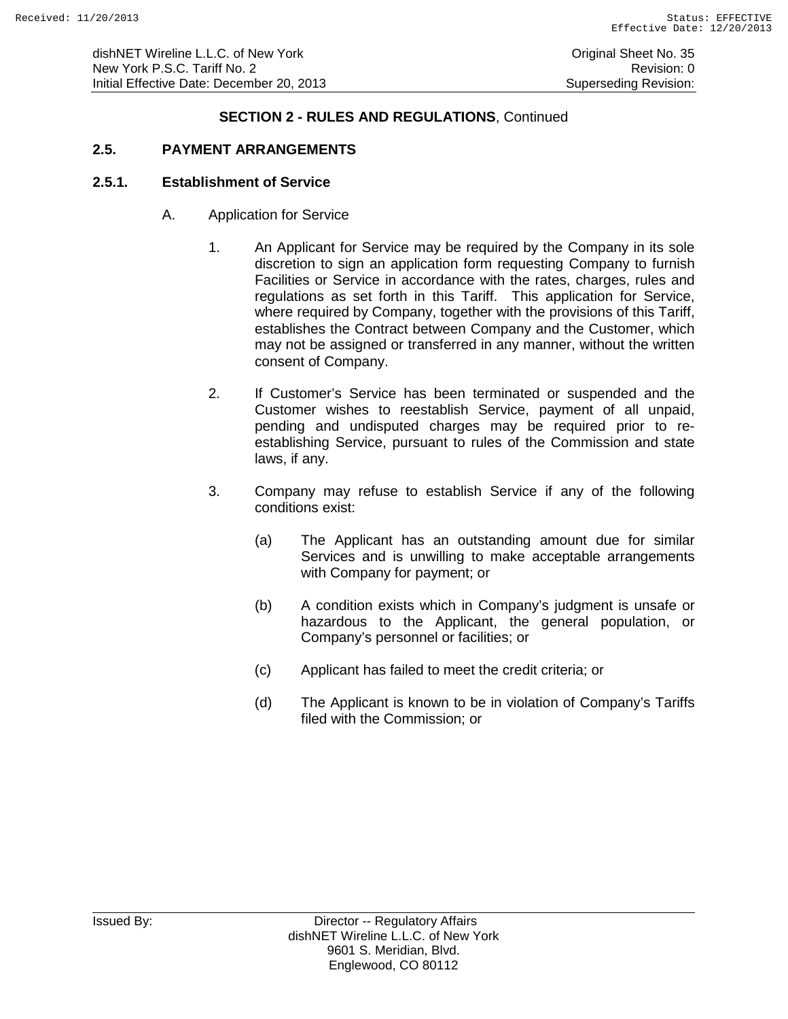dishNET Wireline L.L.C. of New York **Construction Construction Construction** Original Sheet No. 35 New York P.S.C. Tariff No. 2<br>
Initial Effective Date: December 20, 2013<br>
Superseding Revision: Initial Effective Date: December 20, 2013

### **SECTION 2 - RULES AND REGULATIONS**, Continued

# **2.5. PAYMENT ARRANGEMENTS**

#### **2.5.1. Establishment of Service**

- A. Application for Service
	- 1. An Applicant for Service may be required by the Company in its sole discretion to sign an application form requesting Company to furnish Facilities or Service in accordance with the rates, charges, rules and regulations as set forth in this Tariff. This application for Service, where required by Company, together with the provisions of this Tariff, establishes the Contract between Company and the Customer, which may not be assigned or transferred in any manner, without the written consent of Company.
	- 2. If Customer's Service has been terminated or suspended and the Customer wishes to reestablish Service, payment of all unpaid, pending and undisputed charges may be required prior to reestablishing Service, pursuant to rules of the Commission and state laws, if any.
	- 3. Company may refuse to establish Service if any of the following conditions exist:
		- (a) The Applicant has an outstanding amount due for similar Services and is unwilling to make acceptable arrangements with Company for payment; or
		- (b) A condition exists which in Company's judgment is unsafe or hazardous to the Applicant, the general population, or Company's personnel or facilities; or
		- (c) Applicant has failed to meet the credit criteria; or
		- (d) The Applicant is known to be in violation of Company's Tariffs filed with the Commission; or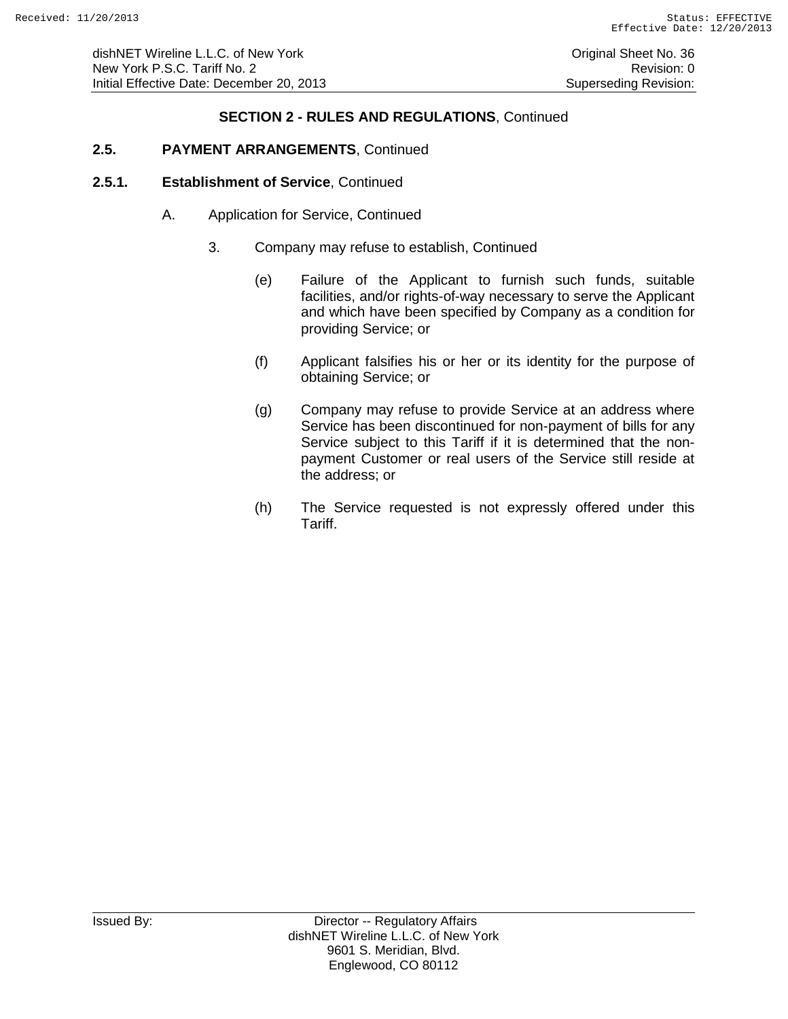# **2.5. PAYMENT ARRANGEMENTS**, Continued

#### **2.5.1. Establishment of Service**, Continued

- A. Application for Service, Continued
	- 3. Company may refuse to establish, Continued
		- (e) Failure of the Applicant to furnish such funds, suitable facilities, and/or rights-of-way necessary to serve the Applicant and which have been specified by Company as a condition for providing Service; or
		- (f) Applicant falsifies his or her or its identity for the purpose of obtaining Service; or
		- (g) Company may refuse to provide Service at an address where Service has been discontinued for non-payment of bills for any Service subject to this Tariff if it is determined that the nonpayment Customer or real users of the Service still reside at the address; or
		- (h) The Service requested is not expressly offered under this Tariff.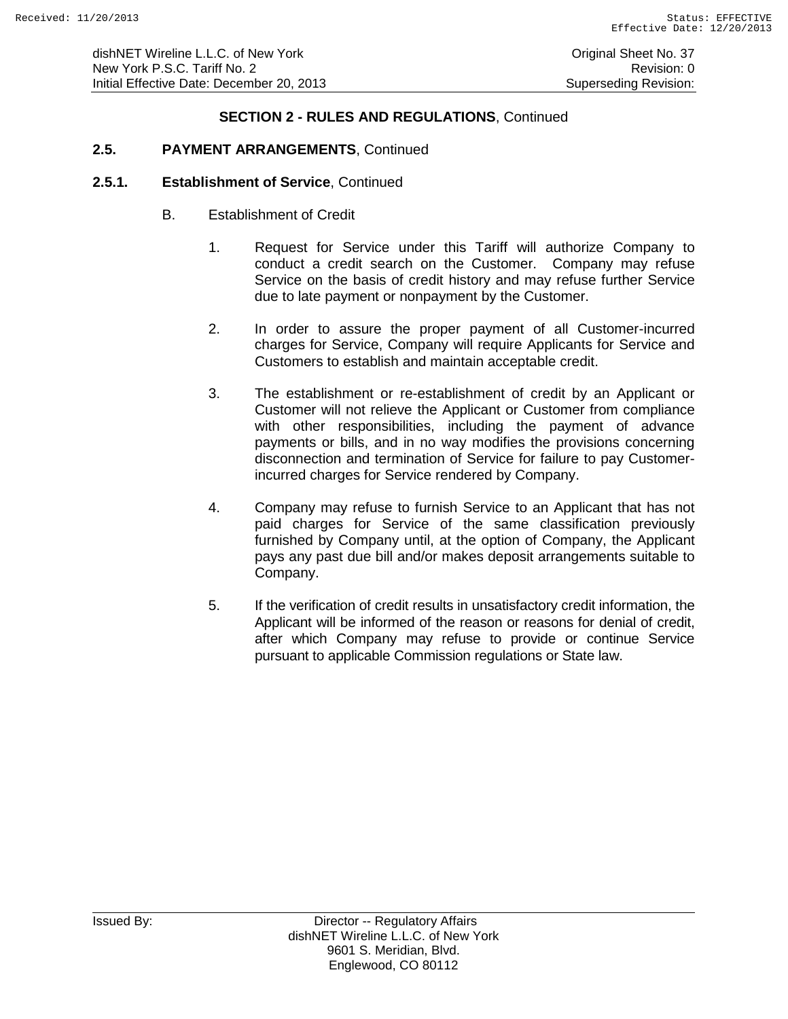dishNET Wireline L.L.C. of New York **Construction Construction Construction** Original Sheet No. 37 New York P.S.C. Tariff No. 2 **Review Accounts** 2 Revision: 0 Initial Effective Date: December 20, 2013 Superseding Revision:

# **SECTION 2 - RULES AND REGULATIONS**, Continued

# **2.5. PAYMENT ARRANGEMENTS**, Continued

#### **2.5.1. Establishment of Service**, Continued

- B. Establishment of Credit
	- 1. Request for Service under this Tariff will authorize Company to conduct a credit search on the Customer. Company may refuse Service on the basis of credit history and may refuse further Service due to late payment or nonpayment by the Customer.
	- 2. In order to assure the proper payment of all Customer-incurred charges for Service, Company will require Applicants for Service and Customers to establish and maintain acceptable credit.
	- 3. The establishment or re-establishment of credit by an Applicant or Customer will not relieve the Applicant or Customer from compliance with other responsibilities, including the payment of advance payments or bills, and in no way modifies the provisions concerning disconnection and termination of Service for failure to pay Customerincurred charges for Service rendered by Company.
	- 4. Company may refuse to furnish Service to an Applicant that has not paid charges for Service of the same classification previously furnished by Company until, at the option of Company, the Applicant pays any past due bill and/or makes deposit arrangements suitable to Company.
	- 5. If the verification of credit results in unsatisfactory credit information, the Applicant will be informed of the reason or reasons for denial of credit, after which Company may refuse to provide or continue Service pursuant to applicable Commission regulations or State law.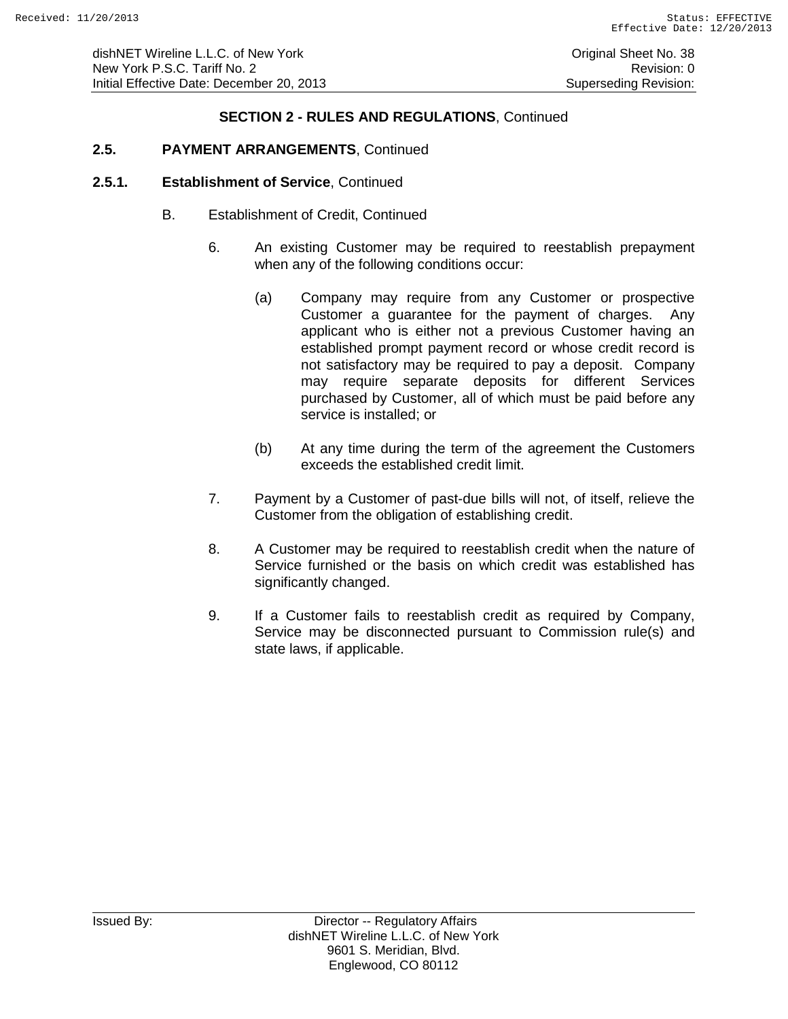# **2.5. PAYMENT ARRANGEMENTS**, Continued

#### **2.5.1. Establishment of Service**, Continued

- B. Establishment of Credit, Continued
	- 6. An existing Customer may be required to reestablish prepayment when any of the following conditions occur:
		- (a) Company may require from any Customer or prospective Customer a guarantee for the payment of charges. Any applicant who is either not a previous Customer having an established prompt payment record or whose credit record is not satisfactory may be required to pay a deposit. Company may require separate deposits for different Services purchased by Customer, all of which must be paid before any service is installed; or
		- (b) At any time during the term of the agreement the Customers exceeds the established credit limit.
	- 7. Payment by a Customer of past-due bills will not, of itself, relieve the Customer from the obligation of establishing credit.
	- 8. A Customer may be required to reestablish credit when the nature of Service furnished or the basis on which credit was established has significantly changed.
	- 9. If a Customer fails to reestablish credit as required by Company, Service may be disconnected pursuant to Commission rule(s) and state laws, if applicable.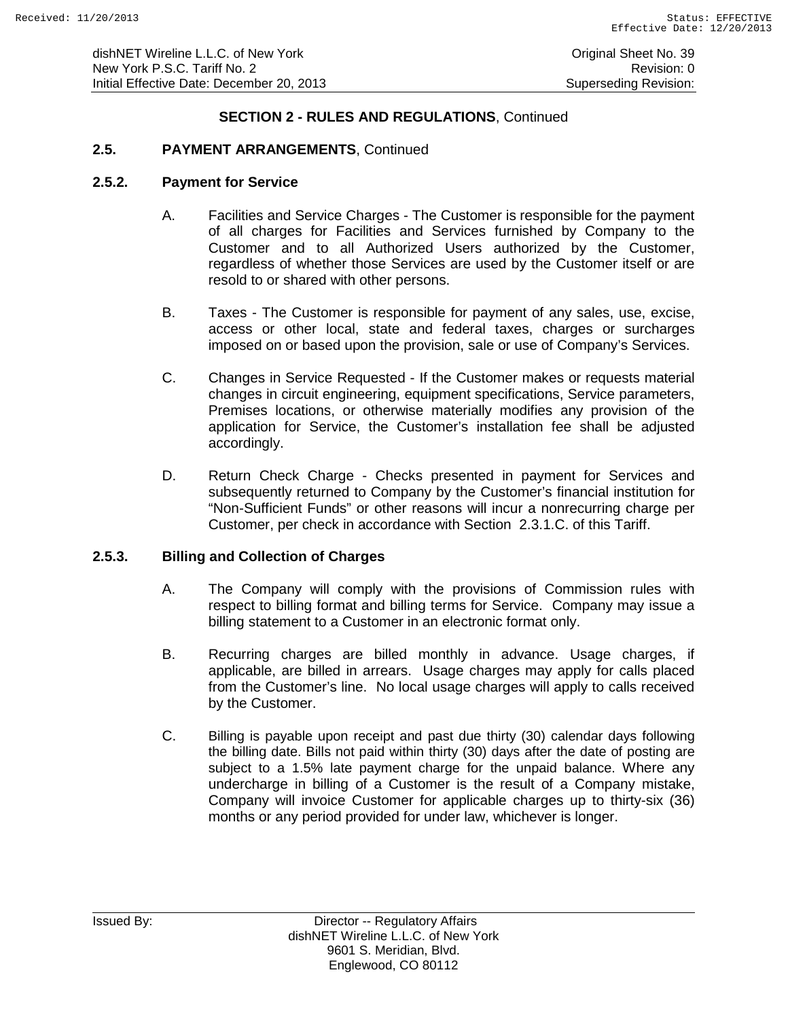### **2.5. PAYMENT ARRANGEMENTS**, Continued

#### **2.5.2. Payment for Service**

- A. Facilities and Service Charges The Customer is responsible for the payment of all charges for Facilities and Services furnished by Company to the Customer and to all Authorized Users authorized by the Customer, regardless of whether those Services are used by the Customer itself or are resold to or shared with other persons.
- B. Taxes The Customer is responsible for payment of any sales, use, excise, access or other local, state and federal taxes, charges or surcharges imposed on or based upon the provision, sale or use of Company's Services.
- C. Changes in Service Requested If the Customer makes or requests material changes in circuit engineering, equipment specifications, Service parameters, Premises locations, or otherwise materially modifies any provision of the application for Service, the Customer's installation fee shall be adjusted accordingly.
- D. Return Check Charge Checks presented in payment for Services and subsequently returned to Company by the Customer's financial institution for "Non-Sufficient Funds" or other reasons will incur a nonrecurring charge per Customer, per check in accordance with Section 2.3.1.C. of this Tariff.

#### **2.5.3. Billing and Collection of Charges**

- A. The Company will comply with the provisions of Commission rules with respect to billing format and billing terms for Service. Company may issue a billing statement to a Customer in an electronic format only.
- B. Recurring charges are billed monthly in advance. Usage charges, if applicable, are billed in arrears. Usage charges may apply for calls placed from the Customer's line. No local usage charges will apply to calls received by the Customer.
- C. Billing is payable upon receipt and past due thirty (30) calendar days following the billing date. Bills not paid within thirty (30) days after the date of posting are subject to a 1.5% late payment charge for the unpaid balance. Where any undercharge in billing of a Customer is the result of a Company mistake, Company will invoice Customer for applicable charges up to thirty-six (36) months or any period provided for under law, whichever is longer.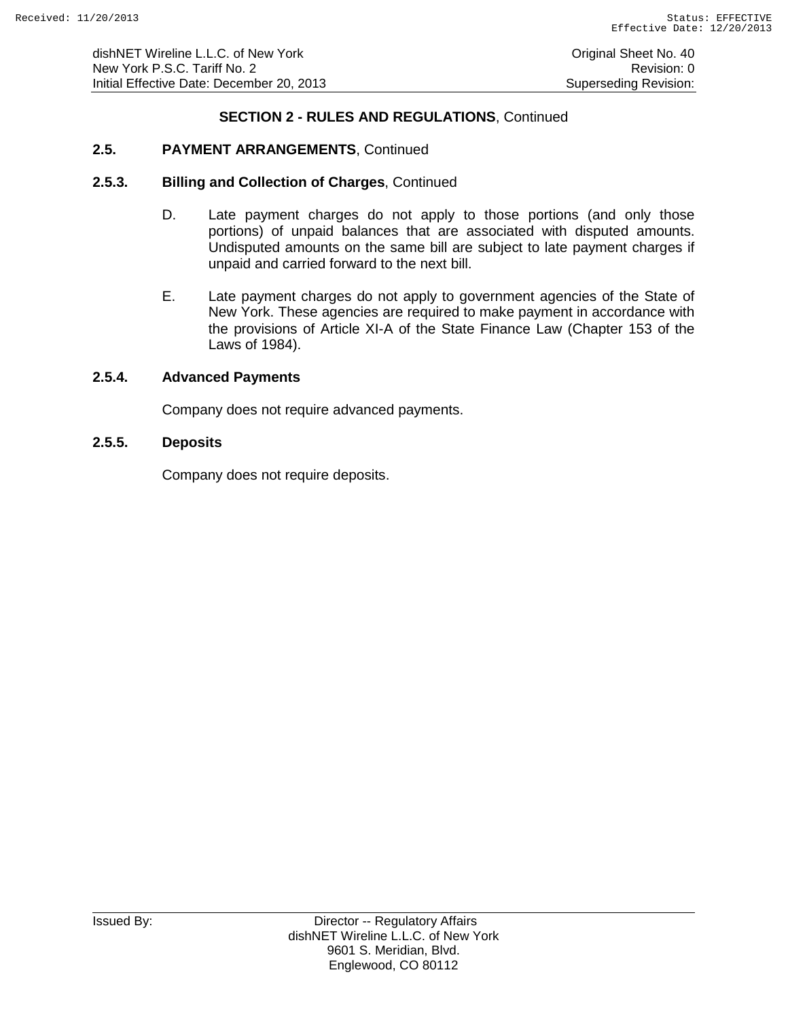# **2.5. PAYMENT ARRANGEMENTS**, Continued

#### **2.5.3. Billing and Collection of Charges**, Continued

- D. Late payment charges do not apply to those portions (and only those portions) of unpaid balances that are associated with disputed amounts. Undisputed amounts on the same bill are subject to late payment charges if unpaid and carried forward to the next bill.
- E. Late payment charges do not apply to government agencies of the State of New York. These agencies are required to make payment in accordance with the provisions of Article XI-A of the State Finance Law (Chapter 153 of the Laws of 1984).

### **2.5.4. Advanced Payments**

Company does not require advanced payments.

#### **2.5.5. Deposits**

Company does not require deposits.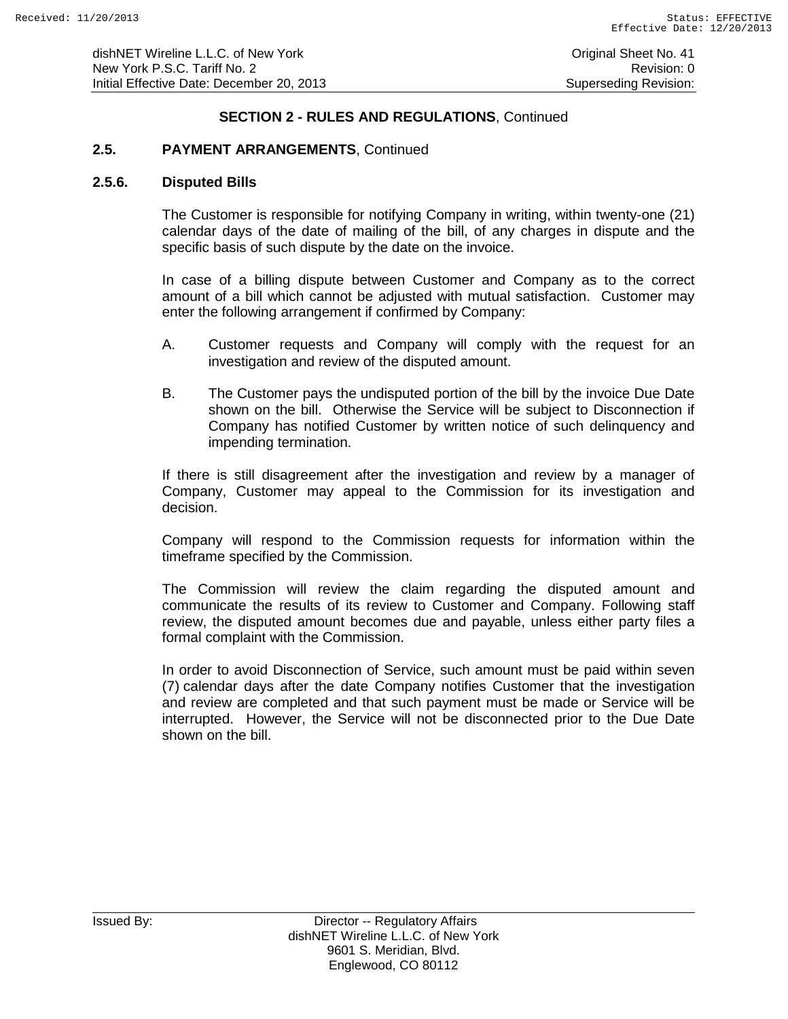# **2.5. PAYMENT ARRANGEMENTS**, Continued

#### **2.5.6. Disputed Bills**

The Customer is responsible for notifying Company in writing, within twenty-one (21) calendar days of the date of mailing of the bill, of any charges in dispute and the specific basis of such dispute by the date on the invoice.

In case of a billing dispute between Customer and Company as to the correct amount of a bill which cannot be adjusted with mutual satisfaction. Customer may enter the following arrangement if confirmed by Company:

- A. Customer requests and Company will comply with the request for an investigation and review of the disputed amount.
- B. The Customer pays the undisputed portion of the bill by the invoice Due Date shown on the bill. Otherwise the Service will be subject to Disconnection if Company has notified Customer by written notice of such delinquency and impending termination.

If there is still disagreement after the investigation and review by a manager of Company, Customer may appeal to the Commission for its investigation and decision.

Company will respond to the Commission requests for information within the timeframe specified by the Commission.

The Commission will review the claim regarding the disputed amount and communicate the results of its review to Customer and Company. Following staff review, the disputed amount becomes due and payable, unless either party files a formal complaint with the Commission.

In order to avoid Disconnection of Service, such amount must be paid within seven (7) calendar days after the date Company notifies Customer that the investigation and review are completed and that such payment must be made or Service will be interrupted. However, the Service will not be disconnected prior to the Due Date shown on the bill.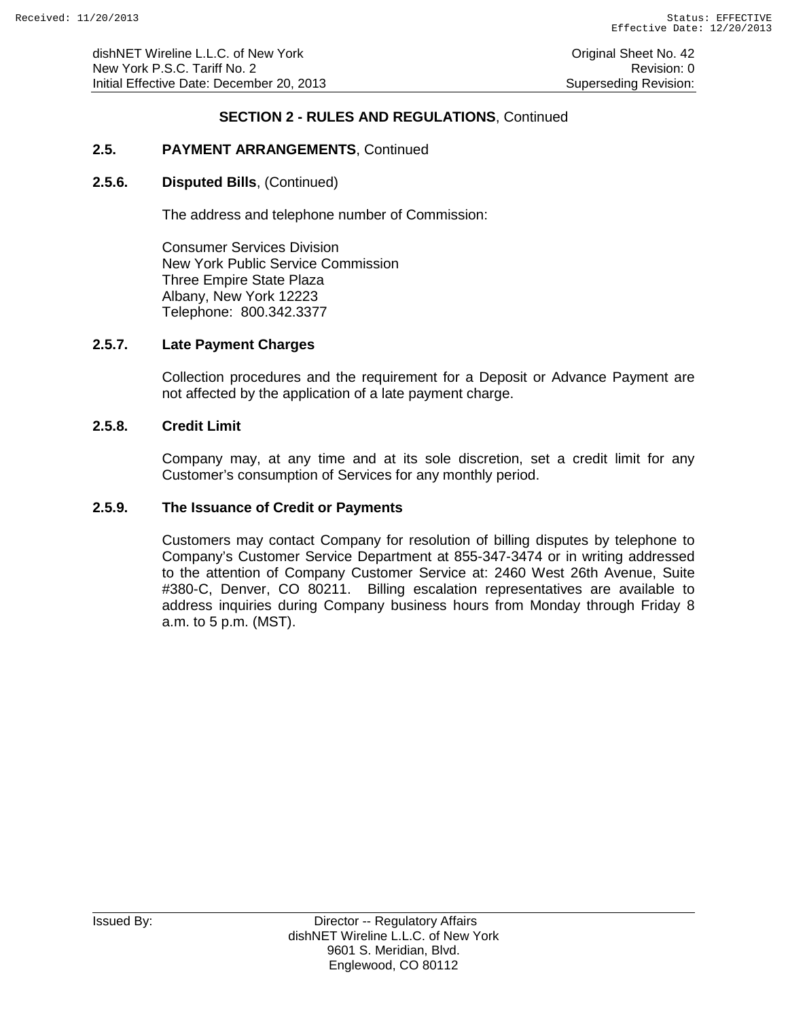dishNET Wireline L.L.C. of New York **Construction Construction Construction** Original Sheet No. 42 New York P.S.C. Tariff No. 2 **Review According to the COVID-Revision: 0** Revision: 0 Initial Effective Date: December 20, 2013 Superseding Revision:

### **SECTION 2 - RULES AND REGULATIONS**, Continued

# **2.5. PAYMENT ARRANGEMENTS**, Continued

#### **2.5.6. Disputed Bills**, (Continued)

The address and telephone number of Commission:

Consumer Services Division New York Public Service Commission Three Empire State Plaza Albany, New York 12223 Telephone: 800.342.3377

#### **2.5.7. Late Payment Charges**

Collection procedures and the requirement for a Deposit or Advance Payment are not affected by the application of a late payment charge.

#### **2.5.8. Credit Limit**

Company may, at any time and at its sole discretion, set a credit limit for any Customer's consumption of Services for any monthly period.

#### **2.5.9. The Issuance of Credit or Payments**

Customers may contact Company for resolution of billing disputes by telephone to Company's Customer Service Department at 855-347-3474 or in writing addressed to the attention of Company Customer Service at: 2460 West 26th Avenue, Suite #380-C, Denver, CO 80211. Billing escalation representatives are available to address inquiries during Company business hours from Monday through Friday 8 a.m. to 5 p.m. (MST).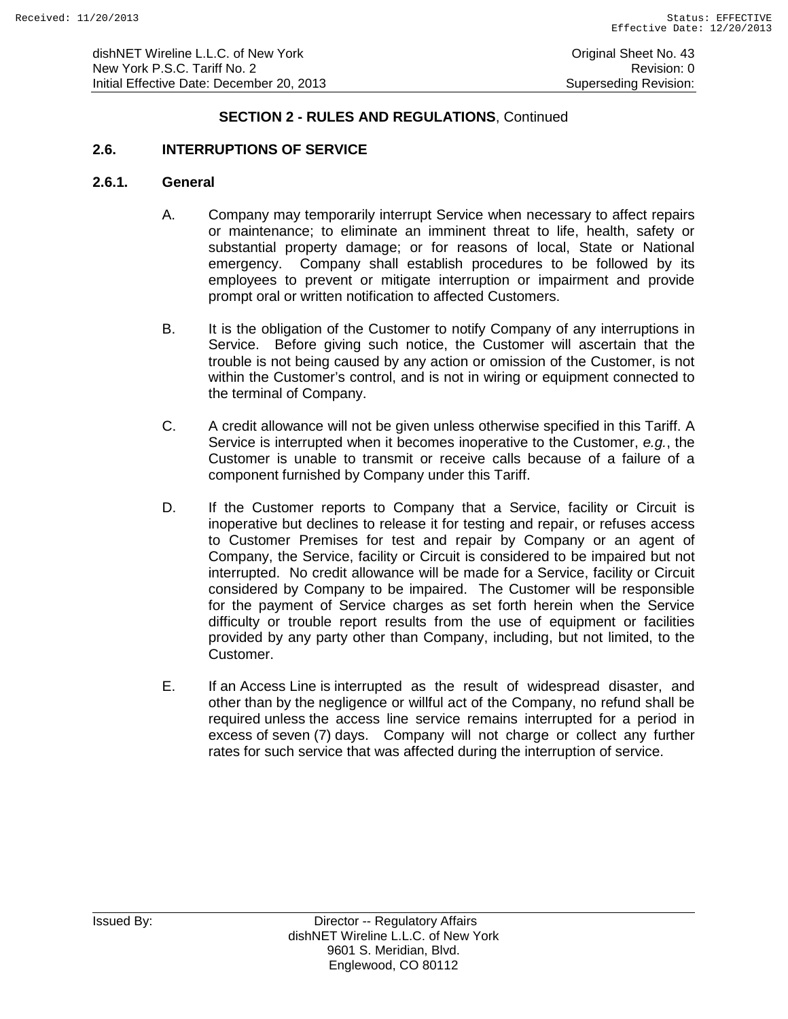# **2.6. INTERRUPTIONS OF SERVICE**

#### **2.6.1. General**

- A. Company may temporarily interrupt Service when necessary to affect repairs or maintenance; to eliminate an imminent threat to life, health, safety or substantial property damage; or for reasons of local, State or National emergency. Company shall establish procedures to be followed by its employees to prevent or mitigate interruption or impairment and provide prompt oral or written notification to affected Customers.
- B. It is the obligation of the Customer to notify Company of any interruptions in Service. Before giving such notice, the Customer will ascertain that the trouble is not being caused by any action or omission of the Customer, is not within the Customer's control, and is not in wiring or equipment connected to the terminal of Company.
- C. A credit allowance will not be given unless otherwise specified in this Tariff. A Service is interrupted when it becomes inoperative to the Customer, *e.g.*, the Customer is unable to transmit or receive calls because of a failure of a component furnished by Company under this Tariff.
- D. If the Customer reports to Company that a Service, facility or Circuit is inoperative but declines to release it for testing and repair, or refuses access to Customer Premises for test and repair by Company or an agent of Company, the Service, facility or Circuit is considered to be impaired but not interrupted. No credit allowance will be made for a Service, facility or Circuit considered by Company to be impaired. The Customer will be responsible for the payment of Service charges as set forth herein when the Service difficulty or trouble report results from the use of equipment or facilities provided by any party other than Company, including, but not limited, to the Customer.
- E. If an Access Line is interrupted as the result of widespread disaster, and other than by the negligence or willful act of the Company, no refund shall be required unless the access line service remains interrupted for a period in excess of seven (7) days. Company will not charge or collect any further rates for such service that was affected during the interruption of service.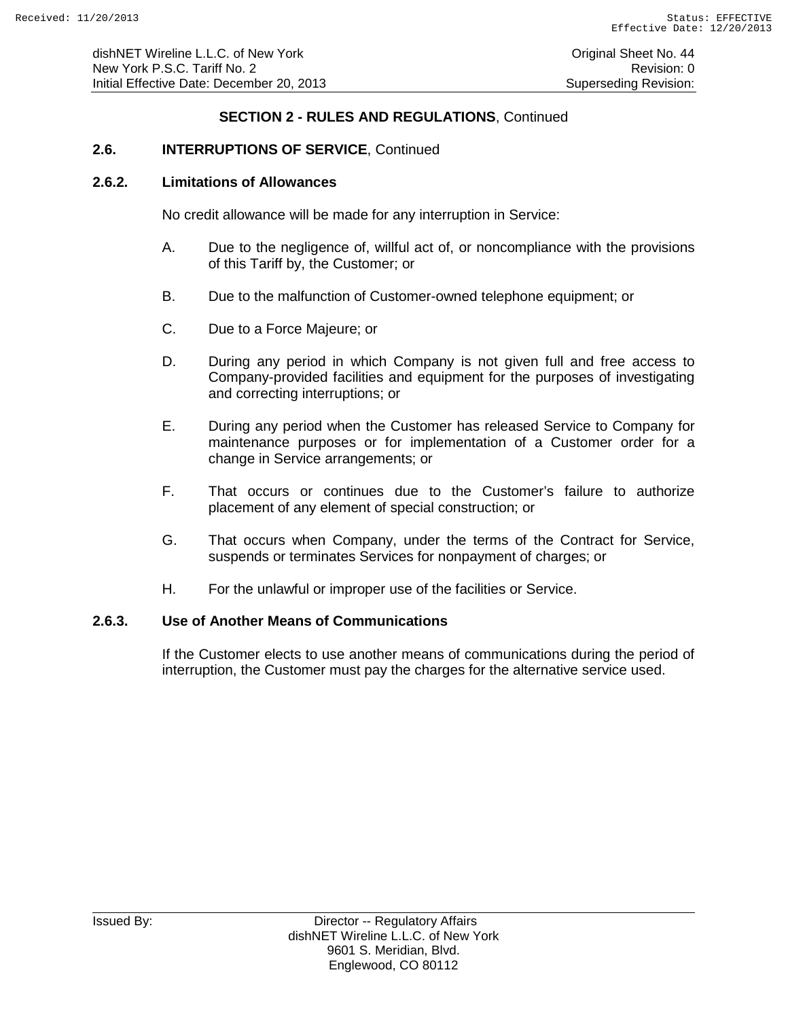# **2.6. INTERRUPTIONS OF SERVICE**, Continued

#### **2.6.2. Limitations of Allowances**

No credit allowance will be made for any interruption in Service:

- A. Due to the negligence of, willful act of, or noncompliance with the provisions of this Tariff by, the Customer; or
- B. Due to the malfunction of Customer-owned telephone equipment; or
- C. Due to a Force Majeure; or
- D. During any period in which Company is not given full and free access to Company-provided facilities and equipment for the purposes of investigating and correcting interruptions; or
- E. During any period when the Customer has released Service to Company for maintenance purposes or for implementation of a Customer order for a change in Service arrangements; or
- F. That occurs or continues due to the Customer's failure to authorize placement of any element of special construction; or
- G. That occurs when Company, under the terms of the Contract for Service, suspends or terminates Services for nonpayment of charges; or
- H. For the unlawful or improper use of the facilities or Service.

#### **2.6.3. Use of Another Means of Communications**

If the Customer elects to use another means of communications during the period of interruption, the Customer must pay the charges for the alternative service used.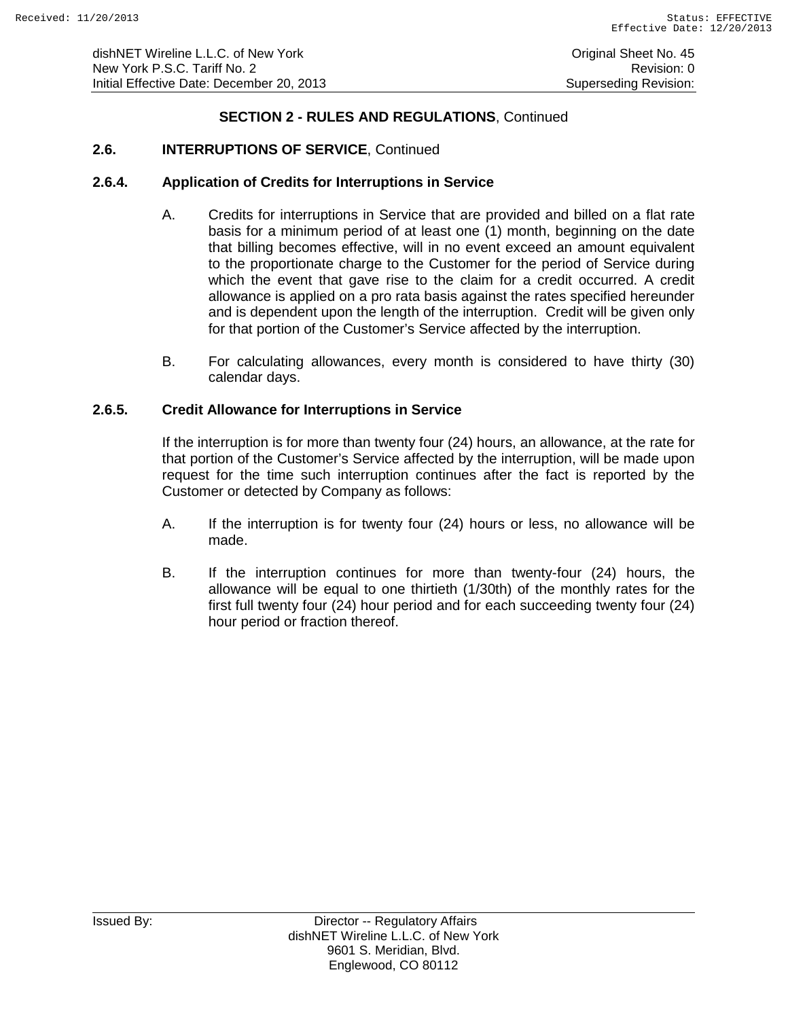## **2.6. INTERRUPTIONS OF SERVICE**, Continued

#### **2.6.4. Application of Credits for Interruptions in Service**

- A. Credits for interruptions in Service that are provided and billed on a flat rate basis for a minimum period of at least one (1) month, beginning on the date that billing becomes effective, will in no event exceed an amount equivalent to the proportionate charge to the Customer for the period of Service during which the event that gave rise to the claim for a credit occurred. A credit allowance is applied on a pro rata basis against the rates specified hereunder and is dependent upon the length of the interruption. Credit will be given only for that portion of the Customer's Service affected by the interruption.
- B. For calculating allowances, every month is considered to have thirty (30) calendar days.

### **2.6.5. Credit Allowance for Interruptions in Service**

If the interruption is for more than twenty four (24) hours, an allowance, at the rate for that portion of the Customer's Service affected by the interruption, will be made upon request for the time such interruption continues after the fact is reported by the Customer or detected by Company as follows:

- A. If the interruption is for twenty four (24) hours or less, no allowance will be made.
- B. If the interruption continues for more than twenty-four (24) hours, the allowance will be equal to one thirtieth (1/30th) of the monthly rates for the first full twenty four (24) hour period and for each succeeding twenty four (24) hour period or fraction thereof.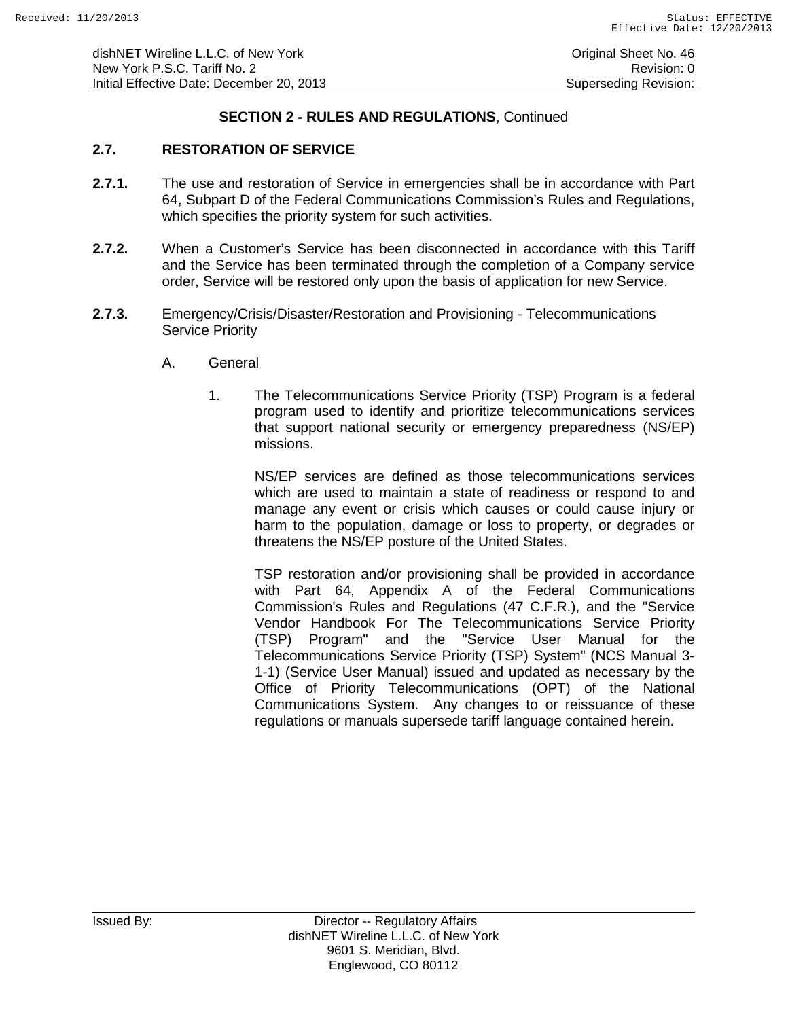# **2.7. RESTORATION OF SERVICE**

- **2.7.1.** The use and restoration of Service in emergencies shall be in accordance with Part 64, Subpart D of the Federal Communications Commission's Rules and Regulations, which specifies the priority system for such activities.
- **2.7.2.** When a Customer's Service has been disconnected in accordance with this Tariff and the Service has been terminated through the completion of a Company service order, Service will be restored only upon the basis of application for new Service.
- **2.7.3.** Emergency/Crisis/Disaster/Restoration and Provisioning Telecommunications Service Priority
	- A. General
		- 1. The Telecommunications Service Priority (TSP) Program is a federal program used to identify and prioritize telecommunications services that support national security or emergency preparedness (NS/EP) missions.

NS/EP services are defined as those telecommunications services which are used to maintain a state of readiness or respond to and manage any event or crisis which causes or could cause injury or harm to the population, damage or loss to property, or degrades or threatens the NS/EP posture of the United States.

TSP restoration and/or provisioning shall be provided in accordance with Part 64, Appendix A of the Federal Communications Commission's Rules and Regulations (47 C.F.R.), and the "Service Vendor Handbook For The Telecommunications Service Priority (TSP) Program" and the "Service User Manual for the Telecommunications Service Priority (TSP) System" (NCS Manual 3- 1-1) (Service User Manual) issued and updated as necessary by the Office of Priority Telecommunications (OPT) of the National Communications System. Any changes to or reissuance of these regulations or manuals supersede tariff language contained herein.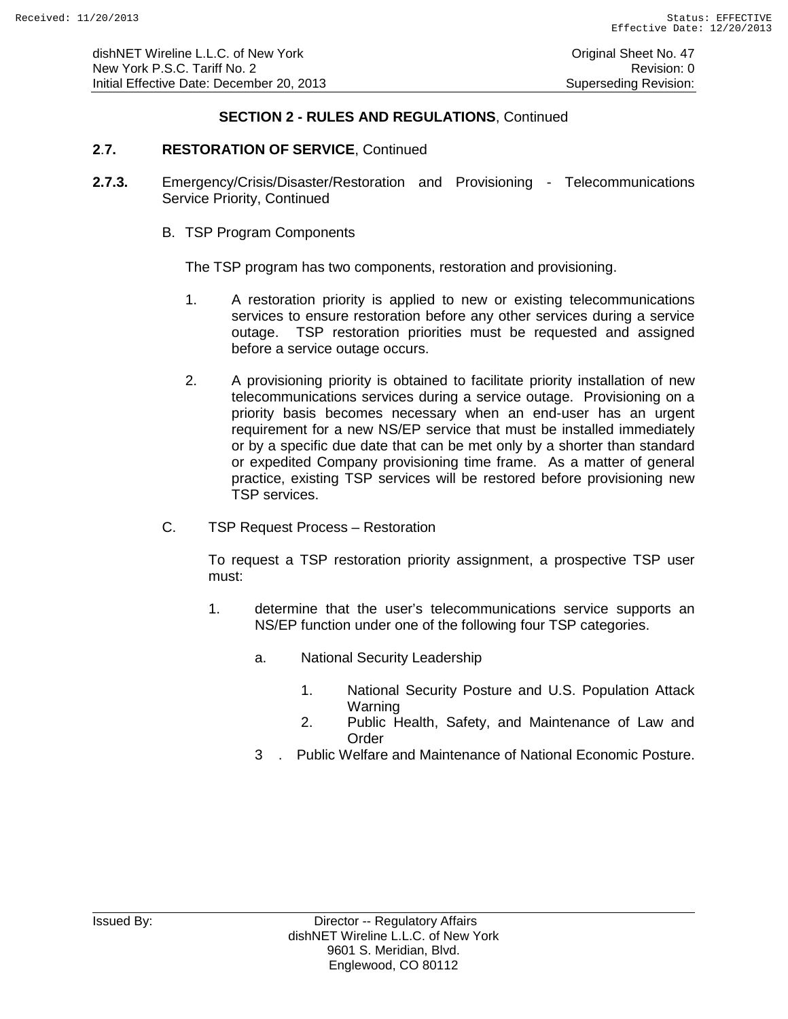### **2**.**7. RESTORATION OF SERVICE**, Continued

- **2.7.3.** Emergency/Crisis/Disaster/Restoration and Provisioning Telecommunications Service Priority, Continued
	- B. TSP Program Components

The TSP program has two components, restoration and provisioning.

- 1. A restoration priority is applied to new or existing telecommunications services to ensure restoration before any other services during a service outage. TSP restoration priorities must be requested and assigned before a service outage occurs.
- 2. A provisioning priority is obtained to facilitate priority installation of new telecommunications services during a service outage. Provisioning on a priority basis becomes necessary when an end-user has an urgent requirement for a new NS/EP service that must be installed immediately or by a specific due date that can be met only by a shorter than standard or expedited Company provisioning time frame. As a matter of general practice, existing TSP services will be restored before provisioning new TSP services.
- C. TSP Request Process Restoration

To request a TSP restoration priority assignment, a prospective TSP user must:

- 1. determine that the user's telecommunications service supports an NS/EP function under one of the following four TSP categories.
	- a. National Security Leadership
		- 1. National Security Posture and U.S. Population Attack Warning
		- 2. Public Health, Safety, and Maintenance of Law and **Order**
	- 3 . Public Welfare and Maintenance of National Economic Posture.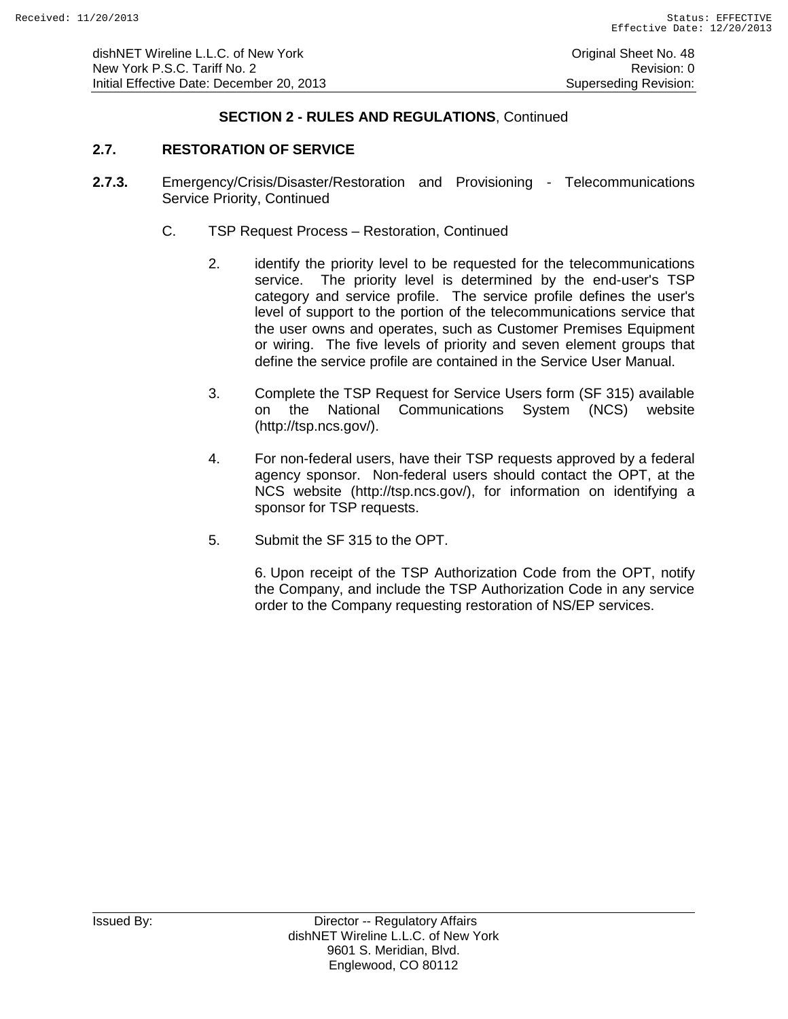### **2.7. RESTORATION OF SERVICE**

- **2.7.3.** Emergency/Crisis/Disaster/Restoration and Provisioning Telecommunications Service Priority, Continued
	- C. TSP Request Process Restoration, Continued
		- 2. identify the priority level to be requested for the telecommunications service. The priority level is determined by the end-user's TSP category and service profile. The service profile defines the user's level of support to the portion of the telecommunications service that the user owns and operates, such as Customer Premises Equipment or wiring. The five levels of priority and seven element groups that define the service profile are contained in the Service User Manual.
		- 3. Complete the TSP Request for Service Users form (SF 315) available on the National Communications System (NCS) website (http://tsp.ncs.gov/).
		- 4. For non-federal users, have their TSP requests approved by a federal agency sponsor. Non-federal users should contact the OPT, at the NCS website (http://tsp.ncs.gov/), for information on identifying a sponsor for TSP requests.
		- 5. Submit the SF 315 to the OPT.

6. Upon receipt of the TSP Authorization Code from the OPT, notify the Company, and include the TSP Authorization Code in any service order to the Company requesting restoration of NS/EP services.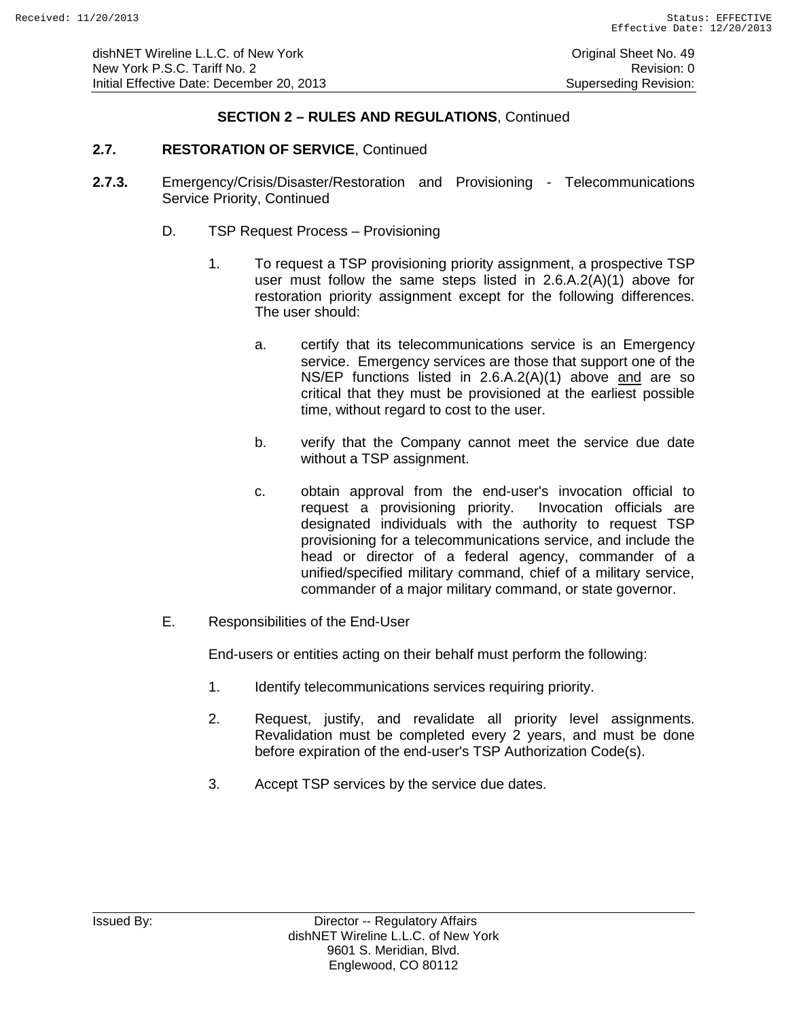# **2.7. RESTORATION OF SERVICE**, Continued

- **2.7.3.** Emergency/Crisis/Disaster/Restoration and Provisioning Telecommunications Service Priority, Continued
	- D. TSP Request Process Provisioning
		- 1. To request a TSP provisioning priority assignment, a prospective TSP user must follow the same steps listed in 2.6.A.2(A)(1) above for restoration priority assignment except for the following differences. The user should:
			- a. certify that its telecommunications service is an Emergency service. Emergency services are those that support one of the NS/EP functions listed in 2.6.A.2(A)(1) above and are so critical that they must be provisioned at the earliest possible time, without regard to cost to the user.
			- b. verify that the Company cannot meet the service due date without a TSP assignment.
			- c. obtain approval from the end-user's invocation official to request a provisioning priority. Invocation officials are designated individuals with the authority to request TSP provisioning for a telecommunications service, and include the head or director of a federal agency, commander of a unified/specified military command, chief of a military service, commander of a major military command, or state governor.
	- E. Responsibilities of the End-User

End-users or entities acting on their behalf must perform the following:

- 1. Identify telecommunications services requiring priority.
- 2. Request, justify, and revalidate all priority level assignments. Revalidation must be completed every 2 years, and must be done before expiration of the end-user's TSP Authorization Code(s).
- 3. Accept TSP services by the service due dates.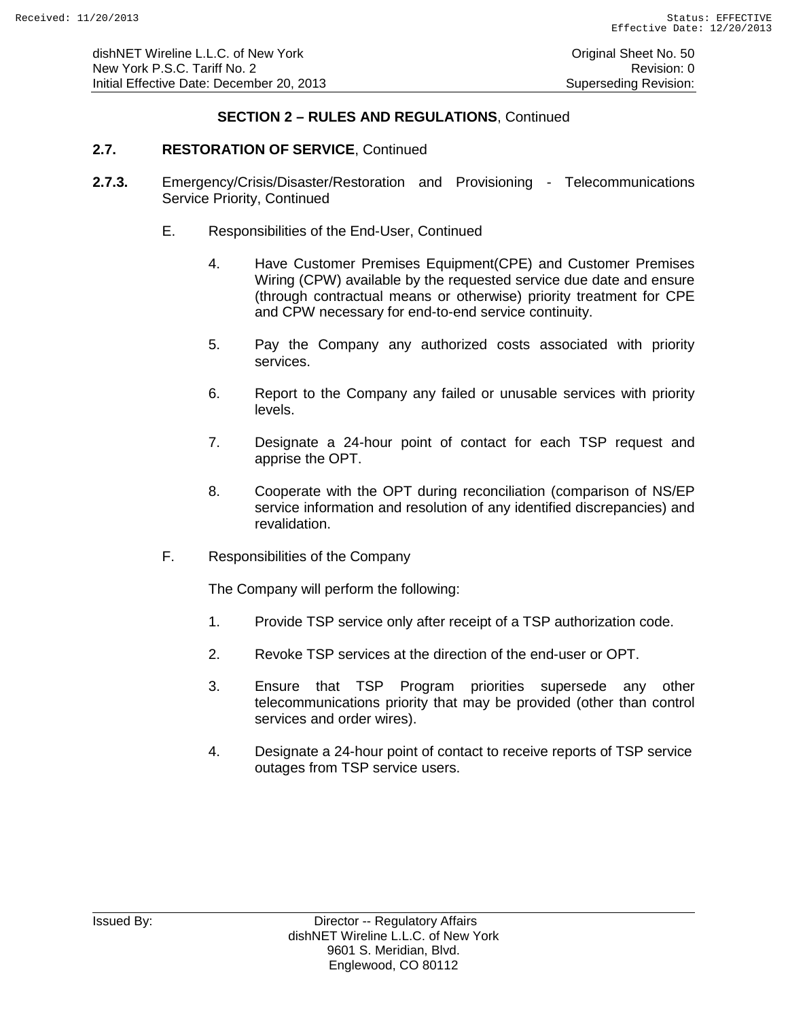### **2.7. RESTORATION OF SERVICE**, Continued

- **2.7.3.** Emergency/Crisis/Disaster/Restoration and Provisioning Telecommunications Service Priority, Continued
	- E. Responsibilities of the End-User, Continued
		- 4. Have Customer Premises Equipment(CPE) and Customer Premises Wiring (CPW) available by the requested service due date and ensure (through contractual means or otherwise) priority treatment for CPE and CPW necessary for end-to-end service continuity.
		- 5. Pay the Company any authorized costs associated with priority services.
		- 6. Report to the Company any failed or unusable services with priority levels.
		- 7. Designate a 24-hour point of contact for each TSP request and apprise the OPT.
		- 8. Cooperate with the OPT during reconciliation (comparison of NS/EP service information and resolution of any identified discrepancies) and revalidation.
	- F. Responsibilities of the Company

The Company will perform the following:

- 1. Provide TSP service only after receipt of a TSP authorization code.
- 2. Revoke TSP services at the direction of the end-user or OPT.
- 3. Ensure that TSP Program priorities supersede any other telecommunications priority that may be provided (other than control services and order wires).
- 4. Designate a 24-hour point of contact to receive reports of TSP service outages from TSP service users.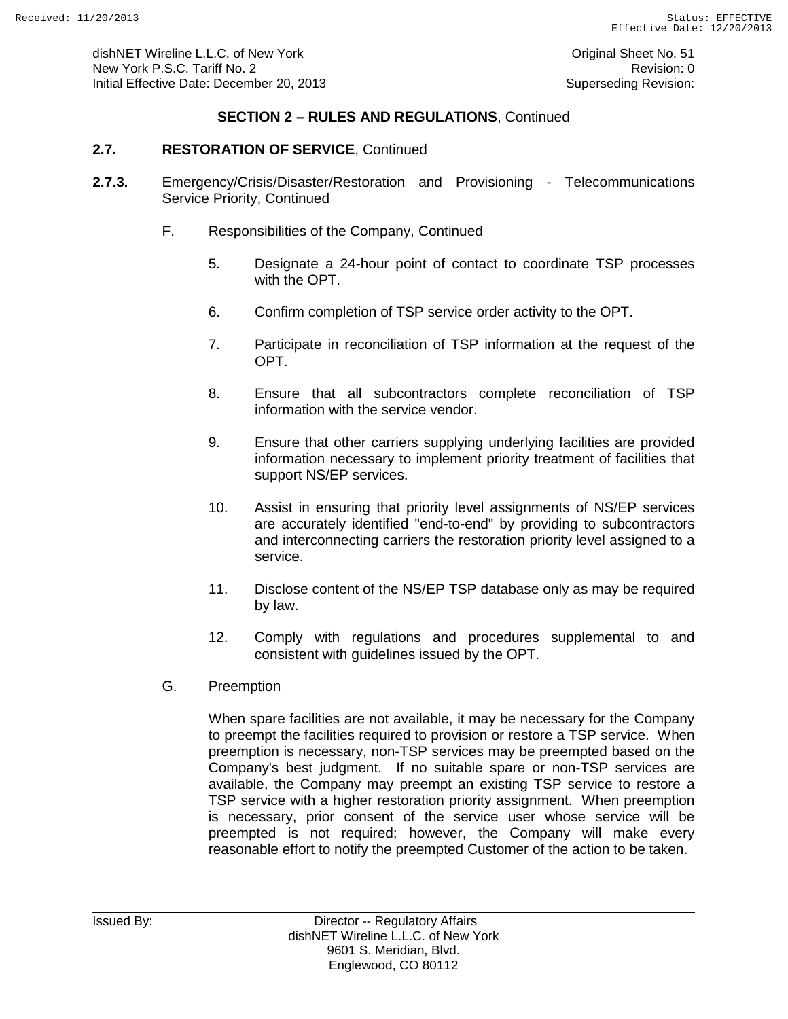### **2.7. RESTORATION OF SERVICE**, Continued

- **2.7.3.** Emergency/Crisis/Disaster/Restoration and Provisioning Telecommunications Service Priority, Continued
	- F. Responsibilities of the Company, Continued
		- 5. Designate a 24-hour point of contact to coordinate TSP processes with the OPT.
		- 6. Confirm completion of TSP service order activity to the OPT.
		- 7. Participate in reconciliation of TSP information at the request of the OPT.
		- 8. Ensure that all subcontractors complete reconciliation of TSP information with the service vendor.
		- 9. Ensure that other carriers supplying underlying facilities are provided information necessary to implement priority treatment of facilities that support NS/EP services.
		- 10. Assist in ensuring that priority level assignments of NS/EP services are accurately identified "end-to-end" by providing to subcontractors and interconnecting carriers the restoration priority level assigned to a service.
		- 11. Disclose content of the NS/EP TSP database only as may be required by law.
		- 12. Comply with regulations and procedures supplemental to and consistent with guidelines issued by the OPT.
	- G. Preemption

When spare facilities are not available, it may be necessary for the Company to preempt the facilities required to provision or restore a TSP service. When preemption is necessary, non-TSP services may be preempted based on the Company's best judgment. If no suitable spare or non-TSP services are available, the Company may preempt an existing TSP service to restore a TSP service with a higher restoration priority assignment. When preemption is necessary, prior consent of the service user whose service will be preempted is not required; however, the Company will make every reasonable effort to notify the preempted Customer of the action to be taken.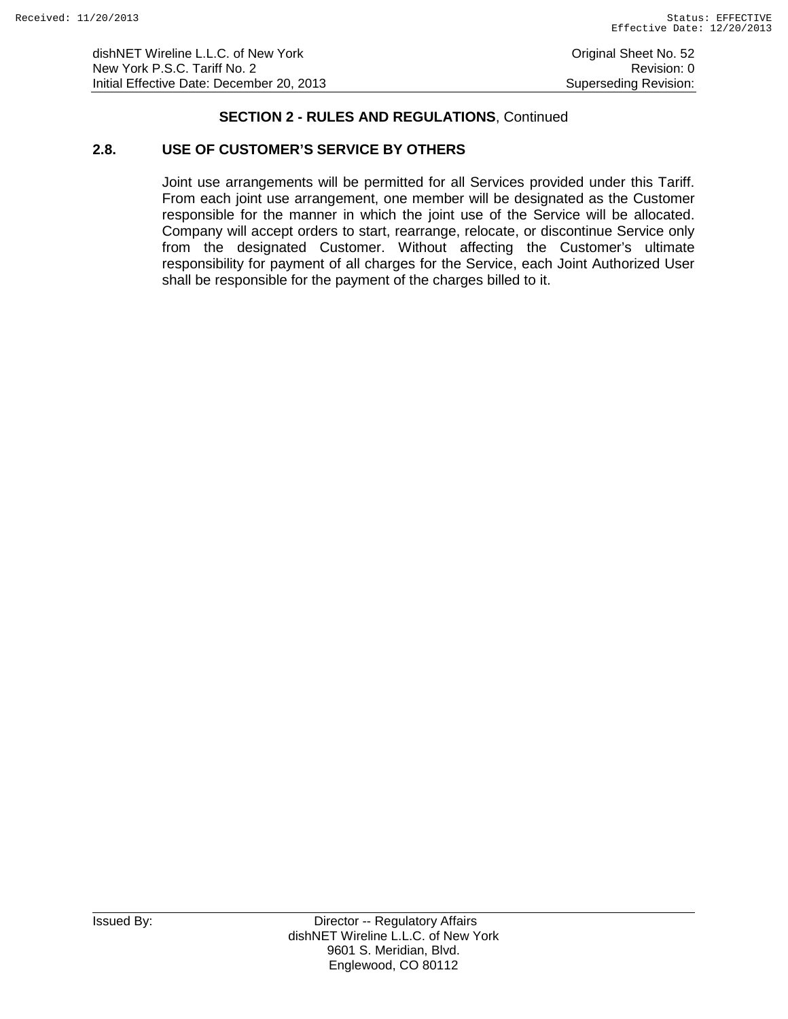dishNET Wireline L.L.C. of New York **Consumers and Consumers Consumers Consumers** Original Sheet No. 52 New York P.S.C. Tariff No. 2 **Review According to the COVID-Revision: 0** Revision: 0 Initial Effective Date: December 20, 2013 Superseding Revision:

# **SECTION 2 - RULES AND REGULATIONS**, Continued

# **2.8. USE OF CUSTOMER'S SERVICE BY OTHERS**

Joint use arrangements will be permitted for all Services provided under this Tariff. From each joint use arrangement, one member will be designated as the Customer responsible for the manner in which the joint use of the Service will be allocated. Company will accept orders to start, rearrange, relocate, or discontinue Service only from the designated Customer. Without affecting the Customer's ultimate responsibility for payment of all charges for the Service, each Joint Authorized User shall be responsible for the payment of the charges billed to it.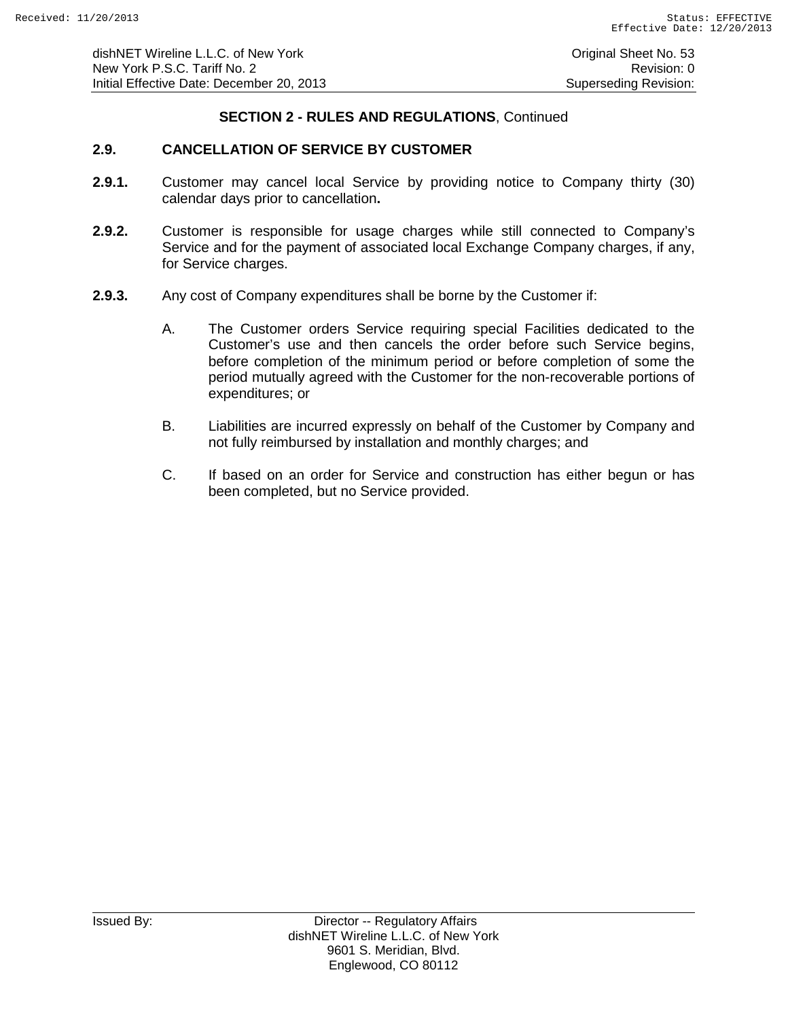# **2.9. CANCELLATION OF SERVICE BY CUSTOMER**

- **2.9.1.** Customer may cancel local Service by providing notice to Company thirty (30) calendar days prior to cancellation**.**
- **2.9.2.** Customer is responsible for usage charges while still connected to Company's Service and for the payment of associated local Exchange Company charges, if any, for Service charges.
- **2.9.3.** Any cost of Company expenditures shall be borne by the Customer if:
	- A. The Customer orders Service requiring special Facilities dedicated to the Customer's use and then cancels the order before such Service begins, before completion of the minimum period or before completion of some the period mutually agreed with the Customer for the non-recoverable portions of expenditures; or
	- B. Liabilities are incurred expressly on behalf of the Customer by Company and not fully reimbursed by installation and monthly charges; and
	- C. If based on an order for Service and construction has either begun or has been completed, but no Service provided.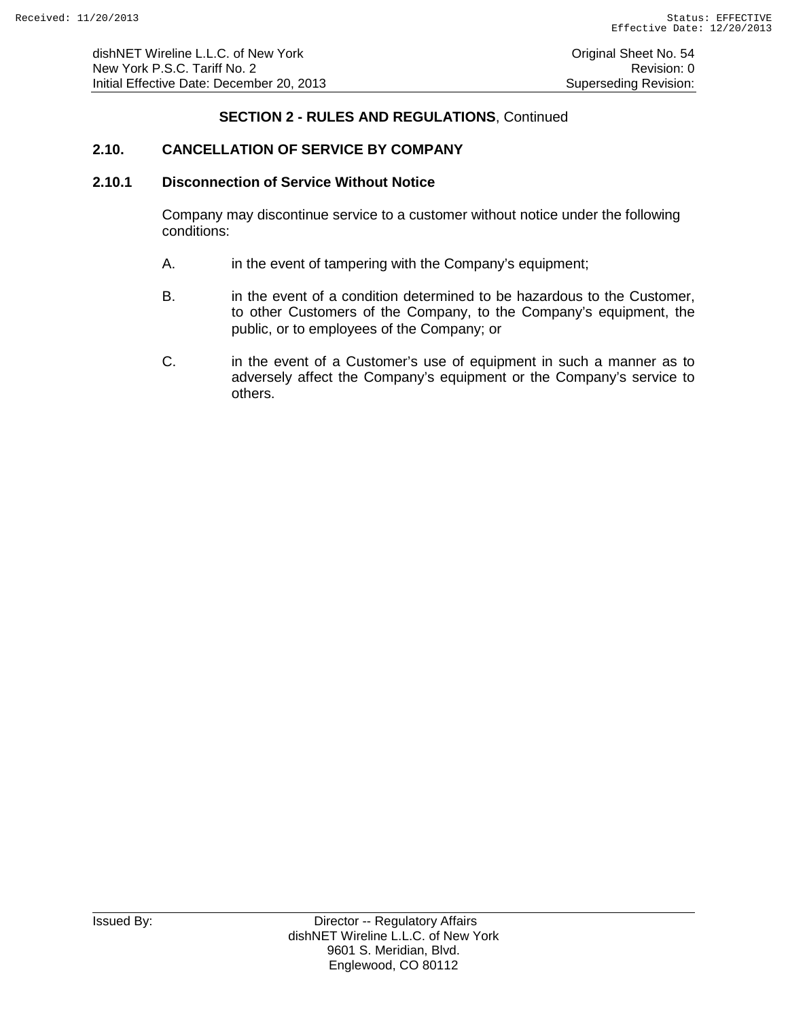# **2.10. CANCELLATION OF SERVICE BY COMPANY**

#### **2.10.1 Disconnection of Service Without Notice**

Company may discontinue service to a customer without notice under the following conditions:

- A. in the event of tampering with the Company's equipment;
- B. in the event of a condition determined to be hazardous to the Customer, to other Customers of the Company, to the Company's equipment, the public, or to employees of the Company; or
- C. in the event of a Customer's use of equipment in such a manner as to adversely affect the Company's equipment or the Company's service to others.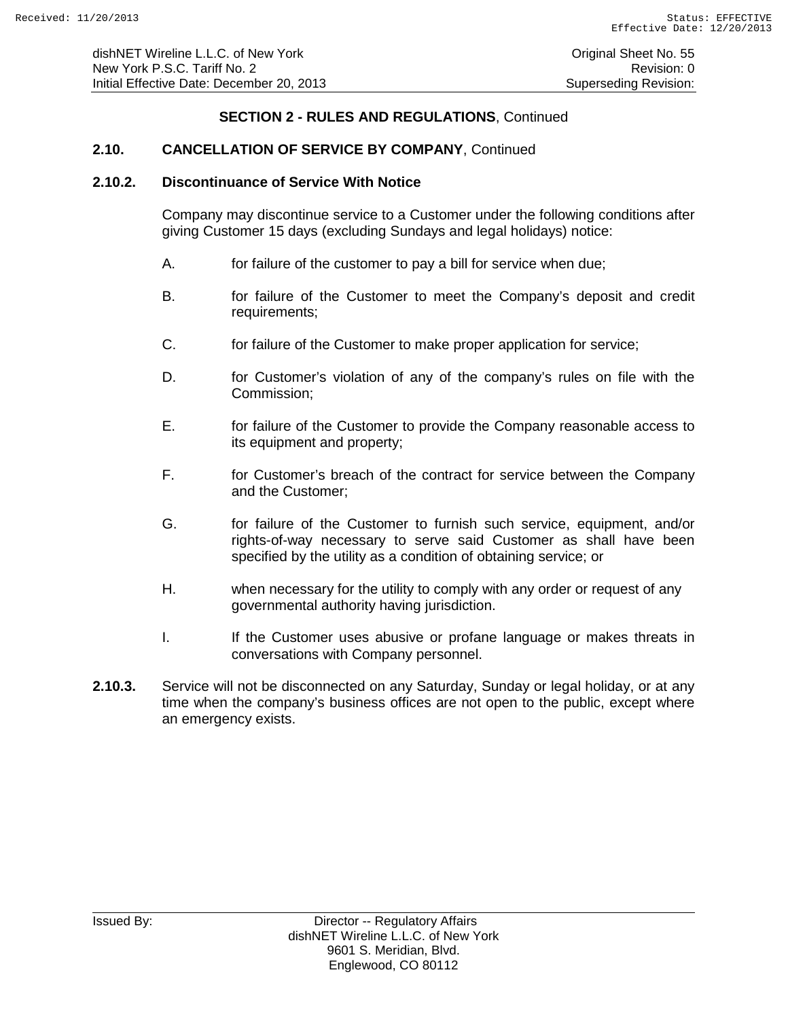# **2.10. CANCELLATION OF SERVICE BY COMPANY**, Continued

#### **2.10.2. Discontinuance of Service With Notice**

Company may discontinue service to a Customer under the following conditions after giving Customer 15 days (excluding Sundays and legal holidays) notice:

- A. for failure of the customer to pay a bill for service when due;
- B. for failure of the Customer to meet the Company's deposit and credit requirements;
- C. for failure of the Customer to make proper application for service;
- D. for Customer's violation of any of the company's rules on file with the Commission;
- E. for failure of the Customer to provide the Company reasonable access to its equipment and property;
- F. for Customer's breach of the contract for service between the Company and the Customer;
- G. for failure of the Customer to furnish such service, equipment, and/or rights-of-way necessary to serve said Customer as shall have been specified by the utility as a condition of obtaining service; or
- H. when necessary for the utility to comply with any order or request of any governmental authority having jurisdiction.
- I. If the Customer uses abusive or profane language or makes threats in conversations with Company personnel.
- **2.10.3.** Service will not be disconnected on any Saturday, Sunday or legal holiday, or at any time when the company's business offices are not open to the public, except where an emergency exists.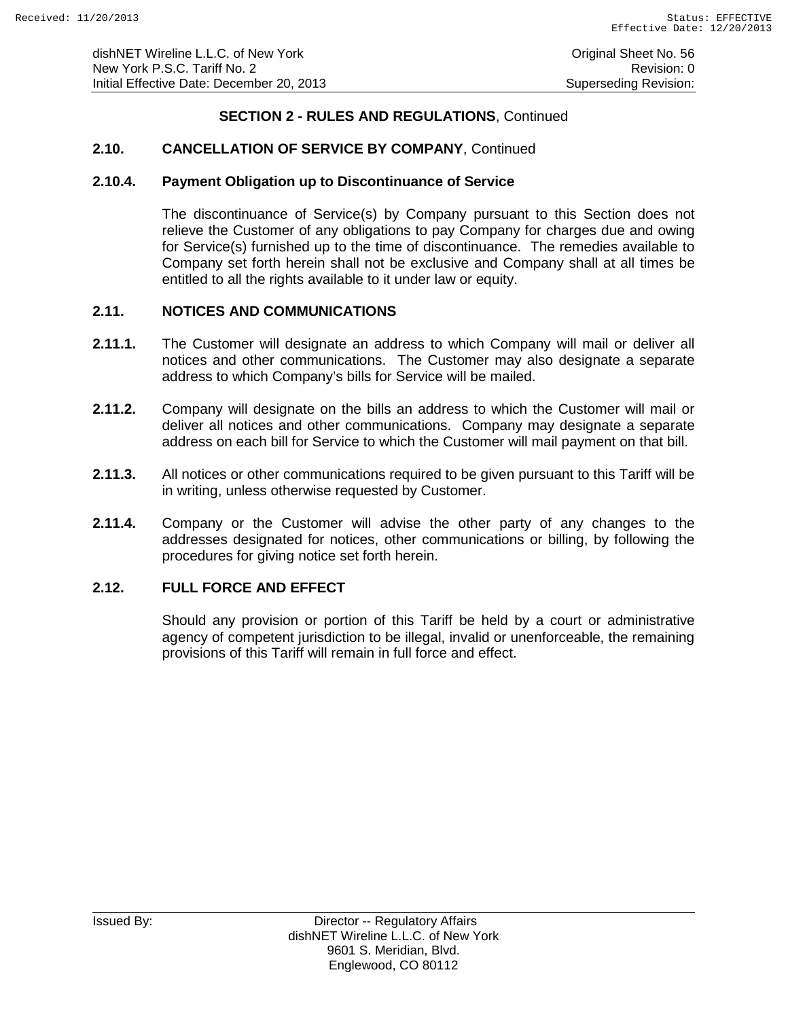# **2.10. CANCELLATION OF SERVICE BY COMPANY**, Continued

#### **2.10.4. Payment Obligation up to Discontinuance of Service**

The discontinuance of Service(s) by Company pursuant to this Section does not relieve the Customer of any obligations to pay Company for charges due and owing for Service(s) furnished up to the time of discontinuance. The remedies available to Company set forth herein shall not be exclusive and Company shall at all times be entitled to all the rights available to it under law or equity.

### **2.11. NOTICES AND COMMUNICATIONS**

- **2.11.1.** The Customer will designate an address to which Company will mail or deliver all notices and other communications. The Customer may also designate a separate address to which Company's bills for Service will be mailed.
- **2.11.2.** Company will designate on the bills an address to which the Customer will mail or deliver all notices and other communications. Company may designate a separate address on each bill for Service to which the Customer will mail payment on that bill.
- **2.11.3.** All notices or other communications required to be given pursuant to this Tariff will be in writing, unless otherwise requested by Customer.
- **2.11.4.** Company or the Customer will advise the other party of any changes to the addresses designated for notices, other communications or billing, by following the procedures for giving notice set forth herein.

# **2.12. FULL FORCE AND EFFECT**

Should any provision or portion of this Tariff be held by a court or administrative agency of competent jurisdiction to be illegal, invalid or unenforceable, the remaining provisions of this Tariff will remain in full force and effect.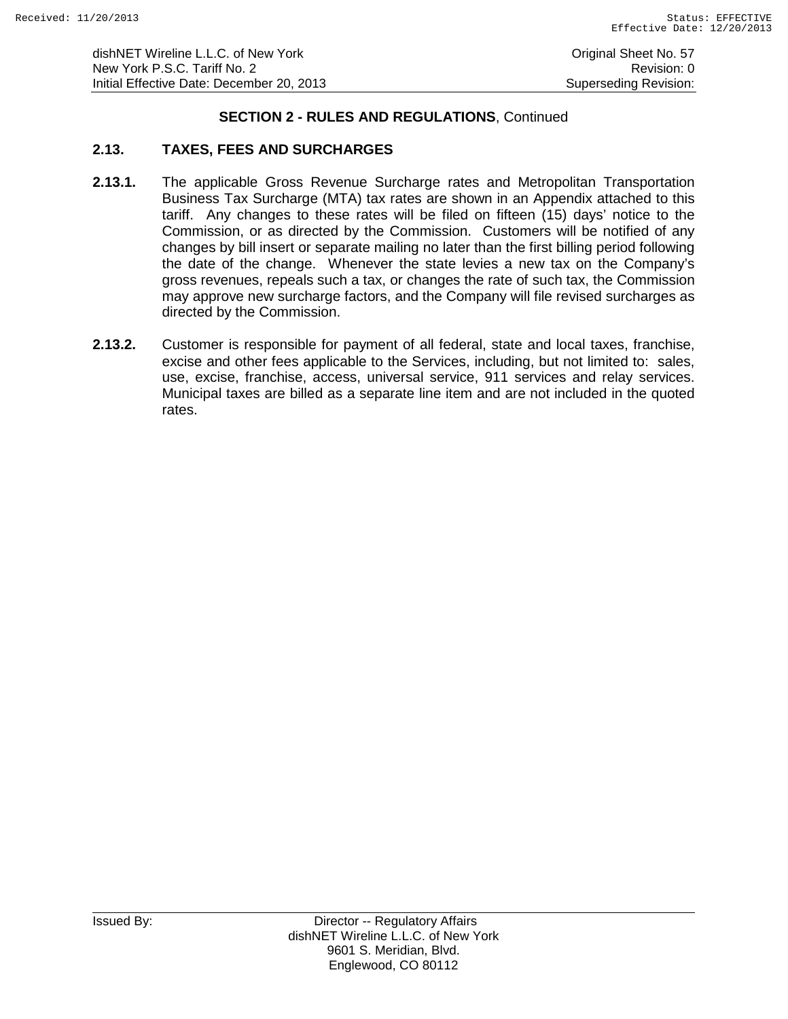### **2.13. TAXES, FEES AND SURCHARGES**

- **2.13.1.** The applicable Gross Revenue Surcharge rates and Metropolitan Transportation Business Tax Surcharge (MTA) tax rates are shown in an Appendix attached to this tariff. Any changes to these rates will be filed on fifteen (15) days' notice to the Commission, or as directed by the Commission. Customers will be notified of any changes by bill insert or separate mailing no later than the first billing period following the date of the change. Whenever the state levies a new tax on the Company's gross revenues, repeals such a tax, or changes the rate of such tax, the Commission may approve new surcharge factors, and the Company will file revised surcharges as directed by the Commission.
- **2.13.2.** Customer is responsible for payment of all federal, state and local taxes, franchise, excise and other fees applicable to the Services, including, but not limited to: sales, use, excise, franchise, access, universal service, 911 services and relay services. Municipal taxes are billed as a separate line item and are not included in the quoted rates.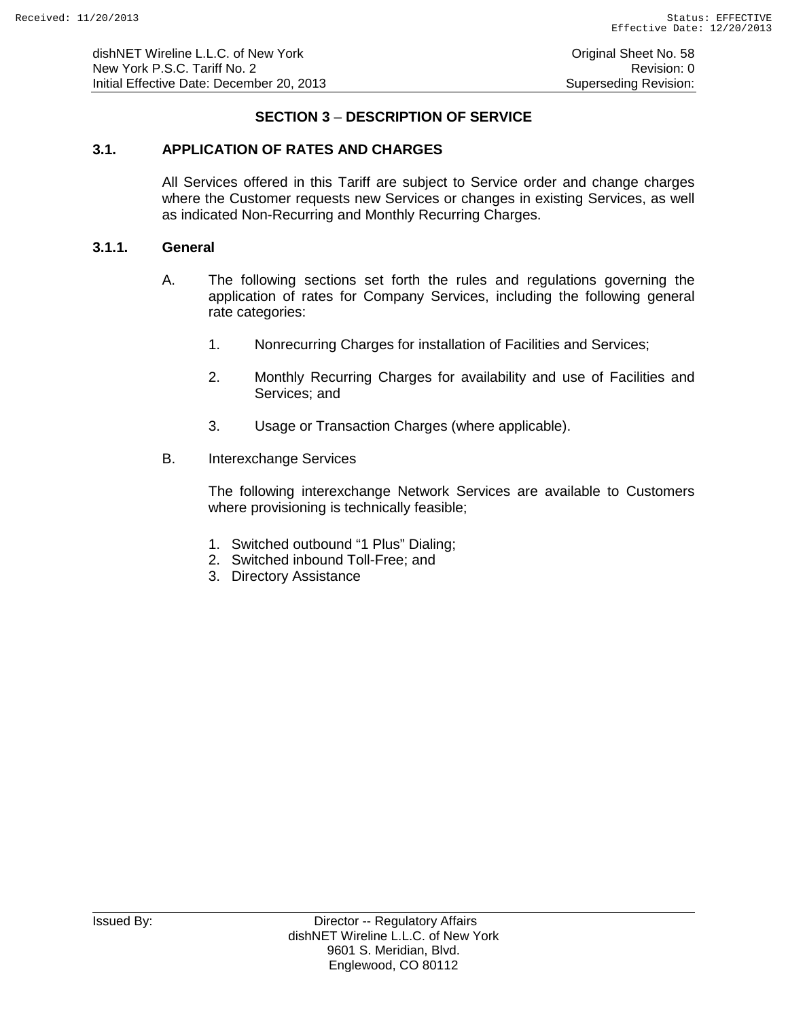dishNET Wireline L.L.C. of New York **Construction Construction Construction** Original Sheet No. 58 New York P.S.C. Tariff No. 2 **Review According to the COVID-Revision: 0** Revision: 0 Initial Effective Date: December 20, 2013 Superseding Revision:

# **SECTION 3** – **DESCRIPTION OF SERVICE**

### **3.1. APPLICATION OF RATES AND CHARGES**

All Services offered in this Tariff are subject to Service order and change charges where the Customer requests new Services or changes in existing Services, as well as indicated Non-Recurring and Monthly Recurring Charges.

### **3.1.1. General**

- A. The following sections set forth the rules and regulations governing the application of rates for Company Services, including the following general rate categories:
	- 1. Nonrecurring Charges for installation of Facilities and Services;
	- 2. Monthly Recurring Charges for availability and use of Facilities and Services; and
	- 3. Usage or Transaction Charges (where applicable).
- B. Interexchange Services

The following interexchange Network Services are available to Customers where provisioning is technically feasible;

- 1. Switched outbound "1 Plus" Dialing;
- 2. Switched inbound Toll-Free; and
- 3. Directory Assistance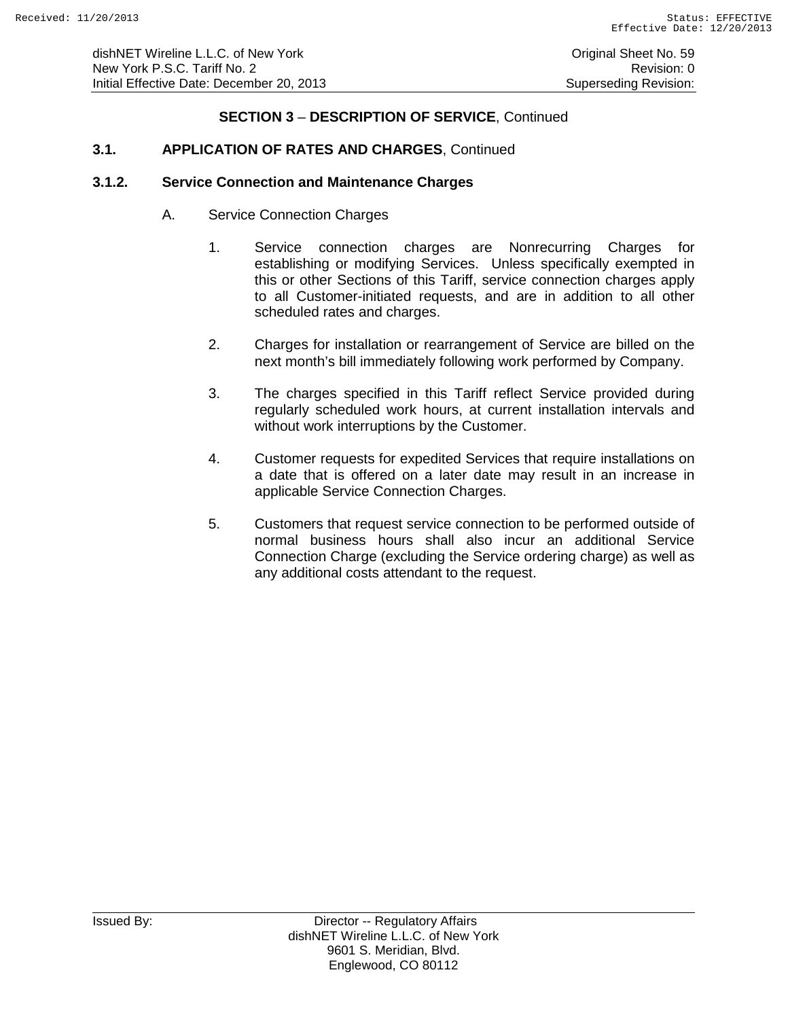# **SECTION 3** – **DESCRIPTION OF SERVICE**, Continued

## **3.1. APPLICATION OF RATES AND CHARGES**, Continued

#### **3.1.2. Service Connection and Maintenance Charges**

- A. Service Connection Charges
	- 1. Service connection charges are Nonrecurring Charges for establishing or modifying Services. Unless specifically exempted in this or other Sections of this Tariff, service connection charges apply to all Customer-initiated requests, and are in addition to all other scheduled rates and charges.
	- 2. Charges for installation or rearrangement of Service are billed on the next month's bill immediately following work performed by Company.
	- 3. The charges specified in this Tariff reflect Service provided during regularly scheduled work hours, at current installation intervals and without work interruptions by the Customer.
	- 4. Customer requests for expedited Services that require installations on a date that is offered on a later date may result in an increase in applicable Service Connection Charges.
	- 5. Customers that request service connection to be performed outside of normal business hours shall also incur an additional Service Connection Charge (excluding the Service ordering charge) as well as any additional costs attendant to the request.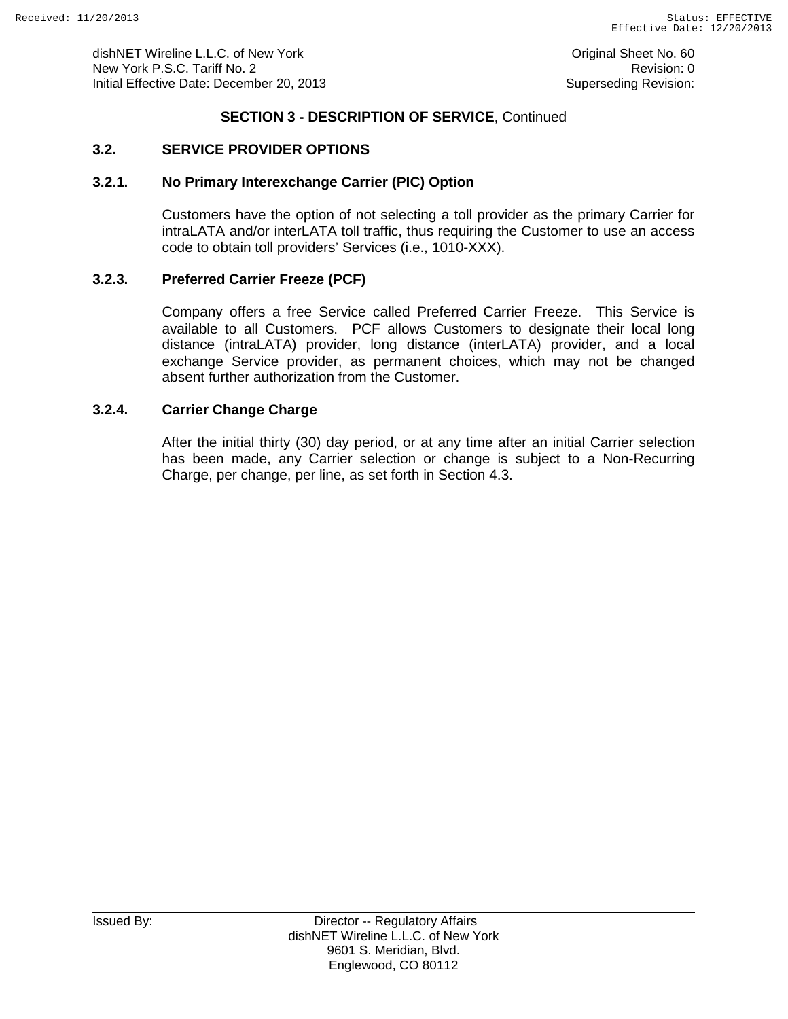# **SECTION 3 - DESCRIPTION OF SERVICE**, Continued

# **3.2. SERVICE PROVIDER OPTIONS**

#### **3.2.1. No Primary Interexchange Carrier (PIC) Option**

Customers have the option of not selecting a toll provider as the primary Carrier for intraLATA and/or interLATA toll traffic, thus requiring the Customer to use an access code to obtain toll providers' Services (i.e., 1010-XXX).

### **3.2.3. Preferred Carrier Freeze (PCF)**

Company offers a free Service called Preferred Carrier Freeze. This Service is available to all Customers. PCF allows Customers to designate their local long distance (intraLATA) provider, long distance (interLATA) provider, and a local exchange Service provider, as permanent choices, which may not be changed absent further authorization from the Customer.

### **3.2.4. Carrier Change Charge**

After the initial thirty (30) day period, or at any time after an initial Carrier selection has been made, any Carrier selection or change is subject to a Non-Recurring Charge, per change, per line, as set forth in Section 4.3.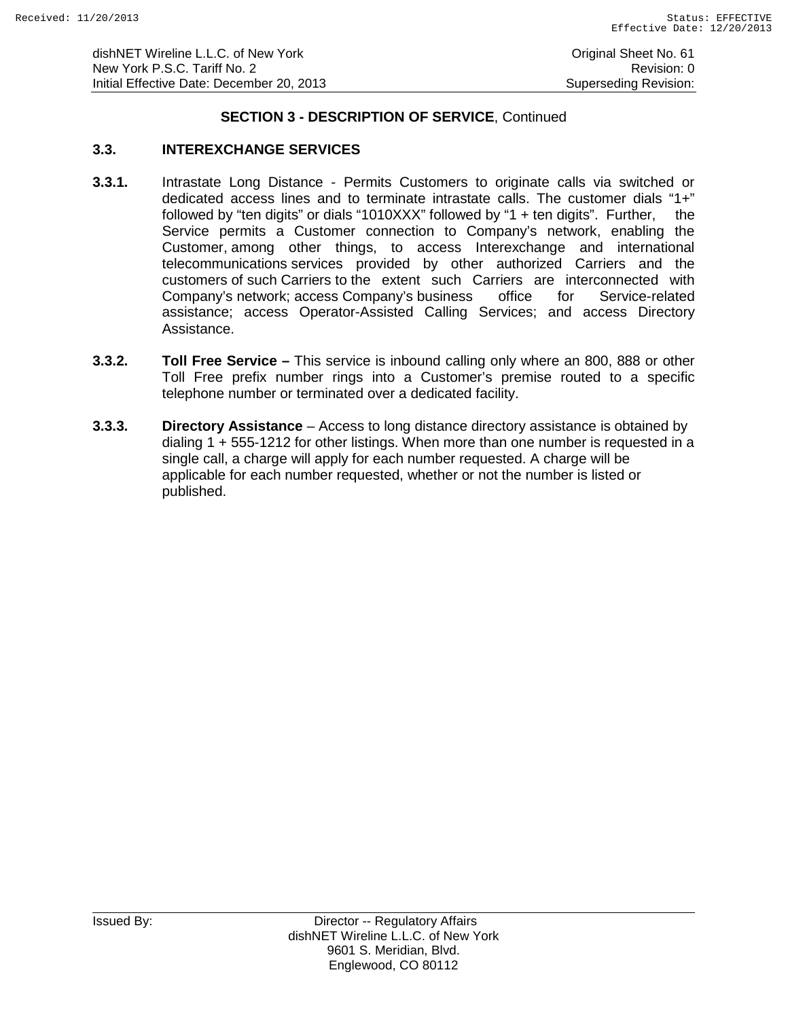### **SECTION 3 - DESCRIPTION OF SERVICE**, Continued

# **3.3. INTEREXCHANGE SERVICES**

- **3.3.1.** Intrastate Long Distance Permits Customers to originate calls via switched or dedicated access lines and to terminate intrastate calls. The customer dials "1+" followed by "ten digits" or dials "1010XXX" followed by "1 + ten digits". Further, the Service permits a Customer connection to Company's network, enabling the Customer, among other things, to access Interexchange and international telecommunications services provided by other authorized Carriers and the customers of such Carriers to the extent such Carriers are interconnected with Company's network; access Company's business office for Service-related assistance; access Operator-Assisted Calling Services; and access Directory Assistance.
- **3.3.2. Toll Free Service –** This service is inbound calling only where an 800, 888 or other Toll Free prefix number rings into a Customer's premise routed to a specific telephone number or terminated over a dedicated facility.
- **3.3.3. Directory Assistance** Access to long distance directory assistance is obtained by dialing 1 + 555-1212 for other listings. When more than one number is requested in a single call, a charge will apply for each number requested. A charge will be applicable for each number requested, whether or not the number is listed or published.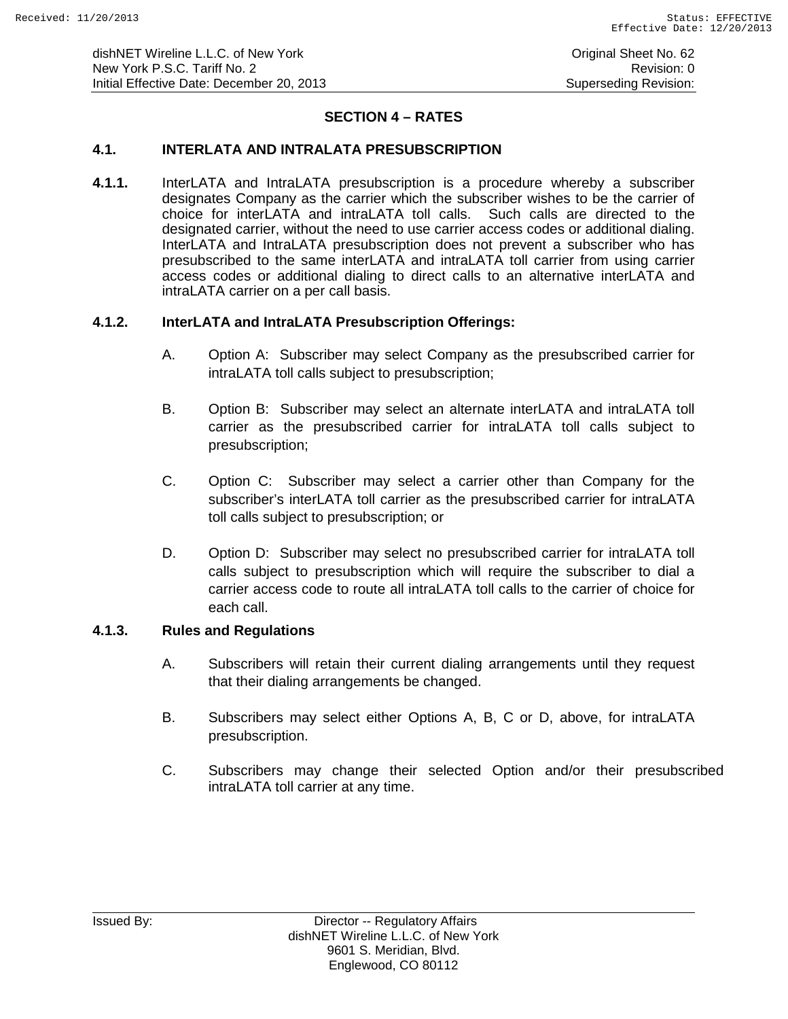# **SECTION 4 – RATES**

# **4.1. INTERLATA AND INTRALATA PRESUBSCRIPTION**

**4.1.1.** InterLATA and IntraLATA presubscription is a procedure whereby a subscriber designates Company as the carrier which the subscriber wishes to be the carrier of choice for interLATA and intraLATA toll calls. Such calls are directed to the designated carrier, without the need to use carrier access codes or additional dialing. InterLATA and IntraLATA presubscription does not prevent a subscriber who has presubscribed to the same interLATA and intraLATA toll carrier from using carrier access codes or additional dialing to direct calls to an alternative interLATA and intraLATA carrier on a per call basis.

# **4.1.2. InterLATA and IntraLATA Presubscription Offerings:**

- A. Option A: Subscriber may select Company as the presubscribed carrier for intraLATA toll calls subject to presubscription;
- B. Option B: Subscriber may select an alternate interLATA and intraLATA toll carrier as the presubscribed carrier for intraLATA toll calls subject to presubscription;
- C. Option C: Subscriber may select a carrier other than Company for the subscriber's interLATA toll carrier as the presubscribed carrier for intraLATA toll calls subject to presubscription; or
- D. Option D: Subscriber may select no presubscribed carrier for intraLATA toll calls subject to presubscription which will require the subscriber to dial a carrier access code to route all intraLATA toll calls to the carrier of choice for each call.

### **4.1.3. Rules and Regulations**

- A. Subscribers will retain their current dialing arrangements until they request that their dialing arrangements be changed.
- B. Subscribers may select either Options A, B, C or D, above, for intraLATA presubscription.
- C. Subscribers may change their selected Option and/or their presubscribed intraLATA toll carrier at any time.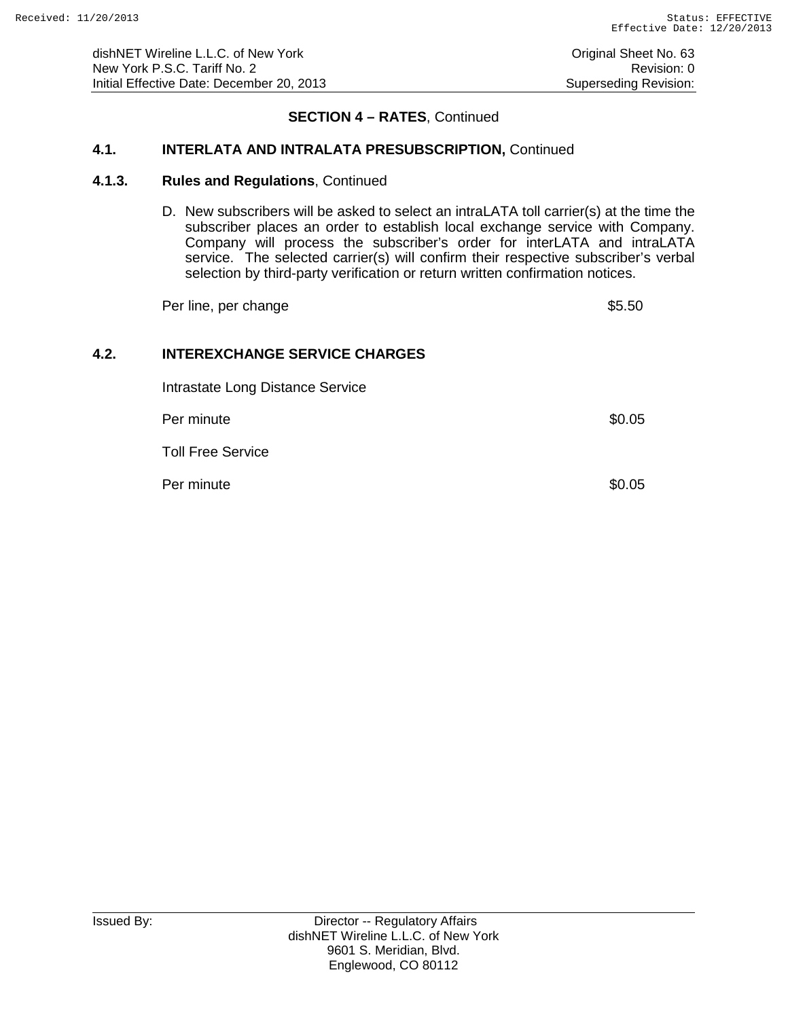### **SECTION 4 – RATES**, Continued

## **4.1. INTERLATA AND INTRALATA PRESUBSCRIPTION,** Continued

#### **4.1.3. Rules and Regulations**, Continued

D. New subscribers will be asked to select an intraLATA toll carrier(s) at the time the subscriber places an order to establish local exchange service with Company. Company will process the subscriber's order for interLATA and intraLATA service. The selected carrier(s) will confirm their respective subscriber's verbal selection by third-party verification or return written confirmation notices.

Per line, per change  $$5.50$ 

# **4.2. INTEREXCHANGE SERVICE CHARGES**

Intrastate Long Distance Service

Per minute \$0.05

Toll Free Service

Per minute  $\$0.05$